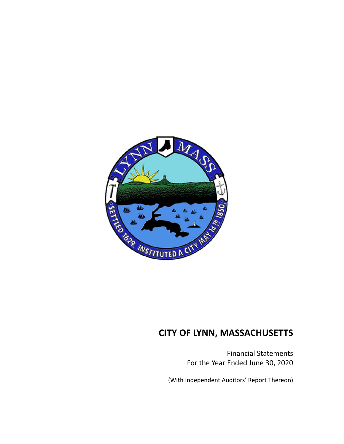

Financial Statements For the Year Ended June 30, 2020

(With Independent Auditors' Report Thereon)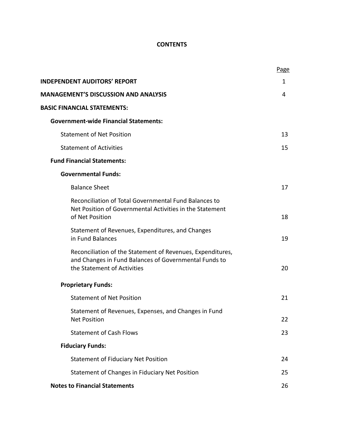## **CONTENTS**

|                                                                                                                                                    | Page |
|----------------------------------------------------------------------------------------------------------------------------------------------------|------|
| <b>INDEPENDENT AUDITORS' REPORT</b>                                                                                                                | 1    |
| <b>MANAGEMENT'S DISCUSSION AND ANALYSIS</b>                                                                                                        | 4    |
| <b>BASIC FINANCIAL STATEMENTS:</b>                                                                                                                 |      |
| <b>Government-wide Financial Statements:</b>                                                                                                       |      |
| <b>Statement of Net Position</b>                                                                                                                   | 13   |
| <b>Statement of Activities</b>                                                                                                                     | 15   |
| <b>Fund Financial Statements:</b>                                                                                                                  |      |
| <b>Governmental Funds:</b>                                                                                                                         |      |
| <b>Balance Sheet</b>                                                                                                                               | 17   |
| Reconciliation of Total Governmental Fund Balances to<br>Net Position of Governmental Activities in the Statement<br>of Net Position               | 18   |
| Statement of Revenues, Expenditures, and Changes<br>in Fund Balances                                                                               | 19   |
| Reconciliation of the Statement of Revenues, Expenditures,<br>and Changes in Fund Balances of Governmental Funds to<br>the Statement of Activities | 20   |
| <b>Proprietary Funds:</b>                                                                                                                          |      |
| <b>Statement of Net Position</b>                                                                                                                   | 21   |
| Statement of Revenues, Expenses, and Changes in Fund<br><b>Net Position</b>                                                                        | 22   |
| <b>Statement of Cash Flows</b>                                                                                                                     | 23   |
| <b>Fiduciary Funds:</b>                                                                                                                            |      |
| <b>Statement of Fiduciary Net Position</b>                                                                                                         | 24   |
| Statement of Changes in Fiduciary Net Position                                                                                                     | 25   |
| <b>Notes to Financial Statements</b>                                                                                                               | 26   |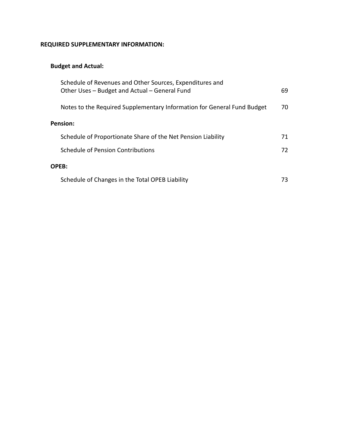## **REQUIRED SUPPLEMENTARY INFORMATION:**

## **Budget and Actual:**

| Schedule of Revenues and Other Sources, Expenditures and<br>Other Uses - Budget and Actual - General Fund | 69  |
|-----------------------------------------------------------------------------------------------------------|-----|
| Notes to the Required Supplementary Information for General Fund Budget                                   | 70  |
| Pension:                                                                                                  |     |
| Schedule of Proportionate Share of the Net Pension Liability                                              | 71  |
| Schedule of Pension Contributions                                                                         | 72  |
| OPEB:                                                                                                     |     |
| Schedule of Changes in the Total OPEB Liability                                                           | 73. |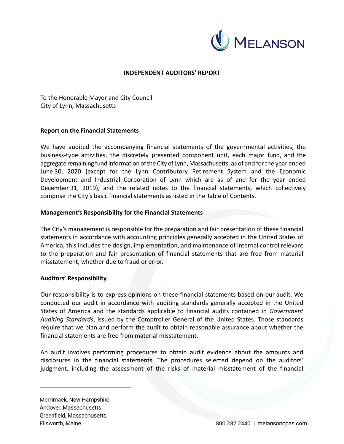

### **INDEPENDENT AUDITORS' REPORT**

To the Honorable Mayor and City Council City of Lynn, Massachusetts

### **Report on the Financial Statements**

We have audited the accompanying financial statements of the governmental activities, the business‐type activities, the discretely presented component unit, each major fund, and the aggregate remaining fund information of the City of Lynn, Massachusetts, as of and for the year ended June 30, 2020 (except for the Lynn Contributory Retirement System and the Economic Development and Industrial Corporation of Lynn which are as of and for the year ended December 31, 2019), and the related notes to the financial statements, which collectively comprise the City's basic financial statements as listed in the Table of Contents.

### **Management's Responsibility for the Financial Statements**

The City's management is responsible for the preparation and fair presentation of these financial statements in accordance with accounting principles generally accepted in the United States of America; this includes the design, implementation, and maintenance of internal control relevant to the preparation and fair presentation of financial statements that are free from material misstatement, whether due to fraud or error.

### **Auditors' Responsibility**

Our responsibility is to express opinions on these financial statements based on our audit. We conducted our audit in accordance with auditing standards generally accepted in the United States of America and the standards applicable to financial audits contained in *Government Auditing Standards*, issued by the Comptroller General of the United States. Those standards require that we plan and perform the audit to obtain reasonable assurance about whether the financial statements are free from material misstatement.

An audit involves performing procedures to obtain audit evidence about the amounts and disclosures in the financial statements. The procedures selected depend on the auditors' judgment, including the assessment of the risks of material misstatement of the financial

Merrimack, New Hampshire Andover, Massachusetts Greenfield, Massachusetts Ellsworth, Maine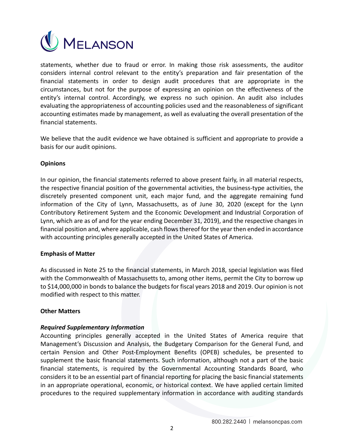

statements, whether due to fraud or error. In making those risk assessments, the auditor considers internal control relevant to the entity's preparation and fair presentation of the financial statements in order to design audit procedures that are appropriate in the circumstances, but not for the purpose of expressing an opinion on the effectiveness of the entity's internal control. Accordingly, we express no such opinion. An audit also includes evaluating the appropriateness of accounting policies used and the reasonableness of significant accounting estimates made by management, as well as evaluating the overall presentation of the financial statements.

We believe that the audit evidence we have obtained is sufficient and appropriate to provide a basis for our audit opinions.

### **Opinions**

In our opinion, the financial statements referred to above present fairly, in all material respects, the respective financial position of the governmental activities, the business‐type activities, the discretely presented component unit, each major fund, and the aggregate remaining fund information of the City of Lynn, Massachusetts, as of June 30, 2020 (except for the Lynn Contributory Retirement System and the Economic Development and Industrial Corporation of Lynn, which are as of and for the year ending December 31, 2019), and the respective changes in financial position and, where applicable, cash flows thereof for the year then ended in accordance with accounting principles generally accepted in the United States of America.

### **Emphasis of Matter**

As discussed in Note 25 to the financial statements, in March 2018, special legislation was filed with the Commonwealth of Massachusetts to, among other items, permit the City to borrow up to \$14,000,000 in bonds to balance the budgets for fiscal years 2018 and 2019. Our opinion is not modified with respect to this matter.

### **Other Matters**

### *Required Supplementary Information*

Accounting principles generally accepted in the United States of America require that Management's Discussion and Analysis, the Budgetary Comparison for the General Fund, and certain Pension and Other Post‐Employment Benefits (OPEB) schedules, be presented to supplement the basic financial statements. Such information, although not a part of the basic financial statements, is required by the Governmental Accounting Standards Board, who considers it to be an essential part of financial reporting for placing the basic financial statements in an appropriate operational, economic, or historical context. We have applied certain limited procedures to the required supplementary information in accordance with auditing standards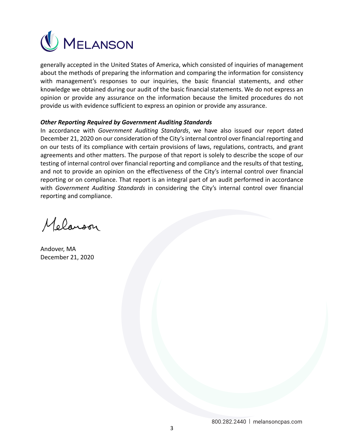

generally accepted in the United States of America, which consisted of inquiries of management about the methods of preparing the information and comparing the information for consistency with management's responses to our inquiries, the basic financial statements, and other knowledge we obtained during our audit of the basic financial statements. We do not express an opinion or provide any assurance on the information because the limited procedures do not provide us with evidence sufficient to express an opinion or provide any assurance.

### *Other Reporting Required by Government Auditing Standards*

In accordance with *Government Auditing Standards*, we have also issued our report dated December 21, 2020 on our consideration of the City's internal control over financial reporting and on our tests of its compliance with certain provisions of laws, regulations, contracts, and grant agreements and other matters. The purpose of that report is solely to describe the scope of our testing of internal control over financial reporting and compliance and the results of that testing, and not to provide an opinion on the effectiveness of the City's internal control over financial reporting or on compliance. That report is an integral part of an audit performed in accordance with *Government Auditing Standards* in considering the City's internal control over financial reporting and compliance.

Melanoon

Andover, MA December 21, 2020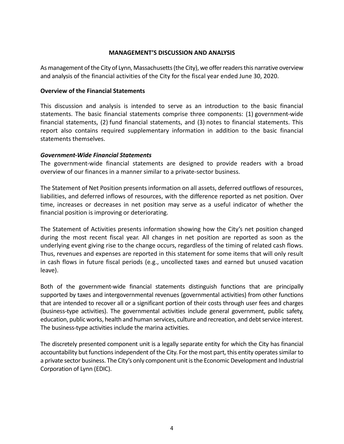### **MANAGEMENT'S DISCUSSION AND ANALYSIS**

As management of the City of Lynn, Massachusetts (the City), we offer readers this narrative overview and analysis of the financial activities of the City for the fiscal year ended June 30, 2020.

### **Overview of the Financial Statements**

This discussion and analysis is intended to serve as an introduction to the basic financial statements. The basic financial statements comprise three components: (1) government-wide financial statements, (2) fund financial statements, and (3) notes to financial statements. This report also contains required supplementary information in addition to the basic financial statements themselves.

### *Government‐Wide Financial Statements*

The government-wide financial statements are designed to provide readers with a broad overview of our finances in a manner similar to a private‐sector business.

The Statement of Net Position presents information on all assets, deferred outflows of resources, liabilities, and deferred inflows of resources, with the difference reported as net position. Over time, increases or decreases in net position may serve as a useful indicator of whether the financial position is improving or deteriorating.

The Statement of Activities presents information showing how the City's net position changed during the most recent fiscal year. All changes in net position are reported as soon as the underlying event giving rise to the change occurs, regardless of the timing of related cash flows. Thus, revenues and expenses are reported in this statement for some items that will only result in cash flows in future fiscal periods (e.g., uncollected taxes and earned but unused vacation leave).

Both of the government-wide financial statements distinguish functions that are principally supported by taxes and intergovernmental revenues (governmental activities) from other functions that are intended to recover all or a significant portion of their costs through user fees and charges (business-type activities). The governmental activities include general government, public safety, education, public works, health and human services, culture and recreation, and debt service interest. The business-type activities include the marina activities.

The discretely presented component unit is a legally separate entity for which the City has financial accountability but functions independent of the City. For the most part, this entity operates similar to a private sector business. The City's only component unit is the Economic Development and Industrial Corporation of Lynn (EDIC).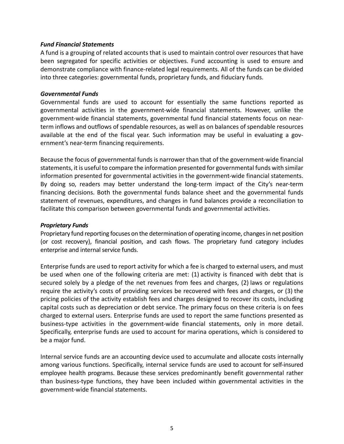### *Fund Financial Statements*

A fund is a grouping of related accounts that is used to maintain control over resources that have been segregated for specific activities or objectives. Fund accounting is used to ensure and demonstrate compliance with finance‐related legal requirements. All of the funds can be divided into three categories: governmental funds, proprietary funds, and fiduciary funds.

### *Governmental Funds*

Governmental funds are used to account for essentially the same functions reported as governmental activities in the government‐wide financial statements. However, unlike the government‐wide financial statements, governmental fund financial statements focus on near‐ term inflows and outflows of spendable resources, as well as on balances of spendable resources available at the end of the fiscal year. Such information may be useful in evaluating a government's near‐term financing requirements.

Because the focus of governmental funds is narrower than that of the government-wide financial statements, it is useful to compare the information presented for governmental funds with similar information presented for governmental activities in the government-wide financial statements. By doing so, readers may better understand the long-term impact of the City's near-term financing decisions. Both the governmental funds balance sheet and the governmental funds statement of revenues, expenditures, and changes in fund balances provide a reconciliation to facilitate this comparison between governmental funds and governmental activities.

### *Proprietary Funds*

Proprietary fund reporting focuses on the determination of operating income, changes in net position (or cost recovery), financial position, and cash flows. The proprietary fund category includes enterprise and internal service funds.

Enterprise funds are used to report activity for which a fee is charged to external users, and must be used when one of the following criteria are met: (1) activity is financed with debt that is secured solely by a pledge of the net revenues from fees and charges, (2) laws or regulations require the activity's costs of providing services be recovered with fees and charges, or (3) the pricing policies of the activity establish fees and charges designed to recover its costs, including capital costs such as depreciation or debt service. The primary focus on these criteria is on fees charged to external users. Enterprise funds are used to report the same functions presented as business-type activities in the government-wide financial statements, only in more detail. Specifically, enterprise funds are used to account for marina operations, which is considered to be a major fund.

Internal service funds are an accounting device used to accumulate and allocate costs internally among various functions. Specifically, internal service funds are used to account for self-insured employee health programs. Because these services predominantly benefit governmental rather than business‐type functions, they have been included within governmental activities in the government‐wide financial statements.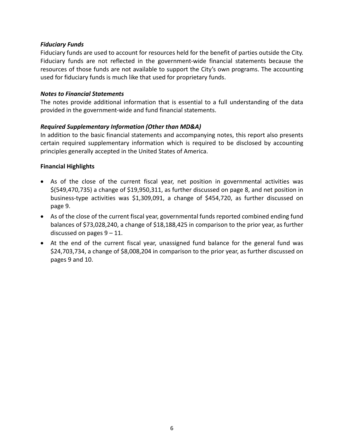### *Fiduciary Funds*

Fiduciary funds are used to account for resources held for the benefit of parties outside the City. Fiduciary funds are not reflected in the government‐wide financial statements because the resources of those funds are not available to support the City's own programs. The accounting used for fiduciary funds is much like that used for proprietary funds.

### *Notes to Financial Statements*

The notes provide additional information that is essential to a full understanding of the data provided in the government‐wide and fund financial statements.

### *Required Supplementary Information (Other than MD&A)*

In addition to the basic financial statements and accompanying notes, this report also presents certain required supplementary information which is required to be disclosed by accounting principles generally accepted in the United States of America.

### **Financial Highlights**

- As of the close of the current fiscal year, net position in governmental activities was \$(549,470,735) a change of \$19,950,311, as further discussed on page 8, and net position in business‐type activities was \$1,309,091, a change of \$454,720, as further discussed on page 9.
- As of the close of the current fiscal year, governmental funds reported combined ending fund balances of \$73,028,240, a change of \$18,188,425 in comparison to the prior year, as further discussed on pages  $9 - 11$ .
- At the end of the current fiscal year, unassigned fund balance for the general fund was \$24,703,734, a change of \$8,008,204 in comparison to the prior year, as further discussed on pages 9 and 10.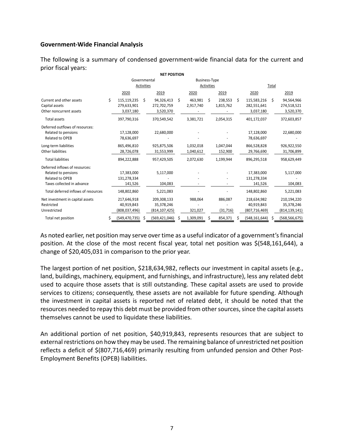### **Government‐Wide Financial Analysis**

The following is a summary of condensed government‐wide financial data for the current and prior fiscal years:

|                                                                                                        |      |                                            |            | <b>NET POSITION</b>                          |    |                        |            |                      |    |                                              |    |                                              |  |
|--------------------------------------------------------------------------------------------------------|------|--------------------------------------------|------------|----------------------------------------------|----|------------------------|------------|----------------------|----|----------------------------------------------|----|----------------------------------------------|--|
|                                                                                                        |      | Governmental<br><b>Business-Type</b>       |            |                                              |    |                        |            |                      |    |                                              |    |                                              |  |
|                                                                                                        |      |                                            | Activities |                                              |    |                        | Activities |                      |    | Total                                        |    |                                              |  |
|                                                                                                        | 2020 |                                            |            | 2019                                         |    | 2020                   |            | 2019                 |    | 2020                                         |    | 2019                                         |  |
| Current and other assets<br>Capital assets<br>Other noncurrent assets                                  | Ś    | 115,119,235<br>279,633,901<br>3,037,180    | Ś          | 94,326,413<br>272,702,759<br>3,520,370       | \$ | 463,981<br>2,917,740   | Ŝ.         | 238,553<br>1,815,762 | \$ | 115,583,216<br>282,551,641<br>3,037,180      | Ŝ. | 94,564,966<br>274,518,521<br>3,520,370       |  |
| <b>Total assets</b>                                                                                    |      | 397,790,316                                |            | 370,549,542                                  |    | 3,381,721              |            | 2,054,315            |    | 401,172,037                                  |    | 372,603,857                                  |  |
| Deferred outflows of resources:<br>Related to pensions<br>Related to OPEB                              |      | 17,128,000<br>78,636,697                   |            | 22,680,000                                   |    |                        |            |                      |    | 17,128,000<br>78,636,697                     |    | 22,680,000                                   |  |
| Long-term liabilities<br>Other liabilities                                                             |      | 865,496,810<br>28,726,078                  |            | 925,875,506<br>31,553,999                    |    | 1,032,018<br>1,040,612 |            | 1,047,044<br>152,900 |    | 866,528,828<br>29,766,690                    |    | 926,922,550<br>31,706,899                    |  |
| <b>Total liabilities</b>                                                                               |      | 894,222,888                                |            | 957,429,505                                  |    | 2,072,630              |            | 1,199,944            |    | 896,295,518                                  |    | 958,629,449                                  |  |
| Deferred inflows of resources:<br>Related to pensions<br>Related to OPEB<br>Taxes collected in advance |      | 17,383,000<br>131,278,334<br>141,526       |            | 5,117,000<br>104,083                         |    |                        |            |                      |    | 17,383,000<br>131,278,334<br>141,526         |    | 5,117,000<br>104,083                         |  |
| Total deferred inflows of resources                                                                    |      | 148,802,860                                |            | 5,221,083                                    |    |                        |            |                      |    | 148,802,860                                  |    | 5,221,083                                    |  |
| Net investment in capital assets<br>Restricted<br>Unrestricted                                         |      | 217,646,918<br>40,919,843<br>(808,037,496) |            | 209,308,133<br>35,378,246<br>(814, 107, 425) |    | 988,064<br>321,027     |            | 886,087<br>(31, 716) |    | 218,634,982<br>40,919,843<br>(807, 716, 469) |    | 210,194,220<br>35,378,246<br>(814, 139, 141) |  |
| Total net position                                                                                     | S    | (549, 470, 735)                            | Ŝ          | (569, 421, 046)                              | S  | 1,309,091              | S          | 854,371              |    | (548, 161, 644)                              | S  | (568, 566, 675)                              |  |

As noted earlier, net position may serve over time as a useful indicator of a government's financial position. At the close of the most recent fiscal year, total net position was \$(548,161,644), a change of \$20,405,031 in comparison to the prior year.

The largest portion of net position, \$218,634,982, reflects our investment in capital assets (e.g., land, buildings, machinery, equipment, and furnishings, and infrastructure), less any related debt used to acquire those assets that is still outstanding. These capital assets are used to provide services to citizens; consequently, these assets are not available for future spending. Although the investment in capital assets is reported net of related debt, it should be noted that the resources needed to repay this debt must be provided from other sources, since the capital assets themselves cannot be used to liquidate these liabilities.

An additional portion of net position, \$40,919,843, represents resources that are subject to external restrictions on how they may be used. The remaining balance of unrestricted net position reflects a deficit of \$(807,716,469) primarily resulting from unfunded pension and Other Post-Employment Benefits (OPEB) liabilities.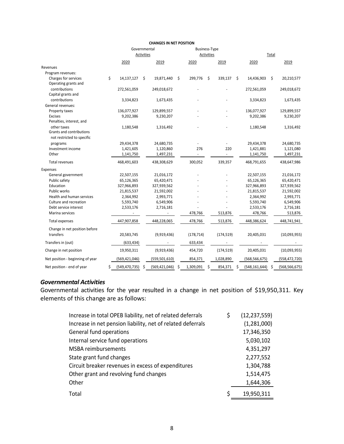|                                  |    | Governmental    |            |                 |    | <b>Business-Type</b> |    |            |      |                 |       |                 |  |
|----------------------------------|----|-----------------|------------|-----------------|----|----------------------|----|------------|------|-----------------|-------|-----------------|--|
|                                  |    |                 | Activities |                 |    | Activities           |    |            |      |                 | Total |                 |  |
|                                  |    | 2020            |            | 2019            |    | 2020                 |    | 2019       |      | 2020            |       | 2019            |  |
| Revenues                         |    |                 |            |                 |    |                      |    |            |      |                 |       |                 |  |
| Program revenues:                |    |                 |            |                 |    |                      |    |            |      |                 |       |                 |  |
| Charges for services             | \$ | 14,137,127      | \$         | 19,871,440      | \$ | 299,776              | \$ | 339,137    | - \$ | 14,436,903      | \$    | 20,210,577      |  |
| Operating grants and             |    |                 |            |                 |    |                      |    |            |      |                 |       |                 |  |
| contributions                    |    | 272,561,059     |            | 249,018,672     |    |                      |    |            |      | 272,561,059     |       | 249,018,672     |  |
| Capital grants and               |    |                 |            |                 |    |                      |    |            |      |                 |       |                 |  |
| contributions                    |    | 3,334,823       |            | 1,673,435       |    |                      |    |            |      | 3,334,823       |       | 1,673,435       |  |
| General revenues:                |    |                 |            |                 |    |                      |    |            |      |                 |       |                 |  |
| Property taxes                   |    | 136,077,927     |            | 129,899,557     |    |                      |    |            |      | 136,077,927     |       | 129,899,557     |  |
| <b>Excises</b>                   |    | 9,202,386       |            | 9,230,207       |    |                      |    |            |      | 9,202,386       |       | 9,230,207       |  |
| Penalties, interest, and         |    |                 |            |                 |    |                      |    |            |      |                 |       |                 |  |
| other taxes                      |    | 1,180,548       |            | 1,316,492       |    |                      |    |            |      | 1,180,548       |       | 1,316,492       |  |
| Grants and contributions         |    |                 |            |                 |    |                      |    |            |      |                 |       |                 |  |
| not restricted to specific       |    |                 |            |                 |    |                      |    |            |      |                 |       |                 |  |
| programs                         |    | 29,434,378      |            | 24,680,735      |    |                      |    |            |      | 29,434,378      |       | 24,680,735      |  |
| Investment income                |    | 1,421,605       |            | 1,120,860       |    | 276                  |    | 220        |      | 1,421,881       |       | 1,121,080       |  |
| Other                            |    | 1,141,750       |            | 1,497,231       |    |                      |    |            |      | 1,141,750       |       | 1,497,231       |  |
| Total revenues                   |    | 468,491,603     |            | 438,308,629     |    | 300,052              |    | 339,357    |      | 468,791,655     |       | 438,647,986     |  |
| Expenses                         |    |                 |            |                 |    |                      |    |            |      |                 |       |                 |  |
| General government               |    | 22,507,155      |            | 21,016,172      |    |                      |    |            |      | 22,507,155      |       | 21,016,172      |  |
| Public safety                    |    | 65,126,365      |            | 65,420,471      |    |                      |    |            |      | 65,126,365      |       | 65,420,471      |  |
| Education                        |    | 327,966,893     |            | 327,939,562     |    |                      |    |            |      | 327,966,893     |       | 327,939,562     |  |
| Public works                     |    | 21,815,537      |            | 21,592,002      |    |                      |    |            |      | 21,815,537      |       | 21,592,002      |  |
| Health and human services        |    | 2,364,992       |            | 2,993,771       |    |                      |    |            |      | 2,364,992       |       | 2,993,771       |  |
| Culture and recreation           |    | 5,593,740       |            | 6,549,906       |    |                      |    |            |      | 5,593,740       |       | 6,549,906       |  |
| Debt service interest            |    | 2,533,176       |            | 2,716,181       |    |                      |    |            |      | 2,533,176       |       | 2,716,181       |  |
| Marina services                  |    |                 |            |                 |    | 478,766              |    | 513,876    |      | 478,766         |       | 513,876         |  |
| Total expenses                   |    | 447,907,858     |            | 448,228,065     |    | 478,766              |    | 513,876    |      | 448,386,624     |       | 448,741,941     |  |
| Change in net position before    |    |                 |            |                 |    |                      |    |            |      |                 |       |                 |  |
| transfers                        |    | 20,583,745      |            | (9,919,436)     |    | (178, 714)           |    | (174, 519) |      | 20,405,031      |       | (10,093,955)    |  |
|                                  |    |                 |            |                 |    |                      |    |            |      |                 |       |                 |  |
| Transfers in (out)               |    | (633, 434)      |            |                 |    | 633,434              |    |            |      |                 |       |                 |  |
| Change in net position           |    | 19,950,311      |            | (9,919,436)     |    | 454,720              |    | (174, 519) |      | 20,405,031      |       | (10,093,955)    |  |
| Net position - beginning of year |    | (569, 421, 046) |            | (559, 501, 610) |    | 854,371              |    | 1,028,890  |      | (568, 566, 675) |       | (558, 472, 720) |  |
| Net position - end of year       | Ś  | (549, 470, 735) | \$         | (569, 421, 046) | Ś  | 1,309,091            | S  | 854,371    | S    | (548, 161, 644) | S     | (568, 566, 675) |  |

#### **CHANGES IN NET POSITION**

### *Governmental Activities*

Governmental activities for the year resulted in a change in net position of \$19,950,311. Key elements of this change are as follows:

| Increase in total OPEB liability, net of related deferrals  | \$<br>(12, 237, 559) |
|-------------------------------------------------------------|----------------------|
| Increase in net pension liability, net of related deferrals | (1,281,000)          |
| General fund operations                                     | 17,346,350           |
| Internal service fund operations                            | 5,030,102            |
| <b>MSBA</b> reimbursements                                  | 4,351,297            |
| State grant fund changes                                    | 2,277,552            |
| Circuit breaker revenues in excess of expenditures          | 1,304,788            |
| Other grant and revolving fund changes                      | 1,514,475            |
| Other                                                       | 1,644,306            |
| Total                                                       | \$<br>19,950,311     |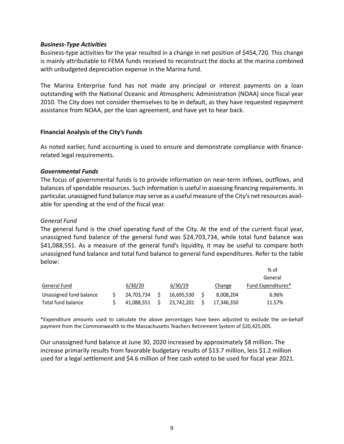### *Business‐Type Activities*

Business‐type activities for the year resulted in a change in net position of \$454,720. This change is mainly attributable to FEMA funds received to reconstruct the docks at the marina combined with unbudgeted depreciation expense in the Marina fund.

The Marina Enterprise fund has not made any principal or interest payments on a loan outstanding with the National Oceanic and Atmospheric Administration (NOAA) since fiscal year 2010. The City does not consider themselves to be in default, as they have requested repayment assistance from NOAA, per the loan agreement, and have yet to hear back.

### **Financial Analysis of the City's Funds**

As noted earlier, fund accounting is used to ensure and demonstrate compliance with finance‐ related legal requirements.

### *Governmental Funds*

The focus of governmental funds is to provide information on near‐term inflows, outflows, and balances of spendable resources. Such information is useful in assessing financing requirements. In particular, unassigned fund balance may serve as a useful measure of the City's net resources avail‐ able for spending at the end of the fiscal year.

### *General Fund*

The general fund is the chief operating fund of the City. At the end of the current fiscal year, unassigned fund balance of the general fund was \$24,703,734, while total fund balance was \$41,088,551. As a measure of the general fund's liquidity, it may be useful to compare both unassigned fund balance and total fund balance to general fund expenditures. Refer to the table below:

|                         |            |            |            | $%$ of             |
|-------------------------|------------|------------|------------|--------------------|
|                         |            |            |            | General            |
| General Fund            | 6/30/20    | 6/30/19    | Change     | Fund Expenditures* |
| Unassigned fund balance | 24,703,734 | 16.695.530 | 8,008,204  | 6.96%              |
| Total fund balance      | 41,088,551 | 23.742.201 | 17,346,350 | 11.57%             |

\*Expenditure amounts used to calculate the above percentages have been adjusted to exclude the on‐behalf payment from the Commonwealth to the Massachusetts Teachers Retirement System of \$20,425,005.

Our unassigned fund balance at June 30, 2020 increased by approximately \$8 million. The increase primarily results from favorable budgetary results of \$13.7 million, less \$1.2 million used for a legal settlement and \$4.6 million of free cash voted to be used for fiscal year 2021.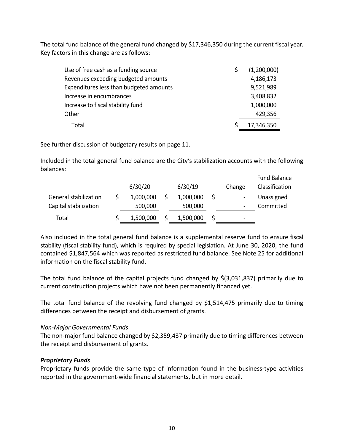The total fund balance of the general fund changed by \$17,346,350 during the current fiscal year. Key factors in this change are as follows:

| Use of free cash as a funding source    | (1,200,000) |
|-----------------------------------------|-------------|
| Revenues exceeding budgeted amounts     | 4,186,173   |
| Expenditures less than budgeted amounts | 9,521,989   |
| Increase in encumbrances                | 3,408,832   |
| Increase to fiscal stability fund       | 1,000,000   |
| Other                                   | 429,356     |
| Total                                   | 17,346,350  |

See further discussion of budgetary results on page 11.

Included in the total general fund balance are the City's stabilization accounts with the following balances:

|                       | 6/30/20   | 6/30/19   | Change | <b>Fund Balance</b><br>Classification |
|-----------------------|-----------|-----------|--------|---------------------------------------|
| General stabilization | 1,000,000 | 1,000,000 |        | Unassigned                            |
| Capital stabilization | 500,000   | 500,000   |        | Committed                             |
| Total                 | 1,500,000 | 1,500,000 | -      |                                       |

Also included in the total general fund balance is a supplemental reserve fund to ensure fiscal stability (fiscal stability fund), which is required by special legislation. At June 30, 2020, the fund contained \$1,847,564 which was reported as restricted fund balance. See Note 25 for additional information on the fiscal stability fund.

The total fund balance of the capital projects fund changed by  $\zeta(3,031,837)$  primarily due to current construction projects which have not been permanently financed yet.

The total fund balance of the revolving fund changed by \$1,514,475 primarily due to timing differences between the receipt and disbursement of grants.

### *Non‐Major Governmental Funds*

The non-major fund balance changed by \$2,359,437 primarily due to timing differences between the receipt and disbursement of grants.

## *Proprietary Funds*

Proprietary funds provide the same type of information found in the business-type activities reported in the government‐wide financial statements, but in more detail.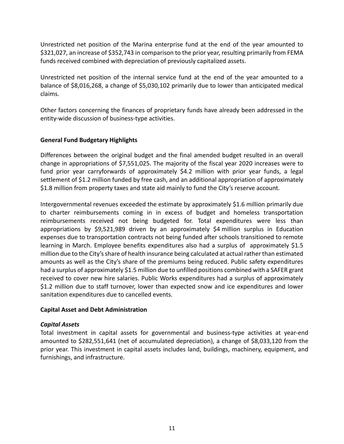Unrestricted net position of the Marina enterprise fund at the end of the year amounted to \$321,027, an increase of \$352,743 in comparison to the prior year, resulting primarily from FEMA funds received combined with depreciation of previously capitalized assets.

Unrestricted net position of the internal service fund at the end of the year amounted to a balance of \$8,016,268, a change of \$5,030,102 primarily due to lower than anticipated medical claims.

Other factors concerning the finances of proprietary funds have already been addressed in the entity‐wide discussion of business‐type activities.

## **General Fund Budgetary Highlights**

Differences between the original budget and the final amended budget resulted in an overall change in appropriations of \$7,551,025. The majority of the fiscal year 2020 increases were to fund prior year carryforwards of approximately \$4.2 million with prior year funds, a legal settlement of \$1.2 million funded by free cash, and an additional appropriation of approximately \$1.8 million from property taxes and state aid mainly to fund the City's reserve account.

Intergovernmental revenues exceeded the estimate by approximately \$1.6 million primarily due to charter reimbursements coming in in excess of budget and homeless transportation reimbursements received not being budgeted for. Total expenditures were less than appropriations by \$9,521,989 driven by an approximately \$4 million surplus in Education expenses due to transportation contracts not being funded after schools transitioned to remote learning in March. Employee benefits expenditures also had a surplus of approximately \$1.5 million due to the City's share of health insurance being calculated at actual rather than estimated amounts as well as the City's share of the premiums being reduced. Public safety expenditures had a surplus of approximately \$1.5 million due to unfilled positions combined with a SAFER grant received to cover new hire salaries. Public Works expenditures had a surplus of approximately \$1.2 million due to staff turnover, lower than expected snow and ice expenditures and lower sanitation expenditures due to cancelled events.

## **Capital Asset and Debt Administration**

## *Capital Assets*

Total investment in capital assets for governmental and business‐type activities at year‐end amounted to \$282,551,641 (net of accumulated depreciation), a change of \$8,033,120 from the prior year. This investment in capital assets includes land, buildings, machinery, equipment, and furnishings, and infrastructure.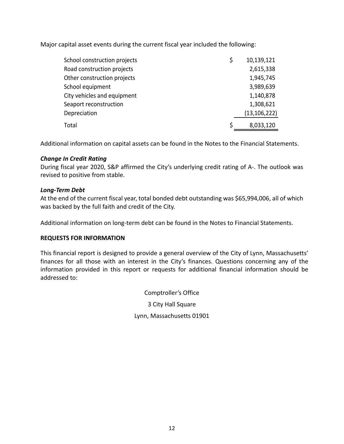Major capital asset events during the current fiscal year included the following:

| School construction projects | \$ | 10,139,121     |
|------------------------------|----|----------------|
| Road construction projects   |    | 2,615,338      |
| Other construction projects  |    | 1,945,745      |
| School equipment             |    | 3,989,639      |
| City vehicles and equipment  |    | 1,140,878      |
| Seaport reconstruction       |    | 1,308,621      |
| Depreciation                 |    | (13, 106, 222) |
| Total                        | S  | 8,033,120      |

Additional information on capital assets can be found in the Notes to the Financial Statements.

## *Change In Credit Rating*

During fiscal year 2020, S&P affirmed the City's underlying credit rating of A‐. The outlook was revised to positive from stable.

## *Long‐Term Debt*

At the end of the current fiscal year, total bonded debt outstanding was \$65,994,006, all of which was backed by the full faith and credit of the City.

Additional information on long‐term debt can be found in the Notes to Financial Statements.

## **REQUESTS FOR INFORMATION**

This financial report is designed to provide a general overview of the City of Lynn, Massachusetts' finances for all those with an interest in the City's finances. Questions concerning any of the information provided in this report or requests for additional financial information should be addressed to:

> Comptroller's Office 3 City Hall Square Lynn, Massachusetts 01901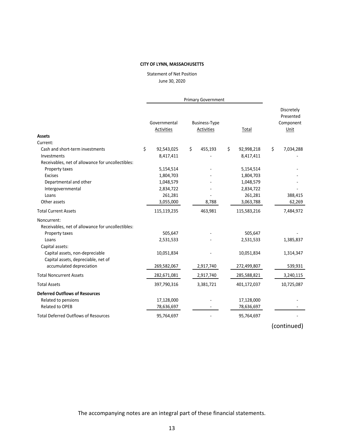June 30, 2020 Statement of Net Position

|                                                                                           |    |                            |    | <b>Primary Government</b>          |                               |                                              |  |
|-------------------------------------------------------------------------------------------|----|----------------------------|----|------------------------------------|-------------------------------|----------------------------------------------|--|
| Assets                                                                                    |    | Governmental<br>Activities |    | <b>Business-Type</b><br>Activities | Total                         | Discretely<br>Presented<br>Component<br>Unit |  |
| Current:                                                                                  |    |                            |    |                                    |                               |                                              |  |
| Cash and short-term investments<br>Investments                                            | \$ | 92,543,025<br>8,417,411    | \$ | 455,193                            | \$<br>92,998,218<br>8,417,411 | \$<br>7,034,288                              |  |
| Receivables, net of allowance for uncollectibles:                                         |    |                            |    |                                    |                               |                                              |  |
| Property taxes                                                                            |    | 5,154,514                  |    |                                    | 5,154,514                     |                                              |  |
| Excises                                                                                   |    | 1,804,703                  |    |                                    | 1,804,703                     |                                              |  |
| Departmental and other                                                                    |    | 1,048,579                  |    |                                    | 1,048,579                     |                                              |  |
| Intergovernmental<br>Loans                                                                |    | 2,834,722                  |    |                                    | 2,834,722                     |                                              |  |
| Other assets                                                                              |    | 261,281<br>3,055,000       |    | 8,788                              | 261,281<br>3,063,788          | 388,415<br>62,269                            |  |
| <b>Total Current Assets</b>                                                               |    | 115,119,235                |    | 463,981                            | 115,583,216                   | 7,484,972                                    |  |
| Noncurrent:<br>Receivables, net of allowance for uncollectibles:                          |    |                            |    |                                    |                               |                                              |  |
| Property taxes                                                                            |    | 505,647                    |    |                                    | 505,647                       |                                              |  |
| Loans                                                                                     |    | 2,531,533                  |    |                                    | 2,531,533                     | 1,385,837                                    |  |
| Capital assets:<br>Capital assets, non-depreciable<br>Capital assets, depreciable, net of |    | 10,051,834                 |    |                                    | 10,051,834                    | 1,314,347                                    |  |
| accumulated depreciation                                                                  |    | 269,582,067                |    | 2,917,740                          | 272,499,807                   | 539,931                                      |  |
| <b>Total Noncurrent Assets</b>                                                            |    | 282,671,081                |    | 2,917,740                          | 285,588,821                   | 3,240,115                                    |  |
| <b>Total Assets</b>                                                                       |    | 397,790,316                |    | 3,381,721                          | 401,172,037                   | 10,725,087                                   |  |
| <b>Deferred Outflows of Resources</b>                                                     |    |                            |    |                                    |                               |                                              |  |
| Related to pensions                                                                       |    | 17,128,000                 |    |                                    | 17,128,000                    |                                              |  |
| <b>Related to OPEB</b>                                                                    |    | 78,636,697                 |    |                                    | 78,636,697                    |                                              |  |
| <b>Total Deferred Outflows of Resources</b>                                               |    | 95,764,697                 |    |                                    | 95,764,697                    |                                              |  |

(continued)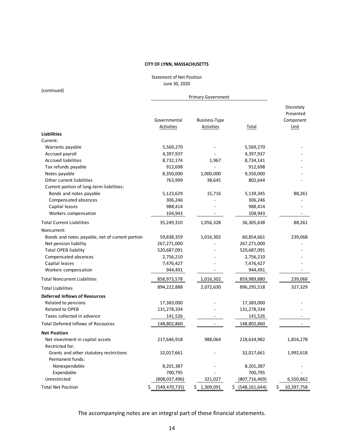June 30, 2020 Statement of Net Position

(continued)

|                                                                                |                       | <b>Primary Government</b> |                      |                                      |
|--------------------------------------------------------------------------------|-----------------------|---------------------------|----------------------|--------------------------------------|
|                                                                                | Governmental          | <b>Business-Type</b>      |                      | Discretely<br>Presented<br>Component |
|                                                                                | Activities            | Activities                | Total                | Unit                                 |
| <b>Liabilities</b>                                                             |                       |                           |                      |                                      |
| Current:                                                                       |                       |                           |                      |                                      |
| Warrants payable                                                               | 5,569,270             |                           | 5,569,270            |                                      |
| Accrued payroll                                                                | 4,397,937             |                           | 4,397,937            |                                      |
| <b>Accrued liabilities</b>                                                     | 8,732,174             | 1,967                     | 8,734,141            |                                      |
| Tax refunds payable                                                            | 912,698               |                           | 912,698              |                                      |
| Notes payable                                                                  | 8,350,000             | 1,000,000                 | 9,350,000            |                                      |
| Other current liabilities                                                      | 763,999               | 38,645                    | 802,644              |                                      |
| Current portion of long-term liabilities:                                      |                       |                           |                      |                                      |
| Bonds and notes payable                                                        | 5,123,629             | 15,716                    | 5,139,345            | 88,261                               |
| Compensated absences                                                           | 306,246               |                           | 306,246              |                                      |
| Capital leases                                                                 | 988,414               |                           | 988,414              |                                      |
| Workers compensation                                                           | 104,943               |                           | 104,943              |                                      |
| <b>Total Current Liabilities</b>                                               | 35,249,310            | 1,056,328                 | 36,305,638           | 88,261                               |
| Noncurrent:                                                                    |                       |                           |                      |                                      |
| Bonds and notes payable, net of current portion                                | 59,838,359            | 1,016,302                 | 60,854,661           | 239,068                              |
| Net pension liability                                                          | 267,271,000           |                           | 267,271,000          |                                      |
| <b>Total OPEB liability</b>                                                    | 520,687,091           |                           | 520,687,091          |                                      |
| Compensated absences                                                           | 2,756,210             |                           | 2,756,210            |                                      |
| Capital leases                                                                 | 7,476,427             |                           | 7,476,427            |                                      |
| Workers compensation                                                           | 944,491               |                           | 944,491              |                                      |
| <b>Total Noncurrent Liabilities</b>                                            | 858,973,578           | 1,016,302                 | 859,989,880          | 239,068                              |
| <b>Total Liabilities</b>                                                       | 894,222,888           | 2,072,630                 | 896,295,518          | 327,329                              |
| <b>Deferred Inflows of Resources</b>                                           |                       |                           |                      |                                      |
| Related to pensions                                                            | 17,383,000            |                           | 17,383,000           |                                      |
| Related to OPEB                                                                | 131,278,334           |                           | 131,278,334          |                                      |
| Taxes collected in advance                                                     | 141,526               |                           | 141,526              |                                      |
| <b>Total Deferred Inflows of Resources</b>                                     | 148,802,860           |                           | 148,802,860          |                                      |
| <b>Net Position</b>                                                            |                       |                           |                      |                                      |
| Net investment in capital assets                                               | 217,646,918           | 988,064                   | 218,634,982          | 1,854,278                            |
| Restricted for:<br>Grants and other statutory restrictions<br>Permanent funds: | 32,017,661            |                           | 32,017,661           | 1,992,618                            |
|                                                                                |                       |                           |                      |                                      |
| Nonexpendable<br>Expendable                                                    | 8,201,387<br>700,795  |                           | 8,201,387<br>700,795 |                                      |
| Unrestricted                                                                   | (808, 037, 496)       | 321,027                   | (807, 716, 469)      | 6,550,862                            |
|                                                                                |                       |                           |                      |                                      |
| <b>Total Net Position</b>                                                      | (549, 470, 735)<br>\$ | \$1,309,091               | $$$ (548,161,644)    | 10,397,758<br>\$                     |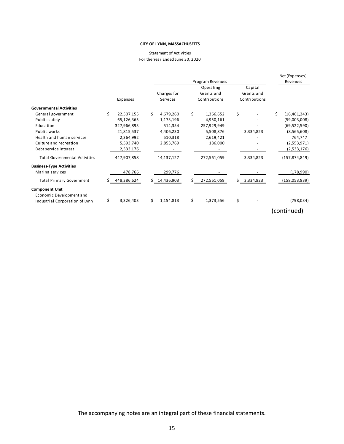#### For the Year Ended June 30, 2020 Statement of Activities

|                                                   |    |                 |                 |    | Program Revenues |               | Net (Expenses)<br>Revenues |
|---------------------------------------------------|----|-----------------|-----------------|----|------------------|---------------|----------------------------|
|                                                   |    |                 |                 |    | Operating        | Capital       |                            |
|                                                   |    |                 | Charges for     |    | Grants and       | Grants and    |                            |
|                                                   |    | <b>Expenses</b> | Services        |    | Contributions    | Contributions |                            |
| <b>Governmental Activities</b>                    |    |                 |                 |    |                  |               |                            |
| General government                                | Ś. | 22,507,155      | \$<br>4,679,260 | \$ | 1,366,652        | \$            | \$<br>(16, 461, 243)       |
| Public safety                                     |    | 65,126,365      | 1,173,196       |    | 4,950,161        |               | (59,003,008)               |
| Education                                         |    | 327,966,893     | 514,354         |    | 257,929,949      |               | (69, 522, 590)             |
| Public works                                      |    | 21,815,537      | 4,406,230       |    | 5,508,876        | 3,334,823     | (8,565,608)                |
| Health and human services                         |    | 2,364,992       | 510,318         |    | 2,619,421        |               | 764,747                    |
| Culture and recreation                            |    | 5,593,740       | 2,853,769       |    | 186,000          |               | (2,553,971)                |
| Debt service interest                             |    | 2,533,176       |                 |    |                  |               | (2,533,176)                |
| <b>Total Governmental Activities</b>              |    | 447,907,858     | 14,137,127      |    | 272,561,059      | 3,334,823     | (157, 874, 849)            |
| <b>Business-Type Activities</b>                   |    |                 |                 |    |                  |               |                            |
| Marina services                                   |    | 478,766         | 299,776         |    |                  |               | (178,990)                  |
| <b>Total Primary Government</b>                   | S. | 448,386,624     | \$14,436,903    | Ś  | 272,561,059      | \$3,334,823   | (158,053,839)              |
| <b>Component Unit</b><br>Economic Development and |    |                 |                 |    |                  |               |                            |
| Industrial Corporation of Lynn                    |    | 3,326,403       | \$<br>1,154,813 |    | 1,373,556        |               | (798,034)                  |

(continued)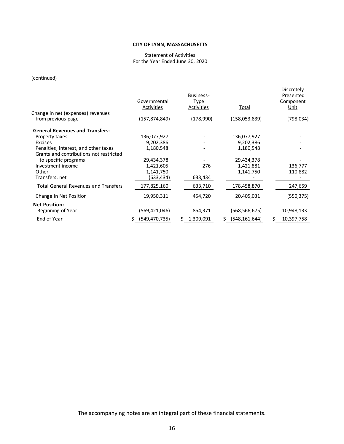#### Statement of Activities For the Year Ended June 30, 2020

### (continued)

|                                                         | Governmental<br>Activities | Business-<br>Type<br>Activities | Total           | Discretely<br>Presented<br>Component<br>Unit |
|---------------------------------------------------------|----------------------------|---------------------------------|-----------------|----------------------------------------------|
| Change in net (expenses) revenues<br>from previous page | (157,874,849)              | (178,990)                       | (158,053,839)   | (798, 034)                                   |
|                                                         |                            |                                 |                 |                                              |
| <b>General Revenues and Transfers:</b>                  |                            |                                 |                 |                                              |
| Property taxes                                          | 136,077,927                |                                 | 136,077,927     |                                              |
| <b>Excises</b>                                          | 9,202,386                  |                                 | 9,202,386       |                                              |
| Penalties, interest, and other taxes                    | 1,180,548                  |                                 | 1,180,548       |                                              |
| Grants and contributions not restricted                 |                            |                                 |                 |                                              |
| to specific programs                                    | 29,434,378                 |                                 | 29,434,378      |                                              |
| Investment income                                       | 1,421,605                  | 276                             | 1,421,881       | 136,777                                      |
| Other                                                   | 1,141,750                  |                                 | 1,141,750       | 110,882                                      |
| Transfers, net                                          | (633,434)                  | 633,434                         |                 |                                              |
| <b>Total General Revenues and Transfers</b>             | 177,825,160                | 633,710                         | 178,458,870     | 247,659                                      |
| Change in Net Position                                  | 19,950,311                 | 454,720                         | 20,405,031      | (550, 375)                                   |
| <b>Net Position:</b>                                    |                            |                                 |                 |                                              |
| Beginning of Year                                       | (569,421,046)              | 854,371                         | (568,566,675)   | 10,948,133                                   |
| End of Year                                             | (549, 470, 735)            | \$<br>1,309,091                 | (548, 161, 644) | 10,397,758<br>Ś.                             |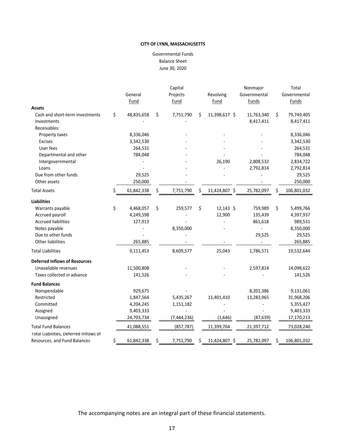June 30, 2020 Balance Sheet Governmental Funds

|                                        |                  |     | Capital       |    |               | Nonmajor     |    | Total        |
|----------------------------------------|------------------|-----|---------------|----|---------------|--------------|----|--------------|
|                                        | General          |     | Projects      |    | Revolving     | Governmental |    | Governmental |
|                                        | Fund             |     | Fund          |    | Fund          | <b>Funds</b> |    | <b>Funds</b> |
| <b>Assets</b>                          |                  |     |               |    |               |              |    |              |
| Cash and short-term investments        | \$<br>48,835,658 | \$  | 7,751,790     | \$ | 11,398,617 \$ | 11,763,340   | \$ | 79,749,405   |
| Investments                            |                  |     |               |    |               | 8,417,411    |    | 8,417,411    |
| Receivables:                           |                  |     |               |    |               |              |    |              |
| Property taxes                         | 8,336,046        |     |               |    |               |              |    | 8,336,046    |
| <b>Excises</b>                         | 3,342,530        |     |               |    |               |              |    | 3,342,530    |
| User fees                              | 264,531          |     |               |    |               |              |    | 264,531      |
| Departmental and other                 | 784,048          |     |               |    |               |              |    | 784,048      |
| Intergovernmental                      |                  |     |               |    | 26,190        | 2,808,532    |    | 2,834,722    |
| Loans                                  |                  |     |               |    |               | 2,792,814    |    | 2,792,814    |
| Due from other funds                   | 29,525           |     |               |    |               |              |    | 29,525       |
| Other assets                           | 250,000          |     |               |    |               |              |    | 250,000      |
| <b>Total Assets</b>                    | \$<br>61,842,338 | \$. | 7,751,790     | Ś  | 11,424,807 \$ | 25,782,097   | Ś  | 106,801,032  |
| <b>Liabilities</b>                     |                  |     |               |    |               |              |    |              |
| Warrants payable                       | \$<br>4,468,057  | \$  | 259,577       | \$ | 12,143 \$     | 759,989      | \$ | 5,499,766    |
| Accrued payroll                        | 4,249,598        |     |               |    | 12,900        | 135,439      |    | 4,397,937    |
| <b>Accrued liabilities</b>             | 127,913          |     |               |    |               | 861,618      |    | 989,531      |
| Notes payable                          |                  |     | 8,350,000     |    |               |              |    | 8,350,000    |
| Due to other funds                     |                  |     |               |    |               | 29,525       |    | 29,525       |
| Other liabilities                      | 265,885          |     |               |    |               |              |    | 265,885      |
| <b>Total Liabilities</b>               | 9,111,453        |     | 8,609,577     |    | 25,043        | 1,786,571    |    | 19,532,644   |
| <b>Deferred Inflows of Resources</b>   |                  |     |               |    |               |              |    |              |
| Unavailable revenues                   | 11,500,808       |     |               |    |               | 2,597,814    |    | 14,098,622   |
| Taxes collected in advance             | 141,526          |     |               |    |               |              |    | 141,526      |
| <b>Fund Balances</b>                   |                  |     |               |    |               |              |    |              |
| Nonspendable                           | 929,675          |     |               |    |               | 8,201,386    |    | 9,131,061    |
| Restricted                             | 1,847,564        |     | 5,435,267     |    | 11,401,410    | 13,283,965   |    | 31,968,206   |
| Committed                              | 4,204,245        |     | 1,151,182     |    |               |              |    | 5,355,427    |
| Assigned                               | 9,403,333        |     |               |    |               |              |    | 9,403,333    |
| Unassigned                             | 24,703,734       |     | (7, 444, 236) |    | (1,646)       | (87, 639)    |    | 17,170,213   |
| <b>Total Fund Balances</b>             | 41,088,551       |     | (857, 787)    |    | 11,399,764    | 21,397,712   |    | 73,028,240   |
| Total Liabilities, Deferred Inflows of |                  |     |               |    |               |              |    |              |
| Resources, and Fund Balances           | \$<br>61,842,338 | \$  | 7,751,790     | \$ | 11,424,807 \$ | 25,782,097   | \$ | 106,801,032  |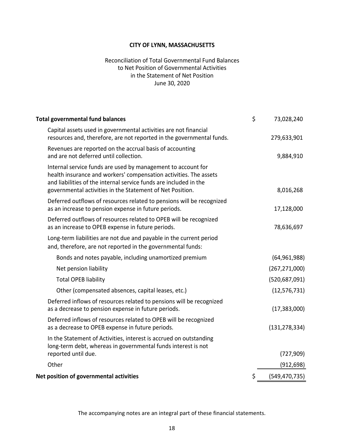### June 30, 2020 Reconciliation of Total Governmental Fund Balances to Net Position of Governmental Activities in the Statement of Net Position

| <b>Total governmental fund balances</b>                                                                                                                                                                                                                             | \$<br>73,028,240      |
|---------------------------------------------------------------------------------------------------------------------------------------------------------------------------------------------------------------------------------------------------------------------|-----------------------|
| Capital assets used in governmental activities are not financial<br>resources and, therefore, are not reported in the governmental funds.                                                                                                                           | 279,633,901           |
| Revenues are reported on the accrual basis of accounting<br>and are not deferred until collection.                                                                                                                                                                  | 9,884,910             |
| Internal service funds are used by management to account for<br>health insurance and workers' compensation activities. The assets<br>and liabilities of the internal service funds are included in the<br>governmental activities in the Statement of Net Position. | 8,016,268             |
| Deferred outflows of resources related to pensions will be recognized<br>as an increase to pension expense in future periods.                                                                                                                                       | 17,128,000            |
| Deferred outflows of resources related to OPEB will be recognized<br>as an increase to OPEB expense in future periods.                                                                                                                                              | 78,636,697            |
| Long-term liabilities are not due and payable in the current period<br>and, therefore, are not reported in the governmental funds:                                                                                                                                  |                       |
| Bonds and notes payable, including unamortized premium                                                                                                                                                                                                              | (64, 961, 988)        |
| Net pension liability                                                                                                                                                                                                                                               | (267, 271, 000)       |
| <b>Total OPEB liability</b>                                                                                                                                                                                                                                         | (520, 687, 091)       |
| Other (compensated absences, capital leases, etc.)                                                                                                                                                                                                                  | (12, 576, 731)        |
| Deferred inflows of resources related to pensions will be recognized<br>as a decrease to pension expense in future periods.                                                                                                                                         | (17, 383, 000)        |
| Deferred inflows of resources related to OPEB will be recognized<br>as a decrease to OPEB expense in future periods.                                                                                                                                                | (131, 278, 334)       |
| In the Statement of Activities, interest is accrued on outstanding<br>long-term debt, whereas in governmental funds interest is not                                                                                                                                 |                       |
| reported until due.                                                                                                                                                                                                                                                 | (727, 909)            |
| Other                                                                                                                                                                                                                                                               | (912, 698)            |
| Net position of governmental activities                                                                                                                                                                                                                             | \$<br>(549, 470, 735) |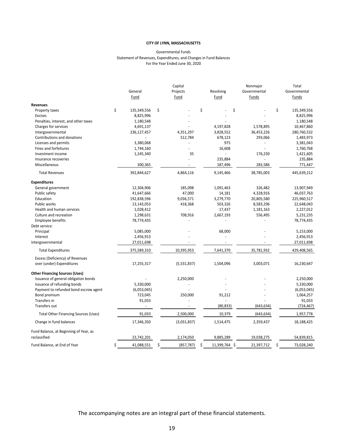#### For the Year Ended June 30, 2020 Governmental Funds Statement of Revenues, Expenditures, and Changes in Fund Balances

|                                             |                   | Capital          |                     | Nonmajor     | Total             |
|---------------------------------------------|-------------------|------------------|---------------------|--------------|-------------------|
|                                             | General           | Projects         | Revolving           | Governmental | Governmental      |
|                                             | Fund              | Fund             | <b>Fund</b>         | <b>Funds</b> | <b>Funds</b>      |
| <b>Revenues</b>                             |                   |                  |                     |              |                   |
| Property taxes                              | \$<br>135,349,556 | \$               | \$                  | \$           | \$<br>135,349,556 |
| <b>Excises</b>                              | 8,825,996         |                  |                     |              | 8,825,996         |
| Penalties, interest, and other taxes        | 1,180,548         |                  |                     |              | 1,180,548         |
| Charges for services                        | 4,691,137         |                  | 4,197,828           | 1,578,895    | 10,467,860        |
| Intergovernmental                           | 236,127,457       | 4,351,297        | 3,828,552           | 36,453,226   | 280,760,532       |
| Contributions and donations                 |                   | 512,784          | 678,123             | 293,066      | 1,483,973         |
| Licenses and permits                        | 3,380,068         | ä,               | 975                 |              | 3,381,043         |
| Fines and forfeitures                       | 1,744,160         |                  | 16,608              |              | 1,760,768         |
| Investment income                           | 1,245,340         | 35               |                     | 176,230      | 1,421,605         |
| Insurance recoveries                        |                   |                  | 235,884             |              | 235,884           |
| Miscellaneous                               | 300,365           |                  | 187,496             | 283,586      | 771,447           |
| <b>Total Revenues</b>                       | 392,844,627       | 4,864,116        | 9,145,466           | 38,785,003   | 445,639,212       |
| <b>Expenditures</b>                         |                   |                  |                     |              |                   |
| General government                          | 12,304,906        | 185,098          | 1,091,463           | 326,482      | 13,907,949        |
| Public safety                               | 41,647,666        | 47,000           | 14,181              | 4,328,916    | 46,037,763        |
| Education                                   | 192,838,596       | 9,036,571        | 3,279,770           | 20,805,580   | 225,960,517       |
| Public works                                | 13,143,053        | 418,368          | 503,326             | 8,583,296    | 22,648,043        |
| Health and human services                   | 1,028,412         |                  | 17,437              | 1,181,163    | 2,227,012         |
| Culture and recreation                      | 1,298,631         | 708,916          | 2,667,193           | 556,495      | 5,231,235         |
| Employee benefits                           | 78,774,435        |                  |                     |              | 78,774,435        |
| Debt service:                               |                   |                  |                     |              |                   |
| Principal                                   | 5,085,000         |                  | 68,000              |              | 5,153,000         |
| Interest                                    | 2,456,913         |                  |                     |              | 2,456,913         |
| Intergovernmental                           | 27,011,698        |                  |                     |              | 27,011,698        |
| <b>Total Expenditures</b>                   | 375,589,310       | 10,395,953       | 7,641,370           | 35,781,932   | 429,408,565       |
| Excess (Deficiency) of Revenues             |                   |                  |                     |              |                   |
| over (under) Expenditures                   | 17,255,317        | (5,531,837)      | 1,504,096           | 3,003,071    | 16,230,647        |
| <b>Other Financing Sources (Uses)</b>       |                   |                  |                     |              |                   |
| Issuance of general obligation bonds        |                   | 2,250,000        |                     |              | 2,250,000         |
| Issuance of refunding bonds                 | 5,330,000         |                  |                     |              | 5,330,000         |
| Payment to refunded bond escrow agent       | (6,053,045)       |                  |                     |              | (6,053,045)       |
| Bond premium                                | 723,045           | 250,000          | 91,212              |              | 1,064,257         |
| Transfers in                                | 91,033            |                  |                     |              | 91,033            |
| Transfers out                               |                   |                  | (80, 833)           | (643, 634)   | (724, 467)        |
| <b>Total Other Financing Sources (Uses)</b> | 91,033            | 2,500,000        | 10,379              | (643, 634)   | 1,957,778         |
| Change in fund balances                     | 17,346,350        | (3,031,837)      | 1,514,475           | 2,359,437    | 18,188,425        |
| Fund Balance, at Beginning of Year, as      |                   |                  |                     |              |                   |
| reclassified                                | 23,742,201        | 2,174,050        | 9,885,289           | 19,038,275   | 54,839,815        |
| Fund Balance, at End of Year                | \$<br>41,088,551  | \$<br>(857, 787) | \$<br>11,399,764 \$ | 21,397,712   | \$<br>73,028,240  |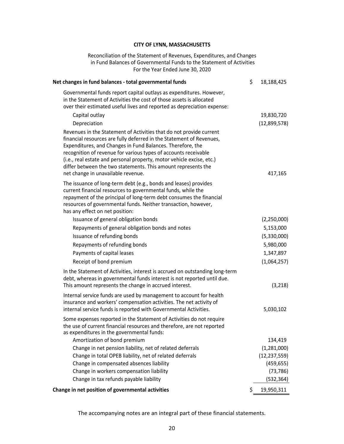Reconciliation of the Statement of Revenues, Expenditures, and Changes in Fund Balances of Governmental Funds to the Statement of Activities For the Year Ended June 30, 2020

| Net changes in fund balances - total governmental funds                                                                                                                                                                                                                                                                                                                                                                                                      | \$<br>18,188,425 |
|--------------------------------------------------------------------------------------------------------------------------------------------------------------------------------------------------------------------------------------------------------------------------------------------------------------------------------------------------------------------------------------------------------------------------------------------------------------|------------------|
| Governmental funds report capital outlays as expenditures. However,<br>in the Statement of Activities the cost of those assets is allocated<br>over their estimated useful lives and reported as depreciation expense:                                                                                                                                                                                                                                       |                  |
| Capital outlay                                                                                                                                                                                                                                                                                                                                                                                                                                               | 19,830,720       |
| Depreciation                                                                                                                                                                                                                                                                                                                                                                                                                                                 | (12,899,578)     |
| Revenues in the Statement of Activities that do not provide current<br>financial resources are fully deferred in the Statement of Revenues,<br>Expenditures, and Changes in Fund Balances. Therefore, the<br>recognition of revenue for various types of accounts receivable<br>(i.e., real estate and personal property, motor vehicle excise, etc.)<br>differ between the two statements. This amount represents the<br>net change in unavailable revenue. | 417,165          |
| The issuance of long-term debt (e.g., bonds and leases) provides<br>current financial resources to governmental funds, while the<br>repayment of the principal of long-term debt consumes the financial<br>resources of governmental funds. Neither transaction, however,<br>has any effect on net position:                                                                                                                                                 |                  |
| Issuance of general obligation bonds                                                                                                                                                                                                                                                                                                                                                                                                                         | (2,250,000)      |
| Repayments of general obligation bonds and notes                                                                                                                                                                                                                                                                                                                                                                                                             | 5,153,000        |
| Issuance of refunding bonds                                                                                                                                                                                                                                                                                                                                                                                                                                  | (5,330,000)      |
| Repayments of refunding bonds                                                                                                                                                                                                                                                                                                                                                                                                                                | 5,980,000        |
| Payments of capital leases                                                                                                                                                                                                                                                                                                                                                                                                                                   | 1,347,897        |
| Receipt of bond premium                                                                                                                                                                                                                                                                                                                                                                                                                                      | (1,064,257)      |
| In the Statement of Activities, interest is accrued on outstanding long-term<br>debt, whereas in governmental funds interest is not reported until due.<br>This amount represents the change in accrued interest.                                                                                                                                                                                                                                            | (3,218)          |
| Internal service funds are used by management to account for health<br>insurance and workers' compensation activities. The net activity of<br>internal service funds is reported with Governmental Activities.                                                                                                                                                                                                                                               | 5,030,102        |
| Some expenses reported in the Statement of Activities do not require<br>the use of current financial resources and therefore, are not reported<br>as expenditures in the governmental funds:                                                                                                                                                                                                                                                                 |                  |
| Amortization of bond premium                                                                                                                                                                                                                                                                                                                                                                                                                                 | 134,419          |
| Change in net pension liability, net of related deferrals                                                                                                                                                                                                                                                                                                                                                                                                    | (1, 281, 000)    |
| Change in total OPEB liability, net of related deferrals                                                                                                                                                                                                                                                                                                                                                                                                     | (12, 237, 559)   |
| Change in compensated absences liability                                                                                                                                                                                                                                                                                                                                                                                                                     | (459, 655)       |
| Change in workers compensation liability                                                                                                                                                                                                                                                                                                                                                                                                                     | (73, 786)        |
| Change in tax refunds payable liability                                                                                                                                                                                                                                                                                                                                                                                                                      | (532, 364)       |
| Change in net position of governmental activities                                                                                                                                                                                                                                                                                                                                                                                                            | \$<br>19,950,311 |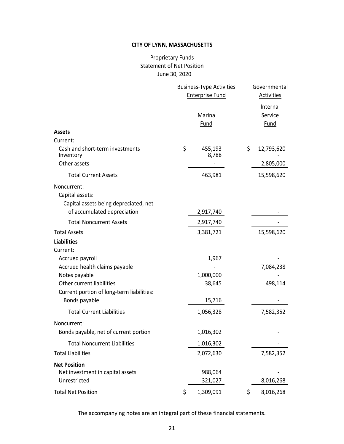## June 30, 2020 Proprietary Funds Statement of Net Position

|                                                                                                        | <b>Business-Type Activities</b><br><b>Enterprise Fund</b> | Governmental<br><b>Activities</b>  |
|--------------------------------------------------------------------------------------------------------|-----------------------------------------------------------|------------------------------------|
|                                                                                                        | Marina<br><b>Fund</b>                                     | Internal<br>Service<br><b>Fund</b> |
| <b>Assets</b>                                                                                          |                                                           |                                    |
| Current:                                                                                               |                                                           |                                    |
| Cash and short-term investments<br>Inventory                                                           | \$<br>455,193<br>8,788                                    | \$<br>12,793,620                   |
| Other assets                                                                                           |                                                           | 2,805,000                          |
| <b>Total Current Assets</b>                                                                            | 463,981                                                   | 15,598,620                         |
| Noncurrent:<br>Capital assets:<br>Capital assets being depreciated, net<br>of accumulated depreciation | 2,917,740                                                 |                                    |
| <b>Total Noncurrent Assets</b>                                                                         | 2,917,740                                                 |                                    |
| <b>Total Assets</b>                                                                                    | 3,381,721                                                 | 15,598,620                         |
| <b>Liabilities</b>                                                                                     |                                                           |                                    |
| Current:                                                                                               |                                                           |                                    |
| Accrued payroll                                                                                        | 1,967                                                     |                                    |
| Accrued health claims payable                                                                          |                                                           | 7,084,238                          |
| Notes payable                                                                                          | 1,000,000                                                 |                                    |
| Other current liabilities                                                                              | 38,645                                                    | 498,114                            |
| Current portion of long-term liabilities:                                                              |                                                           |                                    |
| Bonds payable                                                                                          | 15,716                                                    |                                    |
| <b>Total Current Liabilities</b>                                                                       | 1,056,328                                                 | 7,582,352                          |
| Noncurrent:                                                                                            |                                                           |                                    |
| Bonds payable, net of current portion                                                                  | 1,016,302                                                 |                                    |
| <b>Total Noncurrent Liabilities</b>                                                                    | 1,016,302                                                 |                                    |
| <b>Total Liabilities</b>                                                                               | 2,072,630                                                 | 7,582,352                          |
| <b>Net Position</b><br>Net investment in capital assets<br>Unrestricted                                | 988,064<br>321,027                                        | 8,016,268                          |
|                                                                                                        |                                                           |                                    |
| <b>Total Net Position</b>                                                                              | \$<br>1,309,091                                           | \$<br>8,016,268                    |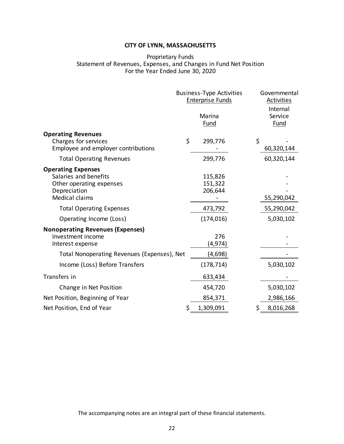### Proprietary Funds Statement of Revenues, Expenses, and Changes in Fund Net Position For the Year Ended June 30, 2020

|                                                                                                                         | <b>Business-Type Activities</b><br><b>Enterprise Funds</b><br>Marina<br><b>Fund</b> | Governmental<br><b>Activities</b><br>Internal<br>Service<br><b>Fund</b> |
|-------------------------------------------------------------------------------------------------------------------------|-------------------------------------------------------------------------------------|-------------------------------------------------------------------------|
| <b>Operating Revenues</b><br>Charges for services<br>Employee and employer contributions                                | \$<br>299,776                                                                       | \$<br>60,320,144                                                        |
| <b>Total Operating Revenues</b>                                                                                         | 299,776                                                                             | 60,320,144                                                              |
| <b>Operating Expenses</b><br>Salaries and benefits<br>Other operating expenses<br>Depreciation<br><b>Medical claims</b> | 115,826<br>151,322<br>206,644                                                       | 55,290,042                                                              |
| <b>Total Operating Expenses</b>                                                                                         | 473,792                                                                             | 55,290,042                                                              |
| Operating Income (Loss)                                                                                                 | (174, 016)                                                                          | 5,030,102                                                               |
| <b>Nonoperating Revenues (Expenses)</b><br>Investment income<br>Interest expense                                        | 276<br>(4, 974)                                                                     |                                                                         |
| Total Nonoperating Revenues (Expenses), Net                                                                             | (4,698)                                                                             |                                                                         |
| Income (Loss) Before Transfers                                                                                          | (178, 714)                                                                          | 5,030,102                                                               |
| Transfers in                                                                                                            | 633,434                                                                             |                                                                         |
| Change in Net Position                                                                                                  | 454,720                                                                             | 5,030,102                                                               |
| Net Position, Beginning of Year                                                                                         | 854,371                                                                             | 2,986,166                                                               |
| Net Position, End of Year                                                                                               | \$<br>1,309,091                                                                     | \$<br>8,016,268                                                         |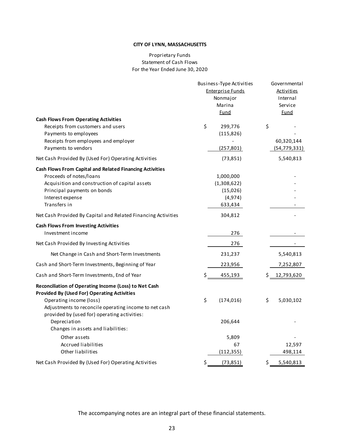### For the Year Ended June 30, 2020 Proprietary Funds Statement of Cash Flows

|                                                                                                                                                                                                 | Business-Type Activities |            | Governmental      |
|-------------------------------------------------------------------------------------------------------------------------------------------------------------------------------------------------|--------------------------|------------|-------------------|
|                                                                                                                                                                                                 | <b>Enterprise Funds</b>  |            | <b>Activities</b> |
|                                                                                                                                                                                                 | Nonmajor                 |            | Internal          |
|                                                                                                                                                                                                 | Marina                   |            | Service           |
|                                                                                                                                                                                                 | Fund                     |            | <u>Fund</u>       |
| <b>Cash Flows From Operating Activities</b>                                                                                                                                                     |                          |            |                   |
| Receipts from customers and users                                                                                                                                                               | \$<br>299,776            |            | \$                |
| Payments to employees                                                                                                                                                                           | (115, 826)               |            |                   |
| Receipts from employees and employer                                                                                                                                                            |                          |            | 60,320,144        |
| Payments to vendors                                                                                                                                                                             |                          | (257, 801) | (54, 779, 331)    |
| Net Cash Provided By (Used For) Operating Activities                                                                                                                                            |                          | (73, 851)  | 5,540,813         |
| <b>Cash Flows From Capital and Related Financing Activities</b>                                                                                                                                 |                          |            |                   |
| Proceeds of notes/loans                                                                                                                                                                         | 1,000,000                |            |                   |
| Acquisition and construction of capital assets                                                                                                                                                  | (1,308,622)              |            |                   |
| Principal payments on bonds                                                                                                                                                                     |                          | (15,026)   |                   |
| Interest expense                                                                                                                                                                                |                          | (4, 974)   |                   |
| Transfers in                                                                                                                                                                                    |                          | 633,434    |                   |
| Net Cash Provided By Capital and Related Financing Activities                                                                                                                                   | 304,812                  |            |                   |
| <b>Cash Flows From Investing Activities</b>                                                                                                                                                     |                          |            |                   |
| Investment income                                                                                                                                                                               |                          | 276        |                   |
| Net Cash Provided By Investing Activities                                                                                                                                                       |                          | 276        |                   |
| Net Change in Cash and Short-Term Investments                                                                                                                                                   | 231,237                  |            | 5,540,813         |
| Cash and Short-Term Investments, Beginning of Year                                                                                                                                              |                          | 223,956    | 7,252,807         |
| Cash and Short-Term Investments, End of Year                                                                                                                                                    | \$                       | 455,193    | \$<br>12,793,620  |
| Reconciliation of Operating Income (Loss) to Net Cash<br><b>Provided By (Used For) Operating Activities</b><br>Operating income (loss)<br>Adjustments to reconcile operating income to net cash | \$<br>(174, 016)         |            | \$<br>5,030,102   |
| provided by (used for) operating activities:<br>Depreciation<br>Changes in assets and liabilities:                                                                                              | 206,644                  |            |                   |
| Other assets                                                                                                                                                                                    |                          | 5,809      |                   |
| <b>Accrued liabilities</b>                                                                                                                                                                      |                          | 67         | 12,597            |
| Other liabilities                                                                                                                                                                               |                          | (112, 355) | 498,114           |
| Net Cash Provided By (Used For) Operating Activities                                                                                                                                            | \$                       | (73, 851)  | \$<br>5,540,813   |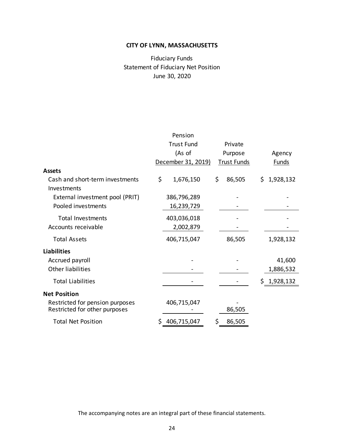## Fiduciary Funds Statement of Fiduciary Net Position June 30, 2020

|                                                                  | Pension            |                    |                  |
|------------------------------------------------------------------|--------------------|--------------------|------------------|
|                                                                  | <b>Trust Fund</b>  | Private            |                  |
|                                                                  | (As of             | Purpose            | Agency           |
|                                                                  | December 31, 2019) | <b>Trust Funds</b> | Funds            |
| <b>Assets</b>                                                    |                    |                    |                  |
| Cash and short-term investments<br>Investments                   | \$<br>1,676,150    | \$<br>86,505       | \$.<br>1,928,132 |
| External investment pool (PRIT)                                  | 386,796,289        |                    |                  |
| Pooled investments                                               | 16,239,729         |                    |                  |
| <b>Total Investments</b>                                         | 403,036,018        |                    |                  |
| Accounts receivable                                              | 2,002,879          |                    |                  |
| <b>Total Assets</b>                                              | 406,715,047        | 86,505             | 1,928,132        |
| <b>Liabilities</b>                                               |                    |                    |                  |
| Accrued payroll                                                  |                    |                    | 41,600           |
| <b>Other liabilities</b>                                         |                    |                    | 1,886,532        |
| <b>Total Liabilities</b>                                         |                    |                    | \$1,928,132      |
| <b>Net Position</b>                                              |                    |                    |                  |
| Restricted for pension purposes<br>Restricted for other purposes | 406,715,047        | 86,505             |                  |
| <b>Total Net Position</b>                                        | 406,715,047        | \$<br>86,505       |                  |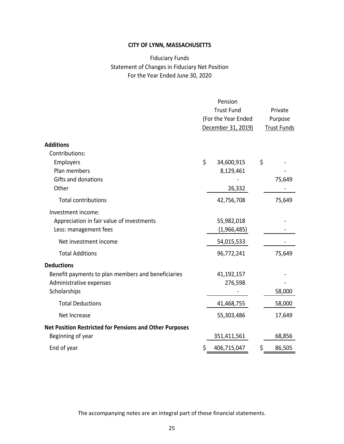## For the Year Ended June 30, 2020 Fiduciary Funds Statement of Changes in Fiduciary Net Position

|                                                                |                                          | Pension            |                    |
|----------------------------------------------------------------|------------------------------------------|--------------------|--------------------|
|                                                                | <b>Trust Fund</b><br>(For the Year Ended |                    | Private            |
|                                                                |                                          |                    | Purpose            |
|                                                                |                                          | December 31, 2019) | <b>Trust Funds</b> |
| <b>Additions</b>                                               |                                          |                    |                    |
| Contributions:                                                 |                                          |                    |                    |
| Employers                                                      | \$                                       | 34,600,915         | \$                 |
| Plan members                                                   |                                          | 8,129,461          |                    |
| Gifts and donations                                            |                                          |                    | 75,649             |
| Other                                                          |                                          | 26,332             |                    |
| <b>Total contributions</b>                                     |                                          | 42,756,708         | 75,649             |
| Investment income:                                             |                                          |                    |                    |
| Appreciation in fair value of investments                      |                                          | 55,982,018         |                    |
| Less: management fees                                          |                                          | (1,966,485)        |                    |
| Net investment income                                          |                                          | 54,015,533         |                    |
| <b>Total Additions</b>                                         |                                          | 96,772,241         | 75,649             |
| <b>Deductions</b>                                              |                                          |                    |                    |
| Benefit payments to plan members and beneficiaries             |                                          | 41,192,157         |                    |
| Administrative expenses                                        |                                          | 276,598            |                    |
| Scholarships                                                   |                                          |                    | 58,000             |
| <b>Total Deductions</b>                                        |                                          | 41,468,755         | 58,000             |
| Net Increase                                                   |                                          | 55,303,486         | 17,649             |
| <b>Net Position Restricted for Pensions and Other Purposes</b> |                                          |                    |                    |
| Beginning of year                                              |                                          | 351,411,561        | 68,856             |
| End of year                                                    | \$                                       | 406,715,047        | \$<br>86,505       |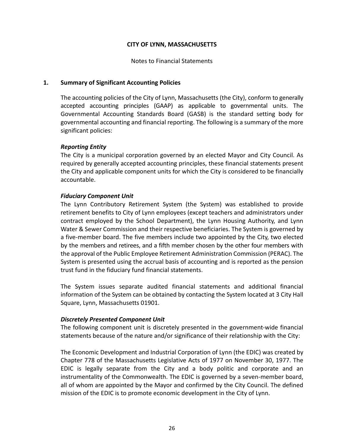Notes to Financial Statements

### **1. Summary of Significant Accounting Policies**

The accounting policies of the City of Lynn, Massachusetts (the City), conform to generally accepted accounting principles (GAAP) as applicable to governmental units. The Governmental Accounting Standards Board (GASB) is the standard setting body for governmental accounting and financial reporting. The following is a summary of the more significant policies:

### *Reporting Entity*

The City is a municipal corporation governed by an elected Mayor and City Council. As required by generally accepted accounting principles, these financial statements present the City and applicable component units for which the City is considered to be financially accountable.

### *Fiduciary Component Unit*

The Lynn Contributory Retirement System (the System) was established to provide retirement benefits to City of Lynn employees (except teachers and administrators under contract employed by the School Department), the Lynn Housing Authority, and Lynn Water & Sewer Commission and their respective beneficiaries. The System is governed by a five-member board. The five members include two appointed by the City, two elected by the members and retirees, and a fifth member chosen by the other four members with the approval of the Public Employee Retirement Administration Commission (PERAC). The System is presented using the accrual basis of accounting and is reported as the pension trust fund in the fiduciary fund financial statements.

The System issues separate audited financial statements and additional financial information of the System can be obtained by contacting the System located at 3 City Hall Square, Lynn, Massachusetts 01901.

### *Discretely Presented Component Unit*

The following component unit is discretely presented in the government‐wide financial statements because of the nature and/or significance of their relationship with the City:

The Economic Development and Industrial Corporation of Lynn (the EDIC) was created by Chapter 778 of the Massachusetts Legislative Acts of 1977 on November 30, 1977. The EDIC is legally separate from the City and a body politic and corporate and an instrumentality of the Commonwealth. The EDIC is governed by a seven-member board, all of whom are appointed by the Mayor and confirmed by the City Council. The defined mission of the EDIC is to promote economic development in the City of Lynn.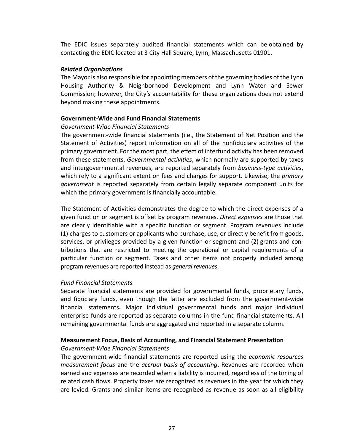The EDIC issues separately audited financial statements which can be obtained by contacting the EDIC located at 3 City Hall Square, Lynn, Massachusetts 01901.

### *Related Organizations*

The Mayor is also responsible for appointing members of the governing bodies of the Lynn Housing Authority & Neighborhood Development and Lynn Water and Sewer Commission; however, the City's accountability for these organizations does not extend beyond making these appointments.

### **Government‐Wide and Fund Financial Statements**

### *Government‐Wide Financial Statements*

The government‐wide financial statements (i.e., the Statement of Net Position and the Statement of Activities) report information on all of the nonfiduciary activities of the primary government. For the most part, the effect of interfund activity has been removed from these statements. *Governmental activities*, which normally are supported by taxes and intergovernmental revenues, are reported separately from *business‐type activities*, which rely to a significant extent on fees and charges for support. Likewise, the *primary government* is reported separately from certain legally separate component units for which the primary government is financially accountable.

The Statement of Activities demonstrates the degree to which the direct expenses of a given function or segment is offset by program revenues. *Direct expenses* are those that are clearly identifiable with a specific function or segment. Program revenues include (1) charges to customers or applicants who purchase, use, or directly benefit from goods, services, or privileges provided by a given function or segment and (2) grants and con‐ tributions that are restricted to meeting the operational or capital requirements of a particular function or segment. Taxes and other items not properly included among program revenues are reported instead as *general revenues*.

### *Fund Financial Statements*

Separate financial statements are provided for governmental funds, proprietary funds, and fiduciary funds, even though the latter are excluded from the government-wide financial statements**.**  Major individual governmental funds and major individual enterprise funds are reported as separate columns in the fund financial statements. All remaining governmental funds are aggregated and reported in a separate column.

## **Measurement Focus, Basis of Accounting, and Financial Statement Presentation**

## *Government‐Wide Financial Statements*

The government‐wide financial statements are reported using the *economic resources measurement focus* and the *accrual basis of accounting*. Revenues are recorded when earned and expenses are recorded when a liability is incurred, regardless of the timing of related cash flows. Property taxes are recognized as revenues in the year for which they are levied. Grants and similar items are recognized as revenue as soon as all eligibility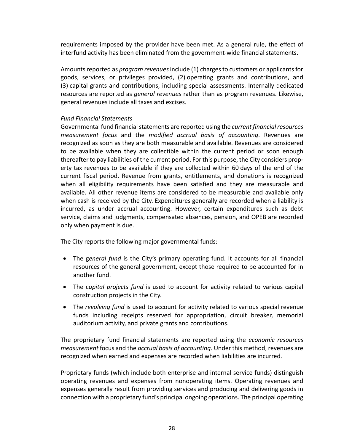requirements imposed by the provider have been met. As a general rule, the effect of interfund activity has been eliminated from the government-wide financial statements.

Amounts reported as *program revenues* include (1) charges to customers or applicants for goods, services, or privileges provided, (2) operating grants and contributions, and (3) capital grants and contributions, including special assessments. Internally dedicated resources are reported as *general revenues* rather than as program revenues. Likewise, general revenues include all taxes and excises.

### *Fund Financial Statements*

Governmental fund financial statements are reported using the *current financial resources measurement focus* and the *modified accrual basis of accounting*. Revenues are recognized as soon as they are both measurable and available. Revenues are considered to be available when they are collectible within the current period or soon enough thereafter to pay liabilities of the current period. For this purpose, the City considers prop‐ erty tax revenues to be available if they are collected within 60 days of the end of the current fiscal period. Revenue from grants, entitlements, and donations is recognized when all eligibility requirements have been satisfied and they are measurable and available. All other revenue items are considered to be measurable and available only when cash is received by the City. Expenditures generally are recorded when a liability is incurred, as under accrual accounting. However, certain expenditures such as debt service, claims and judgments, compensated absences, pension, and OPEB are recorded only when payment is due.

The City reports the following major governmental funds:

- The general fund is the City's primary operating fund. It accounts for all financial resources of the general government, except those required to be accounted for in another fund.
- The *capital projects fund* is used to account for activity related to various capital construction projects in the City.
- The *revolving fund* is used to account for activity related to various special revenue funds including receipts reserved for appropriation, circuit breaker, memorial auditorium activity, and private grants and contributions.

The proprietary fund financial statements are reported using the *economic resources measurement* focus and the *accrual basis of accounting*. Under this method, revenues are recognized when earned and expenses are recorded when liabilities are incurred.

Proprietary funds (which include both enterprise and internal service funds) distinguish operating revenues and expenses from nonoperating items. Operating revenues and expenses generally result from providing services and producing and delivering goods in connection with a proprietary fund's principal ongoing operations. The principal operating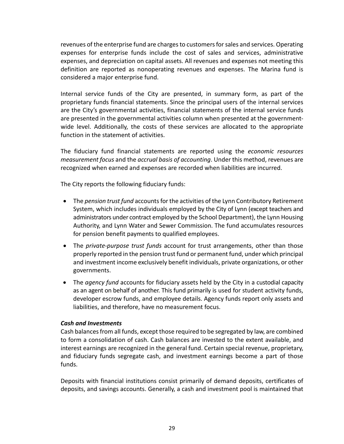revenues of the enterprise fund are charges to customers for sales and services. Operating expenses for enterprise funds include the cost of sales and services, administrative expenses, and depreciation on capital assets. All revenues and expenses not meeting this definition are reported as nonoperating revenues and expenses. The Marina fund is considered a major enterprise fund.

Internal service funds of the City are presented, in summary form, as part of the proprietary funds financial statements. Since the principal users of the internal services are the City's governmental activities, financial statements of the internal service funds are presented in the governmental activities column when presented at the government‐ wide level. Additionally, the costs of these services are allocated to the appropriate function in the statement of activities.

The fiduciary fund financial statements are reported using the *economic resources measurement focus* and the *accrual basis of accounting*. Under this method, revenues are recognized when earned and expenses are recorded when liabilities are incurred.

The City reports the following fiduciary funds:

- The *pension trust fund* accounts for the activities of the Lynn Contributory Retirement System, which includes individuals employed by the City of Lynn (except teachers and administrators under contract employed by the School Department), the Lynn Housing Authority, and Lynn Water and Sewer Commission. The fund accumulates resources for pension benefit payments to qualified employees.
- The *private‐purpose trust funds* account for trust arrangements, other than those properly reported in the pension trust fund or permanent fund, under which principal and investment income exclusively benefit individuals, private organizations, or other governments.
- The *agency fund* accounts for fiduciary assets held by the City in a custodial capacity as an agent on behalf of another. This fund primarily is used for student activity funds, developer escrow funds, and employee details. Agency funds report only assets and liabilities, and therefore, have no measurement focus.

## *Cash and Investments*

Cash balances from all funds, except those required to be segregated by law, are combined to form a consolidation of cash. Cash balances are invested to the extent available, and interest earnings are recognized in the general fund. Certain special revenue, proprietary, and fiduciary funds segregate cash, and investment earnings become a part of those funds.

Deposits with financial institutions consist primarily of demand deposits, certificates of deposits, and savings accounts. Generally, a cash and investment pool is maintained that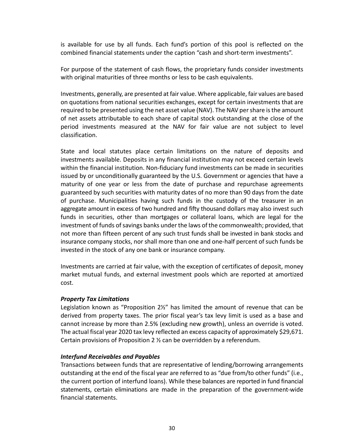is available for use by all funds. Each fund's portion of this pool is reflected on the combined financial statements under the caption "cash and short‐term investments".

For purpose of the statement of cash flows, the proprietary funds consider investments with original maturities of three months or less to be cash equivalents.

Investments, generally, are presented at fair value. Where applicable, fair values are based on quotations from national securities exchanges, except for certain investments that are required to be presented using the net asset value (NAV). The NAV per share is the amount of net assets attributable to each share of capital stock outstanding at the close of the period investments measured at the NAV for fair value are not subject to level classification.

State and local statutes place certain limitations on the nature of deposits and investments available. Deposits in any financial institution may not exceed certain levels within the financial institution. Non‐fiduciary fund investments can be made in securities issued by or unconditionally guaranteed by the U.S. Government or agencies that have a maturity of one year or less from the date of purchase and repurchase agreements guaranteed by such securities with maturity dates of no more than 90 days from the date of purchase. Municipalities having such funds in the custody of the treasurer in an aggregate amount in excess of two hundred and fifty thousand dollars may also invest such funds in securities, other than mortgages or collateral loans, which are legal for the investment of funds of savings banks under the laws of the commonwealth; provided, that not more than fifteen percent of any such trust funds shall be invested in bank stocks and insurance company stocks, nor shall more than one and one‐half percent of such funds be invested in the stock of any one bank or insurance company.

Investments are carried at fair value, with the exception of certificates of deposit, money market mutual funds, and external investment pools which are reported at amortized cost.

### *Property Tax Limitations*

Legislation known as "Proposition 2½" has limited the amount of revenue that can be derived from property taxes. The prior fiscal year's tax levy limit is used as a base and cannot increase by more than 2.5% (excluding new growth), unless an override is voted. The actual fiscal year 2020 tax levy reflected an excess capacity of approximately \$29,671. Certain provisions of Proposition 2 ½ can be overridden by a referendum.

### *Interfund Receivables and Payables*

Transactions between funds that are representative of lending/borrowing arrangements outstanding at the end of the fiscal year are referred to as "due from/to other funds" (i.e., the current portion of interfund loans). While these balances are reported in fund financial statements, certain eliminations are made in the preparation of the government‐wide financial statements.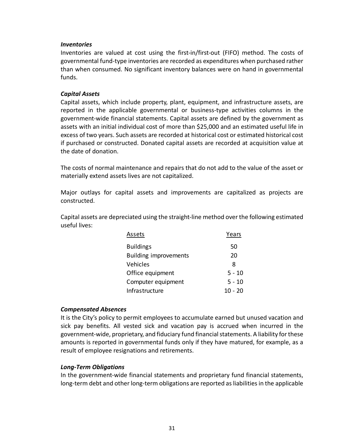### *Inventories*

Inventories are valued at cost using the first‐in/first‐out (FIFO) method. The costs of governmental fund‐type inventories are recorded as expenditures when purchased rather than when consumed. No significant inventory balances were on hand in governmental funds.

### *Capital Assets*

Capital assets, which include property, plant, equipment, and infrastructure assets, are reported in the applicable governmental or business‐type activities columns in the government‐wide financial statements. Capital assets are defined by the government as assets with an initial individual cost of more than \$25,000 and an estimated useful life in excess of two years. Such assets are recorded at historical cost or estimated historical cost if purchased or constructed. Donated capital assets are recorded at acquisition value at the date of donation.

The costs of normal maintenance and repairs that do not add to the value of the asset or materially extend assets lives are not capitalized.

Major outlays for capital assets and improvements are capitalized as projects are constructed.

Capital assets are depreciated using the straight‐line method over the following estimated useful lives:

| Assets                       | Years    |
|------------------------------|----------|
| <b>Buildings</b>             | 50       |
| <b>Building improvements</b> | 20       |
| Vehicles                     | 8        |
| Office equipment             | $5 - 10$ |
| Computer equipment           | $5 - 10$ |
| Infrastructure               | 10 - 20  |
|                              |          |

### *Compensated Absences*

It is the City's policy to permit employees to accumulate earned but unused vacation and sick pay benefits. All vested sick and vacation pay is accrued when incurred in the government‐wide, proprietary, and fiduciary fund financial statements. A liability for these amounts is reported in governmental funds only if they have matured, for example, as a result of employee resignations and retirements.

### *Long‐Term Obligations*

In the government‐wide financial statements and proprietary fund financial statements, long-term debt and other long-term obligations are reported as liabilities in the applicable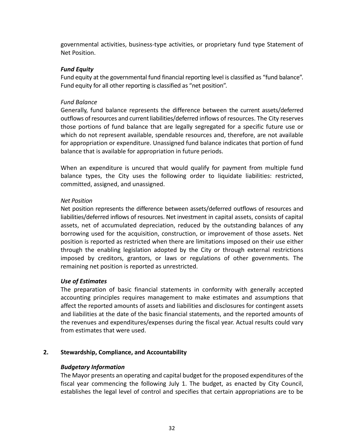governmental activities, business‐type activities, or proprietary fund type Statement of Net Position.

### *Fund Equity*

Fund equity at the governmental fund financial reporting level is classified as "fund balance". Fund equity for all other reporting is classified as "net position".

### *Fund Balance*

Generally, fund balance represents the difference between the current assets/deferred outflows of resources and current liabilities/deferred inflows of resources. The City reserves those portions of fund balance that are legally segregated for a specific future use or which do not represent available, spendable resources and, therefore, are not available for appropriation or expenditure. Unassigned fund balance indicates that portion of fund balance that is available for appropriation in future periods.

When an expenditure is uncured that would qualify for payment from multiple fund balance types, the City uses the following order to liquidate liabilities: restricted, committed, assigned, and unassigned.

### *Net Position*

Net position represents the difference between assets/deferred outflows of resources and liabilities/deferred inflows of resources. Net investment in capital assets, consists of capital assets, net of accumulated depreciation, reduced by the outstanding balances of any borrowing used for the acquisition, construction, or improvement of those assets. Net position is reported as restricted when there are limitations imposed on their use either through the enabling legislation adopted by the City or through external restrictions imposed by creditors, grantors, or laws or regulations of other governments. The remaining net position is reported as unrestricted.

## *Use of Estimates*

The preparation of basic financial statements in conformity with generally accepted accounting principles requires management to make estimates and assumptions that affect the reported amounts of assets and liabilities and disclosures for contingent assets and liabilities at the date of the basic financial statements, and the reported amounts of the revenues and expenditures/expenses during the fiscal year. Actual results could vary from estimates that were used.

## **2. Stewardship, Compliance, and Accountability**

### *Budgetary Information*

The Mayor presents an operating and capital budget for the proposed expenditures of the fiscal year commencing the following July 1. The budget, as enacted by City Council, establishes the legal level of control and specifies that certain appropriations are to be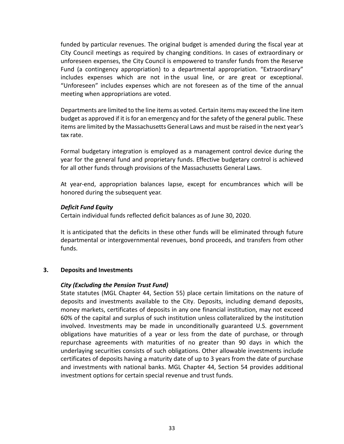funded by particular revenues. The original budget is amended during the fiscal year at City Council meetings as required by changing conditions. In cases of extraordinary or unforeseen expenses, the City Council is empowered to transfer funds from the Reserve Fund (a contingency appropriation) to a departmental appropriation. "Extraordinary" includes expenses which are not in the usual line, or are great or exceptional. "Unforeseen" includes expenses which are not foreseen as of the time of the annual meeting when appropriations are voted.

Departments are limited to the line items as voted. Certain items may exceed the line item budget as approved if it is for an emergency and for the safety of the general public. These items are limited by the Massachusetts General Laws and must be raised in the next year's tax rate.

Formal budgetary integration is employed as a management control device during the year for the general fund and proprietary funds. Effective budgetary control is achieved for all other funds through provisions of the Massachusetts General Laws.

At year‐end, appropriation balances lapse, except for encumbrances which will be honored during the subsequent year.

### *Deficit Fund Equity*

Certain individual funds reflected deficit balances as of June 30, 2020.

It is anticipated that the deficits in these other funds will be eliminated through future departmental or intergovernmental revenues, bond proceeds, and transfers from other funds.

### **3. Deposits and Investments**

### *City (Excluding the Pension Trust Fund)*

State statutes (MGL Chapter 44, Section 55) place certain limitations on the nature of deposits and investments available to the City. Deposits, including demand deposits, money markets, certificates of deposits in any one financial institution, may not exceed 60% of the capital and surplus of such institution unless collateralized by the institution involved. Investments may be made in unconditionally guaranteed U.S. government obligations have maturities of a year or less from the date of purchase, or through repurchase agreements with maturities of no greater than 90 days in which the underlaying securities consists of such obligations. Other allowable investments include certificates of deposits having a maturity date of up to 3 years from the date of purchase and investments with national banks. MGL Chapter 44, Section 54 provides additional investment options for certain special revenue and trust funds.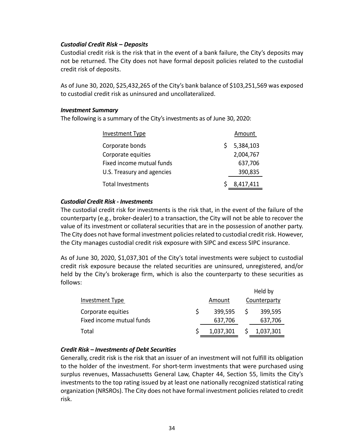### *Custodial Credit Risk* **–** *Deposits*

Custodial credit risk is the risk that in the event of a bank failure, the City's deposits may not be returned. The City does not have formal deposit policies related to the custodial credit risk of deposits.

As of June 30, 2020, \$25,432,265 of the City's bank balance of \$103,251,569 was exposed to custodial credit risk as uninsured and uncollateralized.

### *Investment Summary*

The following is a summary of the City's investments as of June 30, 2020:

| Investment Type            |    | Amount    |
|----------------------------|----|-----------|
| Corporate bonds            | S. | 5,384,103 |
| Corporate equities         |    | 2,004,767 |
| Fixed income mutual funds  |    | 637,706   |
| U.S. Treasury and agencies |    | 390,835   |
| <b>Total Investments</b>   |    | 8,417,411 |

### *Custodial Credit Risk ‐ Investments*

The custodial credit risk for investments is the risk that, in the event of the failure of the counterparty (e.g., broker‐dealer) to a transaction, the City will not be able to recover the value of its investment or collateral securities that are in the possession of another party. The City does not have formal investment policies related to custodial credit risk. However, the City manages custodial credit risk exposure with SIPC and excess SIPC insurance.

As of June 30, 2020, \$1,037,301 of the City's total investments were subject to custodial credit risk exposure because the related securities are uninsured, unregistered, and/or held by the City's brokerage firm, which is also the counterparty to these securities as follows:

|                           |           | Held by |              |  |  |  |
|---------------------------|-----------|---------|--------------|--|--|--|
| Investment Type           | Amount    |         | Counterparty |  |  |  |
| Corporate equities        | 399,595   |         | 399,595      |  |  |  |
| Fixed income mutual funds | 637,706   |         | 637,706      |  |  |  |
| Total                     | 1,037,301 |         | 1,037,301    |  |  |  |

### *Credit Risk – Investments of Debt Securities*

Generally, credit risk is the risk that an issuer of an investment will not fulfill its obligation to the holder of the investment. For short-term investments that were purchased using surplus revenues, Massachusetts General Law, Chapter 44, Section 55, limits the City's investments to the top rating issued by at least one nationally recognized statistical rating organization (NRSROs). The City does not have formal investment policies related to credit risk.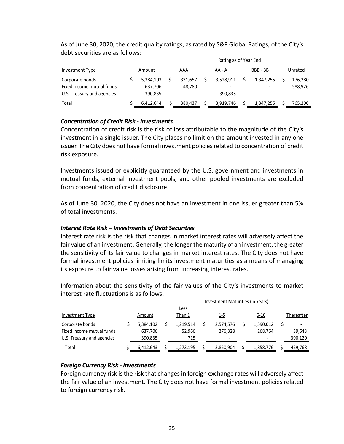|                                                                            | Rating as of Year End           |  |                   |  |                      |  |                                                                   |  |                                                |
|----------------------------------------------------------------------------|---------------------------------|--|-------------------|--|----------------------|--|-------------------------------------------------------------------|--|------------------------------------------------|
| Investment Type                                                            | Amount                          |  | AAA               |  | AA - A               |  | BBB-BB                                                            |  | Unrated                                        |
| Corporate bonds<br>Fixed income mutual funds<br>U.S. Treasury and agencies | 5,384,103<br>637.706<br>390,835 |  | 331.657<br>48.780 |  | 3.528.911<br>390.835 |  | 1.347.255<br>$\overline{\phantom{0}}$<br>$\overline{\phantom{0}}$ |  | 176,280<br>588,926<br>$\overline{\phantom{0}}$ |
| Total                                                                      | 6.412.644                       |  | 380.437           |  | 3.919.746            |  | 1,347,255                                                         |  | 765.206                                        |

As of June 30, 2020, the credit quality ratings, as rated by S&P Global Ratings, of the City's debt securities are as follows:

### *Concentration of Credit Risk ‐ Investments*

Concentration of credit risk is the risk of loss attributable to the magnitude of the City's investment in a single issuer. The City places no limit on the amount invested in any one issuer. The City does not have formal investment policies related to concentration of credit risk exposure.

Investments issued or explicitly guaranteed by the U.S. government and investments in mutual funds, external investment pools, and other pooled investments are excluded from concentration of credit disclosure.

As of June 30, 2020, the City does not have an investment in one issuer greater than 5% of total investments.

### *Interest Rate Risk – Investments of Debt Securities*

Interest rate risk is the risk that changes in market interest rates will adversely affect the fair value of an investment. Generally, the longer the maturity of an investment, the greater the sensitivity of its fair value to changes in market interest rates. The City does not have formal investment policies limiting limits investment maturities as a means of managing its exposure to fair value losses arising from increasing interest rates.

Information about the sensitivity of the fair values of the City's investments to market interest rate fluctuations is as follows:

|                            |           | Investment Maturities (in Years) |  |                          |  |                          |  |            |  |
|----------------------------|-----------|----------------------------------|--|--------------------------|--|--------------------------|--|------------|--|
|                            |           | Less                             |  |                          |  |                          |  |            |  |
| Investment Type            | Amount    | Than 1                           |  | 1-5                      |  | $6 - 10$                 |  | Thereafter |  |
| Corporate bonds            | 5,384,102 | 1.219.514                        |  | 2,574,576                |  | 1,590,012                |  |            |  |
| Fixed income mutual funds  | 637,706   | 52,966                           |  | 276,328                  |  | 268.764                  |  | 39,648     |  |
| U.S. Treasury and agencies | 390,835   | 715                              |  | $\overline{\phantom{a}}$ |  | $\overline{\phantom{a}}$ |  | 390,120    |  |
| Total                      | 6,412,643 | 1.273.195                        |  | 2,850,904                |  | 1,858,776                |  | 429,768    |  |

### *Foreign Currency Risk ‐ Investments*

Foreign currency risk is the risk that changes in foreign exchange rates will adversely affect the fair value of an investment. The City does not have formal investment policies related to foreign currency risk.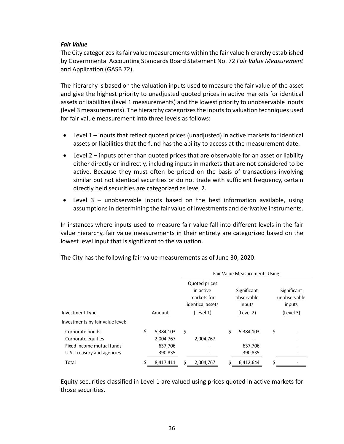### *Fair Value*

The City categorizes its fair value measurements within the fair value hierarchy established by Governmental Accounting Standards Board Statement No. 72 *Fair Value Measurement*  and Application (GASB 72).

The hierarchy is based on the valuation inputs used to measure the fair value of the asset and give the highest priority to unadjusted quoted prices in active markets for identical assets or liabilities (level 1 measurements) and the lowest priority to unobservable inputs (level 3 measurements). The hierarchy categorizes the inputs to valuation techniques used for fair value measurement into three levels as follows:

- Level 1 inputs that reflect quoted prices (unadjusted) in active markets for identical assets or liabilities that the fund has the ability to access at the measurement date.
- Level 2 inputs other than quoted prices that are observable for an asset or liability either directly or indirectly, including inputs in markets that are not considered to be active. Because they must often be priced on the basis of transactions involving similar but not identical securities or do not trade with sufficient frequency, certain directly held securities are categorized as level 2.
- Level  $3$  unobservable inputs based on the best information available, using assumptions in determining the fair value of investments and derivative instruments.

In instances where inputs used to measure fair value fall into different levels in the fair value hierarchy, fair value measurements in their entirety are categorized based on the lowest level input that is significant to the valuation.

|                                  |    |           |                                                                            |           | Fair Value Measurements Using: |                                                  |                                                    |  |  |  |
|----------------------------------|----|-----------|----------------------------------------------------------------------------|-----------|--------------------------------|--------------------------------------------------|----------------------------------------------------|--|--|--|
| <b>Investment Type</b>           |    | Amount    | Quoted prices<br>in active<br>markets for<br>identical assets<br>(Level 1) |           |                                | Significant<br>observable<br>inputs<br>(Level 2) | Significant<br>unobservable<br>inputs<br>(Level 3) |  |  |  |
| Investments by fair value level: |    |           |                                                                            |           |                                |                                                  |                                                    |  |  |  |
| Corporate bonds                  | \$ | 5,384,103 | \$                                                                         |           | \$                             | 5,384,103                                        | \$                                                 |  |  |  |
| Corporate equities               |    | 2,004,767 |                                                                            | 2,004,767 |                                |                                                  |                                                    |  |  |  |
| Fixed income mutual funds        |    | 637,706   |                                                                            |           |                                | 637,706                                          |                                                    |  |  |  |
| U.S. Treasury and agencies       |    | 390,835   |                                                                            |           |                                | 390,835                                          |                                                    |  |  |  |
| Total                            |    | 8,417,411 |                                                                            | 2,004,767 |                                | 6,412,644                                        | ς                                                  |  |  |  |

The City has the following fair value measurements as of June 30, 2020:

Equity securities classified in Level 1 are valued using prices quoted in active markets for those securities.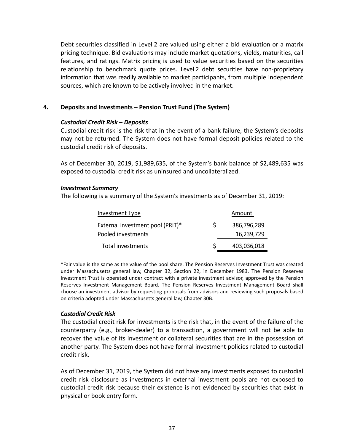Debt securities classified in Level 2 are valued using either a bid evaluation or a matrix pricing technique. Bid evaluations may include market quotations, yields, maturities, call features, and ratings. Matrix pricing is used to value securities based on the securities relationship to benchmark quote prices. Level 2 debt securities have non‐proprietary information that was readily available to market participants, from multiple independent sources, which are known to be actively involved in the market.

### **4. Deposits and Investments – Pension Trust Fund (The System)**

### *Custodial Credit Risk* **–** *Deposits*

Custodial credit risk is the risk that in the event of a bank failure, the System's deposits may not be returned. The System does not have formal deposit policies related to the custodial credit risk of deposits.

As of December 30, 2019, \$1,989,635, of the System's bank balance of \$2,489,635 was exposed to custodial credit risk as uninsured and uncollateralized.

### *Investment Summary*

The following is a summary of the System's investments as of December 31, 2019:

| Investment Type                  |    | Amount      |
|----------------------------------|----|-------------|
| External investment pool (PRIT)* | S. | 386,796,289 |
| Pooled investments               |    | 16,239,729  |
| Total investments                | S. | 403,036,018 |

\*Fair value is the same as the value of the pool share. The Pension Reserves Investment Trust was created under Massachusetts general law, Chapter 32, Section 22, in December 1983. The Pension Reserves Investment Trust is operated under contract with a private investment advisor, approved by the Pension Reserves Investment Management Board. The Pension Reserves Investment Management Board shall choose an investment advisor by requesting proposals from advisors and reviewing such proposals based on criteria adopted under Massachusetts general law, Chapter 30B.

### *Custodial Credit Risk*

The custodial credit risk for investments is the risk that, in the event of the failure of the counterparty (e.g., broker‐dealer) to a transaction, a government will not be able to recover the value of its investment or collateral securities that are in the possession of another party. The System does not have formal investment policies related to custodial credit risk.

As of December 31, 2019, the System did not have any investments exposed to custodial credit risk disclosure as investments in external investment pools are not exposed to custodial credit risk because their existence is not evidenced by securities that exist in physical or book entry form.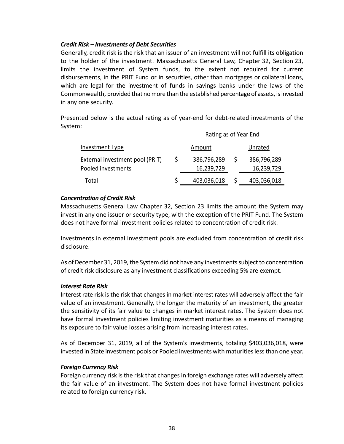### *Credit Risk – Investments of Debt Securities*

Generally, credit risk is the risk that an issuer of an investment will not fulfill its obligation to the holder of the investment. Massachusetts General Law, Chapter 32, Section 23, limits the investment of System funds, to the extent not required for current disbursements, in the PRIT Fund or in securities, other than mortgages or collateral loans, which are legal for the investment of funds in savings banks under the laws of the Commonwealth, provided that no more than the established percentage of assets, is invested in any one security.

Presented below is the actual rating as of year‐end for debt‐related investments of the System:

|                                 |   | Rating as of Year End |              |             |  |  |  |  |  |
|---------------------------------|---|-----------------------|--------------|-------------|--|--|--|--|--|
| Investment Type                 |   | Amount                |              | Unrated     |  |  |  |  |  |
| External investment pool (PRIT) | S | 386,796,289           | <sub>S</sub> | 386,796,289 |  |  |  |  |  |
| Pooled investments              |   | 16,239,729            |              | 16,239,729  |  |  |  |  |  |
| Total                           |   | 403,036,018           |              | 403,036,018 |  |  |  |  |  |

### *Concentration of Credit Risk*

Massachusetts General Law Chapter 32, Section 23 limits the amount the System may invest in any one issuer or security type, with the exception of the PRIT Fund. The System does not have formal investment policies related to concentration of credit risk.

Investments in external investment pools are excluded from concentration of credit risk disclosure.

As of December 31, 2019, the System did not have any investments subject to concentration of credit risk disclosure as any investment classifications exceeding 5% are exempt.

### *Interest Rate Risk*

Interest rate risk is the risk that changes in market interest rates will adversely affect the fair value of an investment. Generally, the longer the maturity of an investment, the greater the sensitivity of its fair value to changes in market interest rates. The System does not have formal investment policies limiting investment maturities as a means of managing its exposure to fair value losses arising from increasing interest rates.

As of December 31, 2019, all of the System's investments, totaling \$403,036,018, were invested in State investment pools or Pooled investments with maturities less than one year.

### *Foreign Currency Risk*

Foreign currency risk is the risk that changes in foreign exchange rates will adversely affect the fair value of an investment. The System does not have formal investment policies related to foreign currency risk.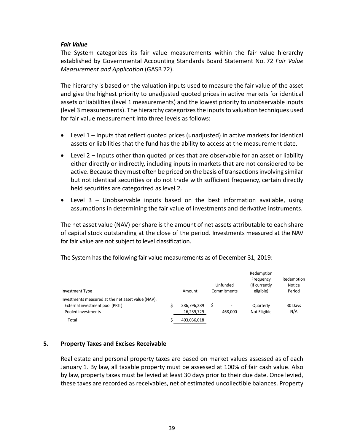### *Fair Value*

The System categorizes its fair value measurements within the fair value hierarchy established by Governmental Accounting Standards Board Statement No. 72 *Fair Value Measurement and Application* (GASB 72).

The hierarchy is based on the valuation inputs used to measure the fair value of the asset and give the highest priority to unadjusted quoted prices in active markets for identical assets or liabilities (level 1 measurements) and the lowest priority to unobservable inputs (level 3 measurements). The hierarchy categorizes the inputs to valuation techniques used for fair value measurement into three levels as follows:

- Level 1 Inputs that reflect quoted prices (unadjusted) in active markets for identical assets or liabilities that the fund has the ability to access at the measurement date.
- Level 2 Inputs other than quoted prices that are observable for an asset or liability either directly or indirectly, including inputs in markets that are not considered to be active. Because they must often be priced on the basis of transactions involving similar but not identical securities or do not trade with sufficient frequency, certain directly held securities are categorized as level 2.
- Level  $3$  Unobservable inputs based on the best information available, using assumptions in determining the fair value of investments and derivative instruments.

The net asset value (NAV) per share is the amount of net assets attributable to each share of capital stock outstanding at the close of the period. Investments measured at the NAV for fair value are not subject to level classification.

The System has the following fair value measurements as of December 31, 2019:

|                                                                                                             |  |                           |                         | Redemption                              |                                |  |
|-------------------------------------------------------------------------------------------------------------|--|---------------------------|-------------------------|-----------------------------------------|--------------------------------|--|
| <b>Investment Type</b>                                                                                      |  | Amount                    | Unfunded<br>Commitments | Frequency<br>(If currently<br>eligible) | Redemption<br>Notice<br>Period |  |
| Investments measured at the net asset value (NAV):<br>External investment pool (PRIT)<br>Pooled investments |  | 386,796,289<br>16,239,729 | \$<br>468.000           | Quarterly<br>Not Eligible               | 30 Days<br>N/A                 |  |
| Total                                                                                                       |  | 403,036,018               |                         |                                         |                                |  |

### **5. Property Taxes and Excises Receivable**

Real estate and personal property taxes are based on market values assessed as of each January 1. By law, all taxable property must be assessed at 100% of fair cash value. Also by law, property taxes must be levied at least 30 days prior to their due date. Once levied, these taxes are recorded as receivables, net of estimated uncollectible balances. Property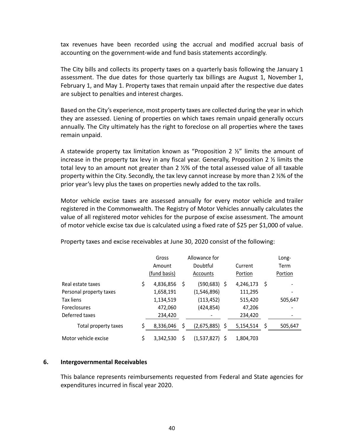tax revenues have been recorded using the accrual and modified accrual basis of accounting on the government‐wide and fund basis statements accordingly.

The City bills and collects its property taxes on a quarterly basis following the January 1 assessment. The due dates for those quarterly tax billings are August 1, November 1, February 1, and May 1. Property taxes that remain unpaid after the respective due dates are subject to penalties and interest charges.

Based on the City's experience, most property taxes are collected during the year in which they are assessed. Liening of properties on which taxes remain unpaid generally occurs annually. The City ultimately has the right to foreclose on all properties where the taxes remain unpaid.

A statewide property tax limitation known as "Proposition 2  $\frac{y}{z}$ " limits the amount of increase in the property tax levy in any fiscal year. Generally, Proposition 2 ½ limits the total levy to an amount not greater than 2 ½% of the total assessed value of all taxable property within the City. Secondly, the tax levy cannot increase by more than 2 ½% of the prior year's levy plus the taxes on properties newly added to the tax rolls.

Motor vehicle excise taxes are assessed annually for every motor vehicle and trailer registered in the Commonwealth. The Registry of Motor Vehicles annually calculates the value of all registered motor vehicles for the purpose of excise assessment. The amount of motor vehicle excise tax due is calculated using a fixed rate of \$25 per \$1,000 of value.

|                         | Gross<br>Amount<br>(fund basis) | Allowance for<br>Doubtful<br>Accounts |                 |   | Current<br>Portion |   | Long-<br>Term<br>Portion |
|-------------------------|---------------------------------|---------------------------------------|-----------------|---|--------------------|---|--------------------------|
| Real estate taxes       | \$<br>4,836,856                 | \$                                    | $(590, 683)$ \$ |   | 4,246,173          | Ŝ |                          |
| Personal property taxes | 1,658,191                       |                                       | (1,546,896)     |   | 111,295            |   |                          |
| Tax liens               | 1,134,519                       |                                       | (113, 452)      |   | 515,420            |   | 505,647                  |
| <b>Foreclosures</b>     | 472,060                         |                                       | (424, 854)      |   | 47,206             |   |                          |
| Deferred taxes          | 234,420                         |                                       |                 |   | 234,420            |   |                          |
| Total property taxes    | 8,336,046                       | Ś.                                    | (2,675,885)     | Ś | 5,154,514          | Ś | 505,647                  |
| Motor vehicle excise    | \$<br>3.342.530                 | \$                                    | (1,537,827) \$  |   | 1,804,703          |   |                          |

Property taxes and excise receivables at June 30, 2020 consist of the following:

#### **6. Intergovernmental Receivables**

This balance represents reimbursements requested from Federal and State agencies for expenditures incurred in fiscal year 2020.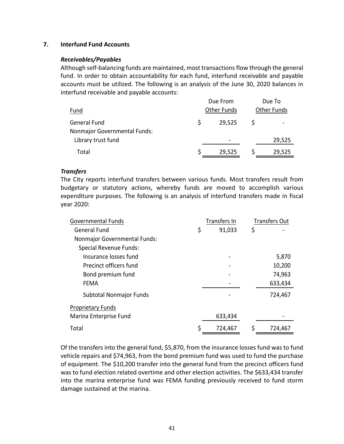### **7. Interfund Fund Accounts**

### *Receivables/Payables*

Although self‐balancing funds are maintained, most transactions flow through the general fund. In order to obtain accountability for each fund, interfund receivable and payable accounts must be utilized. The following is an analysis of the June 30, 2020 balances in interfund receivable and payable accounts:

|                              | Due From           | Due To             |
|------------------------------|--------------------|--------------------|
| Fund                         | <b>Other Funds</b> | <b>Other Funds</b> |
| <b>General Fund</b>          | 29,525             |                    |
| Nonmajor Governmental Funds: |                    |                    |
| Library trust fund           |                    | 29,525             |
| Total                        | 29,525             | 29,525             |

### *Transfers*

The City reports interfund transfers between various funds. Most transfers result from budgetary or statutory actions, whereby funds are moved to accomplish various expenditure purposes. The following is an analysis of interfund transfers made in fiscal year 2020:

| Governmental Funds                  | Transfers In | <b>Transfers Out</b> |
|-------------------------------------|--------------|----------------------|
| <b>General Fund</b>                 | \$<br>91,033 | \$                   |
| <b>Nonmajor Governmental Funds:</b> |              |                      |
| <b>Special Revenue Funds:</b>       |              |                      |
| Insurance losses fund               |              | 5,870                |
| Precinct officers fund              |              | 10,200               |
| Bond premium fund                   |              | 74,963               |
| <b>FEMA</b>                         |              | 633,434              |
| <b>Subtotal Nonmajor Funds</b>      |              | 724,467              |
| <b>Proprietary Funds</b>            |              |                      |
| Marina Enterprise Fund              | 633,434      |                      |
| Total                               | 724,467      | 724,467              |

Of the transfers into the general fund, \$5,870, from the insurance losses fund was to fund vehicle repairs and \$74,963, from the bond premium fund was used to fund the purchase of equipment. The \$10,200 transfer into the general fund from the precinct officers fund was to fund election related overtime and other election activities. The \$633,434 transfer into the marina enterprise fund was FEMA funding previously received to fund storm damage sustained at the marina.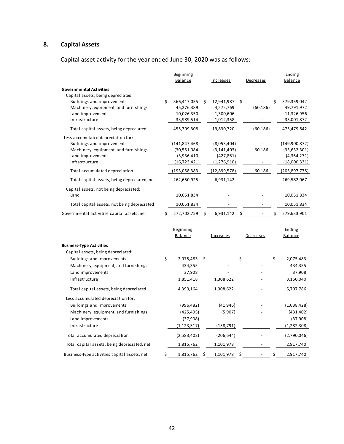# **8. Capital Assets**

Capital asset activity for the year ended June 30, 2020 was as follows:

|                                                                                                                                                  |     | Beginning<br>Balance                                             | <u>Increases</u>                                          | <u>Decreases</u>         |    | Ending<br>Balance                                            |
|--------------------------------------------------------------------------------------------------------------------------------------------------|-----|------------------------------------------------------------------|-----------------------------------------------------------|--------------------------|----|--------------------------------------------------------------|
| <b>Governmental Activities</b>                                                                                                                   |     |                                                                  |                                                           |                          |    |                                                              |
| Capital assets, being depreciated:<br>Buildings and improvements<br>Machinery, equipment, and furnishings<br>Land improvements<br>Infrastructure | \$  | 366,417,055<br>45,276,389<br>10,026,350<br>33,989,514            | \$<br>12,941,987<br>4,575,769<br>1,300,606<br>1,012,358   | \$<br>(60, 186)          | Ś  | 379,359,042<br>49,791,972<br>11,326,956<br>35,001,872        |
| Total capital assets, being depreciated                                                                                                          |     | 455,709,308                                                      | 19,830,720                                                | (60, 186)                |    | 475,479,842                                                  |
| Less accumulated depreciation for:<br>Buildings and improvements<br>Machinery, equipment, and furnishings<br>Land improvements<br>Infrastructure |     | (141, 847, 468)<br>(30,551,084)<br>(3,936,410)<br>(16, 723, 421) | (8,053,404)<br>(3, 141, 403)<br>(427, 861)<br>(1,276,910) | 60,186<br>$\frac{1}{2}$  |    | (149,900,872)<br>(33,632,301)<br>(4,364,271)<br>(18,000,331) |
| Total accumulated depreciation                                                                                                                   |     | (193,058,383)                                                    | (12,899,578)                                              | 60,186                   |    | (205,897,775)                                                |
| Total capital assets, being depreciated, net                                                                                                     |     | 262,650,925                                                      | 6,931,142                                                 |                          |    | 269,582,067                                                  |
| Capital assets, not being depreciated:<br>Land                                                                                                   |     | 10,051,834                                                       |                                                           |                          |    | 10,051,834                                                   |
| Total capital assets, not being depreciated                                                                                                      |     | 10,051,834                                                       |                                                           |                          |    | 10,051,834                                                   |
| Governmental activities capital assets, net                                                                                                      | \$. | 272,702,759                                                      | \$<br>$6,931,142$ \$                                      |                          | \$ | 279,633,901                                                  |
|                                                                                                                                                  |     | Beginning<br>Balance                                             | Increases                                                 | Decreases                |    | Ending<br><b>Balance</b>                                     |
| <b>Business-Type Activities</b>                                                                                                                  |     |                                                                  |                                                           |                          |    |                                                              |
| Capital assets, being depreciated:<br>Buildings and improvements<br>Machinery, equipment, and furnishings<br>Land improvements<br>Infrastructure | \$  | 2,075,483<br>434,355<br>37,908<br>1,851,418                      | \$<br>1,308,622                                           | \$                       | \$ | 2,075,483<br>434,355<br>37,908<br>3,160,040                  |
| Total capital assets, being depreciated                                                                                                          |     | 4,399,164                                                        | 1,308,622                                                 |                          |    | 5,707,786                                                    |
| Less accumulated depreciation for:<br>Buildings and improvements<br>Machinery, equipment, and furnishings<br>Land improvements<br>Infrastructure |     | (996, 482)<br>(425, 495)<br>(37,908)<br>(1, 123, 517)            | (41, 946)<br>(5,907)<br>(158, 791)                        |                          |    | (1,038,428)<br>(431, 402)<br>(37,908)<br>(1, 282, 308)       |
| Total accumulated depreciation                                                                                                                   |     | (2,583,402)                                                      | (206, 644)                                                |                          |    | (2,790,046)                                                  |
| Total capital assets, being depreciated, net                                                                                                     |     | 1,815,762                                                        | 1,101,978                                                 | $\overline{\phantom{a}}$ |    | 2,917,740                                                    |
| Business-type activities capital assets, net                                                                                                     | \$  | 1,815,762                                                        | \$<br>1,101,978                                           | \$                       | \$ | 2,917,740                                                    |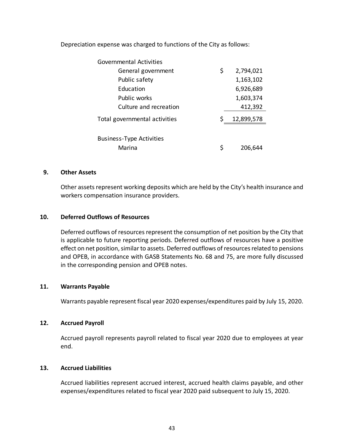| <b>Governmental Activities</b>  |    |            |
|---------------------------------|----|------------|
| General government              | \$ | 2,794,021  |
| Public safety                   |    | 1,163,102  |
| Education                       |    | 6,926,689  |
| Public works                    |    | 1,603,374  |
| Culture and recreation          |    | 412,392    |
| Total governmental activities   |    | 12,899,578 |
|                                 |    |            |
| <b>Business-Type Activities</b> |    |            |
| Marina                          | S  | 206.644    |

Depreciation expense was charged to functions of the City as follows:

### **9. Other Assets**

Other assets represent working deposits which are held by the City's health insurance and workers compensation insurance providers.

### **10. Deferred Outflows of Resources**

Deferred outflows of resources represent the consumption of net position by the City that is applicable to future reporting periods. Deferred outflows of resources have a positive effect on net position, similar to assets. Deferred outflows of resources related to pensions and OPEB, in accordance with GASB Statements No. 68 and 75, are more fully discussed in the corresponding pension and OPEB notes.

### **11. Warrants Payable**

Warrants payable represent fiscal year 2020 expenses/expenditures paid by July 15, 2020.

#### **12. Accrued Payroll**

Accrued payroll represents payroll related to fiscal year 2020 due to employees at year end.

#### **13. Accrued Liabilities**

Accrued liabilities represent accrued interest, accrued health claims payable, and other expenses/expenditures related to fiscal year 2020 paid subsequent to July 15, 2020.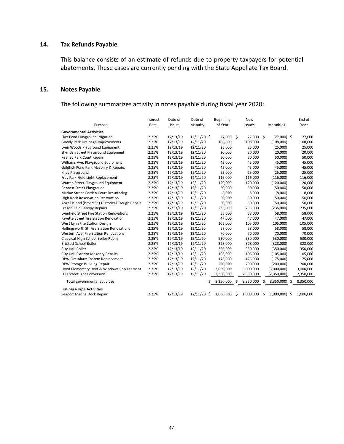### **14. Tax Refunds Payable**

This balance consists of an estimate of refunds due to property taxpayers for potential abatements. These cases are currently pending with the State Appellate Tax Board.

### **15. Notes Payable**

The following summarizes activity in notes payable during fiscal year 2020:

|                                                   | Interest | Date of      | Date of       | <b>Beginning</b> |      | New           |                        | End of    |
|---------------------------------------------------|----------|--------------|---------------|------------------|------|---------------|------------------------|-----------|
| Purpose                                           | Rate     | <b>Issue</b> | Maturity      | of Year          |      | <b>Issues</b> | Maturities             | Year      |
| <b>Governmental Activities</b>                    |          |              |               |                  |      |               |                        |           |
| Flax Pond Playground Irrigation                   | 2.25%    | 12/13/19     | $12/11/20$ \$ | 27,000           | - \$ | 27,000 \$     | $(27,000)$ \$          | 27,000    |
| Gowdy Park Drainage Improvements                  | 2.25%    | 12/13/19     | 12/11/20      | 108,000          |      | 108,000       | (108,000)              | 108,000   |
| Lynn Woods Playground Equipment                   | 2.25%    | 12/13/19     | 12/11/20      | 25,000           |      | 25,000        | (25,000)               | 25,000    |
| Sheridan Street Playground Equipment              | 2.25%    | 12/13/19     | 12/11/20      | 20,000           |      | 20,000        | (20,000)               | 20,000    |
| Keaney Park Court Repair                          | 2.25%    | 12/13/19     | 12/11/20      | 50,000           |      | 50,000        | (50,000)               | 50,000    |
| Williams Ave. Playground Equipment                | 2.25%    | 12/13/19     | 12/11/20      | 45,000           |      | 45,000        | (45,000)               | 45,000    |
| Goldfish Pond Park Masonry & Repairs              | 2.25%    | 12/13/19     | 12/11/20      | 45,000           |      | 45,000        | (45,000)               | 45,000    |
| Kiley Playground                                  | 2.25%    | 12/13/19     | 12/11/20      | 25,000           |      | 25,000        | (25,000)               | 25,000    |
| Frey Park Field Light Replacement                 | 2.25%    | 12/13/19     | 12/11/20      | 116,000          |      | 116,000       | (116,000)              | 116,000   |
| Warren Street Playground Equipment                | 2.25%    | 12/13/19     | 12/11/20      | 120,000          |      | 120,000       | (120,000)              | 120,000   |
| <b>Bennett Street Playground</b>                  | 2.25%    | 12/13/19     | 12/11/20      | 50,000           |      | 50,000        | (50,000)               | 50,000    |
| Marian Street Garden Court Resurfacing            | 2.25%    | 12/13/19     | 12/11/20      | 8,000            |      | 8,000         | (8,000)                | 8,000     |
| High Rock Reservation Restoration                 | 2.25%    | 12/13/19     | 12/11/20      | 50,000           |      | 50,000        | (50,000)               | 50,000    |
| Angel Island (Broad St.) Historical Trough Repair | 2.25%    | 12/13/19     | 12/11/20      | 50,000           |      | 50,000        | (50,000)               | 50,000    |
| <b>Fraser Field Canopy Repairs</b>                | 2.25%    | 12/13/19     | 12/11/20      | 235,000          |      | 235,000       | (235,000)              | 235,000   |
| Lynnfield Street Fire Station Renovations         | 2.25%    | 12/13/19     | 12/11/20      | 58,000           |      | 58,000        | (58,000)               | 58,000    |
| Fayette Street Fire Station Renovation            | 2.25%    | 12/13/19     | 12/11/20      | 47,000           |      | 47,000        | (47,000)               | 47,000    |
| West Lynn Fire Station Design                     | 2.25%    | 12/13/19     | 12/11/20      | 105,000          |      | 105,000       | (105,000)              | 105,000   |
| Hollingsworth St. Fire Station Renovations        | 2.25%    | 12/13/19     | 12/11/20      | 58,000           |      | 58,000        | (58,000)               | 58,000    |
| Western Ave. Fire Station Renovations             | 2.25%    | 12/13/19     | 12/11/20      | 70,000           |      | 70,000        | (70,000)               | 70,000    |
| Classical High School Boiler Room                 | 2.25%    | 12/13/19     | 12/11/20      | 530,000          |      | 530,000       | (530,000)              | 530,000   |
| Brickett School Boiler                            | 2.25%    | 12/13/19     | 12/11/20      | 328,000          |      | 328,000       | (328,000)              | 328,000   |
| City Hall Boiler                                  | 2.25%    | 12/13/19     | 12/11/20      | 350,000          |      | 350,000       | (350,000)              | 350,000   |
| City Hall Exterior Masonry Repairs                | 2.25%    | 12/13/19     | 12/11/20      | 105,000          |      | 105,000       | (105,000)              | 105,000   |
| DPW Fire Alarm System Replacement                 | 2.25%    | 12/13/19     | 12/11/20      | 175,000          |      | 175,000       | (175,000)              | 175,000   |
| DPW Storage Building Repair                       | 2.25%    | 12/13/19     | 12/11/20      | 200,000          |      | 200,000       | (200,000)              | 200,000   |
| Hood Elementary Roof & Windows Replacement        | 2.25%    | 12/13/19     | 12/11/20      | 3,000,000        |      | 3,000,000     | (3,000,000)            | 3,000,000 |
| LED Streetlight Conversion                        | 2.25%    | 12/13/19     | 12/11/20      | 2,350,000        |      | 2,350,000     | (2,350,000)            | 2,350,000 |
| Total governmental activities                     |          |              |               | \$8,350,000      | S    | 8,350,000     | \$ (8,350,000) \$      | 8,350,000 |
| <b>Business-Type Activities</b>                   |          |              |               |                  |      |               |                        |           |
| Seaport Marina Dock Repair                        | 2.25%    | 12/13/19     | $12/11/20$ \$ | 1,000,000        | \$   | 1,000,000     | \$<br>$(1,000,000)$ \$ | 1,000,000 |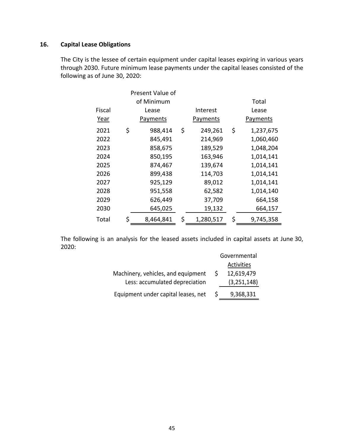## **16. Capital Lease Obligations**

The City is the lessee of certain equipment under capital leases expiring in various years through 2030. Future minimum lease payments under the capital leases consisted of the following as of June 30, 2020:

|             | Present Value of |                 |                 |
|-------------|------------------|-----------------|-----------------|
|             | of Minimum       |                 | Total           |
| Fiscal      | Lease            | Interest        | Lease           |
| <u>Year</u> | <b>Payments</b>  | <b>Payments</b> | Payments        |
| 2021        | \$<br>988,414    | \$<br>249,261   | \$<br>1,237,675 |
| 2022        | 845,491          | 214,969         | 1,060,460       |
| 2023        | 858,675          | 189,529         | 1,048,204       |
| 2024        | 850,195          | 163,946         | 1,014,141       |
| 2025        | 874,467          | 139,674         | 1,014,141       |
| 2026        | 899,438          | 114,703         | 1,014,141       |
| 2027        | 925,129          | 89,012          | 1,014,141       |
| 2028        | 951,558          | 62,582          | 1,014,140       |
| 2029        | 626,449          | 37,709          | 664,158         |
| 2030        | 645,025          | 19,132          | 664,157         |
| Total       | \$<br>8,464,841  | \$<br>1,280,517 | \$<br>9,745,358 |

The following is an analysis for the leased assets included in capital assets at June 30, 2020:

|                                     |              | Governmental  |
|-------------------------------------|--------------|---------------|
|                                     |              | Activities    |
| Machinery, vehicles, and equipment  |              | 12,619,479    |
| Less: accumulated depreciation      |              | (3, 251, 148) |
| Equipment under capital leases, net | <sub>S</sub> | 9,368,331     |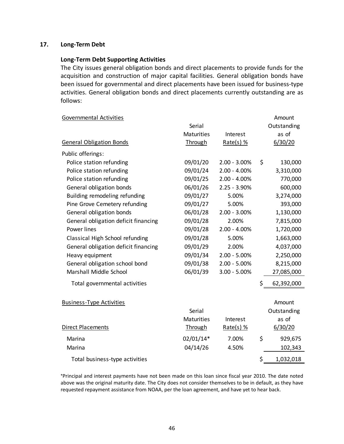### **17. Long‐Term Debt**

#### **Long‐Term Debt Supporting Activities**

The City issues general obligation bonds and direct placements to provide funds for the acquisition and construction of major capital facilities. General obligation bonds have been issued for governmental and direct placements have been issued for business-type activities. General obligation bonds and direct placements currently outstanding are as follows:

| <b>Governmental Activities</b>       |                   |                 | Amount           |
|--------------------------------------|-------------------|-----------------|------------------|
|                                      | Serial            |                 | Outstanding      |
|                                      | <b>Maturities</b> | Interest        | as of            |
| <b>General Obligation Bonds</b>      | <b>Through</b>    | $Rate(s)$ %     | 6/30/20          |
| Public offerings:                    |                   |                 |                  |
| Police station refunding             | 09/01/20          | $2.00 - 3.00\%$ | \$<br>130,000    |
| Police station refunding             | 09/01/24          | $2.00 - 4.00\%$ | 3,310,000        |
| Police station refunding             | 09/01/25          | $2.00 - 4.00\%$ | 770,000          |
| General obligation bonds             | 06/01/26          | $2.25 - 3.90\%$ | 600,000          |
| Building remodeling refunding        | 09/01/27          | 5.00%           | 3,274,000        |
| Pine Grove Cemetery refunding        | 09/01/27          | 5.00%           | 393,000          |
| General obligation bonds             | 06/01/28          | $2.00 - 3.00\%$ | 1,130,000        |
| General obligation deficit financing | 09/01/28          | 2.00%           | 7,815,000        |
| Power lines                          | 09/01/28          | $2.00 - 4.00\%$ | 1,720,000        |
| Classical High School refunding      | 09/01/28          | 5.00%           | 1,663,000        |
| General obligation deficit financing | 09/01/29          | 2.00%           | 4,037,000        |
| Heavy equipment                      | 09/01/34          | $2.00 - 5.00\%$ | 2,250,000        |
| General obligation school bond       | 09/01/38          | $2.00 - 5.00\%$ | 8,215,000        |
| Marshall Middle School               | 06/01/39          | $3.00 - 5.00\%$ | 27,085,000       |
| Total governmental activities        |                   |                 | \$<br>62,392,000 |
|                                      |                   |                 |                  |
| <b>Business-Type Activities</b>      |                   |                 | Amount           |
|                                      | Serial            |                 | Outstanding      |
|                                      | <b>Maturities</b> | Interest        | as of            |
| Direct Placements                    | <b>Through</b>    | $Rate(s)$ %     | 6/30/20          |
| Marina                               | 02/01/14*         | 7.00%           | \$<br>929,675    |
| Marina                               | 04/14/26          | 4.50%           | 102,343          |
| Total business-type activities       |                   |                 | \$<br>1,032,018  |

\*Principal and interest payments have not been made on this loan since fiscal year 2010. The date noted above was the original maturity date. The City does not consider themselves to be in default, as they have requested repayment assistance from NOAA, per the loan agreement, and have yet to hear back.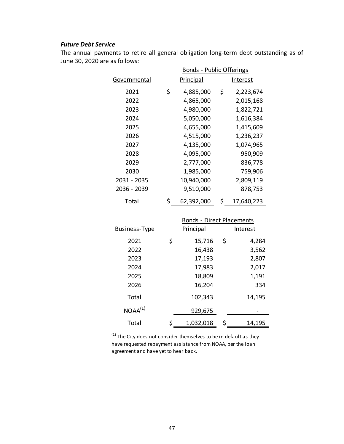### *Future Debt Service*

The annual payments to retire all general obligation long-term debt outstanding as of June 30, 2020 are as follows:

|              |    | Bonds - Public Offerings |    |            |  |  |  |  |  |
|--------------|----|--------------------------|----|------------|--|--|--|--|--|
| Governmental |    | Principal                |    | Interest   |  |  |  |  |  |
| 2021         | \$ | 4,885,000                | \$ | 2,223,674  |  |  |  |  |  |
| 2022         |    | 4,865,000                |    | 2,015,168  |  |  |  |  |  |
| 2023         |    | 4,980,000                |    | 1,822,721  |  |  |  |  |  |
| 2024         |    | 5,050,000                |    | 1,616,384  |  |  |  |  |  |
| 2025         |    | 4,655,000                |    | 1,415,609  |  |  |  |  |  |
| 2026         |    | 4,515,000                |    | 1,236,237  |  |  |  |  |  |
| 2027         |    | 4,135,000                |    | 1,074,965  |  |  |  |  |  |
| 2028         |    | 4,095,000                |    | 950,909    |  |  |  |  |  |
| 2029         |    | 2,777,000                |    | 836,778    |  |  |  |  |  |
| 2030         |    | 1,985,000                |    | 759,906    |  |  |  |  |  |
| 2031 - 2035  |    | 10,940,000               |    | 2,809,119  |  |  |  |  |  |
| 2036 - 2039  |    | 9,510,000                |    | 878,753    |  |  |  |  |  |
| Total        | Ś  | 62,392,000               | Ś  | 17,640,223 |  |  |  |  |  |

|                      |    | <b>Bonds - Direct Placements</b> |    |          |  |  |  |  |  |  |
|----------------------|----|----------------------------------|----|----------|--|--|--|--|--|--|
| <b>Business-Type</b> |    | Principal                        |    | Interest |  |  |  |  |  |  |
| 2021                 | \$ | 15,716                           | \$ | 4,284    |  |  |  |  |  |  |
| 2022                 |    | 16,438                           |    | 3,562    |  |  |  |  |  |  |
| 2023                 |    | 17,193                           |    | 2,807    |  |  |  |  |  |  |
| 2024                 |    | 17,983                           |    | 2,017    |  |  |  |  |  |  |
| 2025                 |    | 18,809                           |    | 1,191    |  |  |  |  |  |  |
| 2026                 |    | 16,204                           |    | 334      |  |  |  |  |  |  |
| Total                |    | 102,343                          |    | 14,195   |  |  |  |  |  |  |
| NOAA <sup>(1)</sup>  |    | 929,675                          |    |          |  |  |  |  |  |  |
| Total                | Ś  | 1,032,018                        | \$ | 14,195   |  |  |  |  |  |  |

 $(1)$  The City does not consider themselves to be in default as they have requested repayment assistance from NOAA, per the loan agreement and have yet to hear back.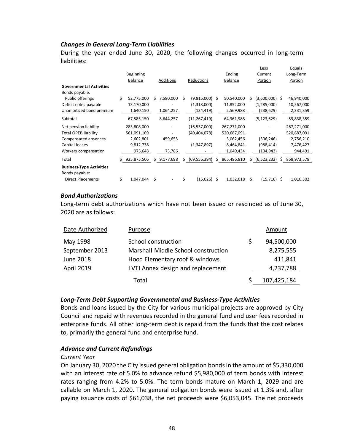### *Changes in General Long‐Term Liabilities*

During the year ended June 30, 2020, the following changes occurred in long-term liabilities:

|                                 |    |                |    |             |    |                  |    |                |    | Less             |   | Equals      |
|---------------------------------|----|----------------|----|-------------|----|------------------|----|----------------|----|------------------|---|-------------|
|                                 |    | Beginning      |    |             |    |                  |    | Ending         |    | Current          |   | Long-Term   |
|                                 |    | <b>Balance</b> |    | Additions   |    | Reductions       |    | <b>Balance</b> |    | Portion          |   | Portion     |
| <b>Governmental Activities</b>  |    |                |    |             |    |                  |    |                |    |                  |   |             |
| Bonds payable:                  |    |                |    |             |    |                  |    |                |    |                  |   |             |
| Public offerings                | Ś. | 52,775,000     | Ś. | 7,580,000   | Ś. | $(9,815,000)$ \$ |    | 50,540,000     |    | $(3,600,000)$ \$ |   | 46,940,000  |
| Deficit notes payable           |    | 13,170,000     |    |             |    | (1,318,000)      |    | 11,852,000     |    | (1,285,000)      |   | 10,567,000  |
| Unamortized bond premium        |    | 1,640,150      |    | 1,064,257   |    | (134,419)        |    | 2,569,988      |    | (238,629)        |   | 2,331,359   |
| Subtotal                        |    | 67,585,150     |    | 8,644,257   |    | (11, 267, 419)   |    | 64,961,988     |    | (5, 123, 629)    |   | 59,838,359  |
| Net pension liability           |    | 283,808,000    |    |             |    | (16, 537, 000)   |    | 267,271,000    |    |                  |   | 267,271,000 |
| <b>Total OPEB liability</b>     |    | 561,091,169    |    |             |    | (40,404,078)     |    | 520,687,091    |    | -                |   | 520,687,091 |
| Compensated absences            |    | 2,602,801      |    | 459,655     |    |                  |    | 3,062,456      |    | (306, 246)       |   | 2,756,210   |
| Capital leases                  |    | 9,812,738      |    |             |    | (1,347,897)      |    | 8,464,841      |    | (988, 414)       |   | 7,476,427   |
| Workers compensation            |    | 975,648        |    | 73,786      |    |                  |    | 1,049,434      |    | (104,943)        |   | 944,491     |
| Total                           | Ś. | 925,875,506    |    | \$9,177,698 | S. | (69, 556, 394)   | Ŝ. | 865,496,810    | S. | (6,523,232)      | s | 858,973,578 |
| <b>Business-Type Activities</b> |    |                |    |             |    |                  |    |                |    |                  |   |             |
| Bonds payable:                  |    |                |    |             |    |                  |    |                |    |                  |   |             |
| <b>Direct Placements</b>        | Ś. | 1,047,044      | \$ |             | Ś. | (15,026) \$      |    | 1,032,018      | s  | $(15,716)$ \$    |   | 1,016,302   |

#### *Bond Authorizations*

Long-term debt authorizations which have not been issued or rescinded as of June 30, 2020 are as follows:

| Date Authorized   | Purpose                             | Amount      |
|-------------------|-------------------------------------|-------------|
| May 1998          | School construction                 | 94,500,000  |
| September 2013    | Marshall Middle School construction | 8,275,555   |
| June 2018         | Hood Elementary roof & windows      | 411,841     |
| <b>April 2019</b> | LVTI Annex design and replacement   | 4,237,788   |
|                   | Total                               | 107,425,184 |

### *Long‐Term Debt Supporting Governmental and Business‐Type Activities*

Bonds and loans issued by the City for various municipal projects are approved by City Council and repaid with revenues recorded in the general fund and user fees recorded in enterprise funds. All other long‐term debt is repaid from the funds that the cost relates to, primarily the general fund and enterprise fund.

#### *Advance and Current Refundings*

#### *Current Year*

On January 30, 2020 the City issued general obligation bonds in the amount of \$5,330,000 with an interest rate of 5.0% to advance refund \$5,980,000 of term bonds with interest rates ranging from 4.2% to 5.0%. The term bonds mature on March 1, 2029 and are callable on March 1, 2020. The general obligation bonds were issued at 1.3% and, after paying issuance costs of \$61,038, the net proceeds were \$6,053,045. The net proceeds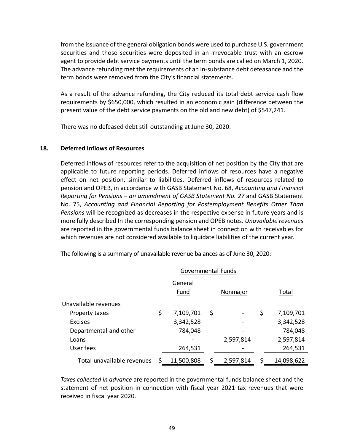from the issuance of the general obligation bonds were used to purchase U.S. government securities and those securities were deposited in an irrevocable trust with an escrow agent to provide debt service payments until the term bonds are called on March 1, 2020. The advance refunding met the requirements of an in‐substance debt defeasance and the term bonds were removed from the City's financial statements.

As a result of the advance refunding, the City reduced its total debt service cash flow requirements by \$650,000, which resulted in an economic gain (difference between the present value of the debt service payments on the old and new debt) of \$547,241.

There was no defeased debt still outstanding at June 30, 2020.

### **18. Deferred Inflows of Resources**

Deferred inflows of resources refer to the acquisition of net position by the City that are applicable to future reporting periods. Deferred inflows of resources have a negative effect on net position, similar to liabilities. Deferred inflows of resources related to pension and OPEB, in accordance with GASB Statement No. 68, *Accounting and Financial Reporting for Pensions – an amendment of GASB Statement No. 27* and GASB Statement No. 75, *Accounting and Financial Reporting for Postemployment Benefits Other Than Pensions* will be recognized as decreases in the respective expense in future years and is more fully described In the corresponding pension and OPEB notes. *Unavailable revenues* are reported in the governmental funds balance sheet in connection with receivables for which revenues are not considered available to liquidate liabilities of the current year.

|                            | Governmental Funds |                        |              |           |    |            |  |  |  |
|----------------------------|--------------------|------------------------|--------------|-----------|----|------------|--|--|--|
|                            |                    | General<br><b>Fund</b> | <b>Total</b> |           |    |            |  |  |  |
| Unavailable revenues       |                    |                        |              |           |    |            |  |  |  |
| Property taxes             | \$                 | 7,109,701              | \$           |           | \$ | 7,109,701  |  |  |  |
| <b>Excises</b>             |                    | 3,342,528              |              |           |    | 3,342,528  |  |  |  |
| Departmental and other     |                    | 784,048                |              |           |    | 784,048    |  |  |  |
| Loans                      |                    |                        |              | 2,597,814 |    | 2,597,814  |  |  |  |
| User fees                  |                    | 264,531                |              |           |    | 264,531    |  |  |  |
| Total unavailable revenues | S                  | 11,500,808             | \$           | 2,597,814 |    | 14,098,622 |  |  |  |

The following is a summary of unavailable revenue balances as of June 30, 2020:

*Taxes collected in advance* are reported in the governmental funds balance sheet and the statement of net position in connection with fiscal year 2021 tax revenues that were received in fiscal year 2020.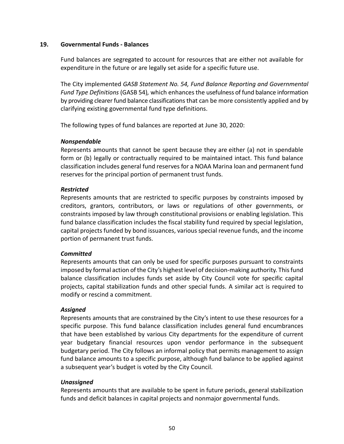### **19. Governmental Funds ‐ Balances**

Fund balances are segregated to account for resources that are either not available for expenditure in the future or are legally set aside for a specific future use.

The City implemented *GASB Statement No. 54, Fund Balance Reporting and Governmental Fund Type Definitions* (GASB 54)*,* which enhances the usefulness of fund balance information by providing clearer fund balance classifications that can be more consistently applied and by clarifying existing governmental fund type definitions.

The following types of fund balances are reported at June 30, 2020:

### *Nonspendable*

Represents amounts that cannot be spent because they are either (a) not in spendable form or (b) legally or contractually required to be maintained intact. This fund balance classification includes general fund reserves for a NOAA Marina loan and permanent fund reserves for the principal portion of permanent trust funds.

### *Restricted*

Represents amounts that are restricted to specific purposes by constraints imposed by creditors, grantors, contributors, or laws or regulations of other governments, or constraints imposed by law through constitutional provisions or enabling legislation. This fund balance classification includes the fiscal stability fund required by special legislation, capital projects funded by bond issuances, various special revenue funds, and the income portion of permanent trust funds.

### *Committed*

Represents amounts that can only be used for specific purposes pursuant to constraints imposed by formal action of the City's highest level of decision‐making authority. This fund balance classification includes funds set aside by City Council vote for specific capital projects, capital stabilization funds and other special funds. A similar act is required to modify or rescind a commitment.

### *Assigned*

Represents amounts that are constrained by the City's intent to use these resources for a specific purpose. This fund balance classification includes general fund encumbrances that have been established by various City departments for the expenditure of current year budgetary financial resources upon vendor performance in the subsequent budgetary period. The City follows an informal policy that permits management to assign fund balance amounts to a specific purpose, although fund balance to be applied against a subsequent year's budget is voted by the City Council.

### *Unassigned*

Represents amounts that are available to be spent in future periods, general stabilization funds and deficit balances in capital projects and nonmajor governmental funds.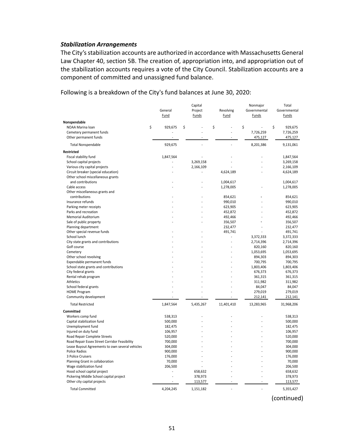#### *Stabilization Arrangements*

The City's stabilization accounts are authorized in accordance with Massachusetts General Law Chapter 40, section 5B. The creation of, appropriation into, and appropriation out of the stabilization accounts requires a vote of the City Council. Stabilization accounts are a component of committed and unassigned fund balance.

Following is a breakdown of the City's fund balances at June 30, 2020:

|                                                 | General       | Capital<br>Project | Revolving  | Nonmajor<br>Governmental | Total<br>Governmental |
|-------------------------------------------------|---------------|--------------------|------------|--------------------------|-----------------------|
|                                                 | Fund          | Funds              | Fund       | Funds                    | Funds                 |
| Nonspendable                                    |               |                    |            |                          |                       |
| NOAA Marina loan                                | \$<br>929,675 | \$                 | \$         | \$                       | \$<br>929,675         |
| Cemetery permanent funds                        |               |                    |            | 7,726,259                | 7,726,259             |
| Other permanent funds                           |               |                    |            | 475,127                  | 475,127               |
| <b>Total Nonspendable</b>                       | 929,675       |                    |            | 8,201,386                | 9,131,061             |
| <b>Restricted</b>                               |               |                    |            |                          |                       |
| Fiscal stability fund                           | 1,847,564     |                    |            |                          | 1,847,564             |
| School capital projects                         |               | 3,269,158          |            |                          | 3,269,158             |
| Various city capital projects                   |               | 2,166,109          |            |                          | 2,166,109             |
| Circuit breaker (special education)             |               |                    | 4,624,189  |                          | 4,624,189             |
| Other school miscellaneous grants               |               |                    |            |                          |                       |
| and contributions                               |               |                    | 1,004,617  |                          | 1,004,617             |
| Cable access                                    |               |                    | 1,278,005  |                          | 1,278,005             |
| Other miscellaneous grants and                  |               |                    |            |                          |                       |
| contributions                                   |               |                    | 854,621    |                          | 854,621               |
| Insurance refunds                               |               |                    | 990,010    |                          | 990,010               |
| Parking meter receipts                          |               |                    | 623,905    |                          | 623,905               |
| Parks and recreation                            |               |                    | 452,872    |                          | 452,872               |
| Memorial Auditorium                             |               |                    | 492,466    |                          | 492,466               |
| Sale of public property                         |               |                    | 356,507    |                          | 356,507               |
| Planning department                             |               |                    | 232,477    |                          | 232,477               |
| Other special revenue funds                     |               |                    | 491,741    |                          | 491,741               |
| School lunch                                    |               |                    |            | 3,372,333                | 3,372,333             |
| City state grants and contributions             |               |                    |            | 2,714,396                | 2,714,396             |
| Golf course                                     |               |                    |            | 820,160                  | 820,160               |
| Cemetery                                        |               |                    |            | 1,053,695                | 1,053,695             |
| Other school revolving                          |               |                    |            | 894,303                  | 894,303               |
| Expendable permanent funds                      |               |                    |            | 700,795                  | 700,795               |
| School state grants and contributions           |               |                    |            | 1,803,406                | 1,803,406             |
| City federal grants                             |               |                    |            | 676,373                  | 676,373               |
| Rental rehab program                            |               |                    |            | 361,315                  | 361,315               |
| Athletics                                       |               |                    |            | 311,982                  | 311,982               |
| School federal grants                           |               |                    |            | 84,047                   | 84,047                |
| <b>HOME Program</b>                             |               |                    |            | 279,019                  | 279,019               |
| Community development                           |               |                    |            | 212,141                  | 212,141               |
| <b>Total Restricted</b>                         | 1,847,564     | 5,435,267          | 11,401,410 | 13,283,965               | 31,968,206            |
| <b>Committed</b>                                |               |                    |            |                          |                       |
| Workers comp fund                               | 538,313       |                    |            |                          | 538,313               |
| Capital stabilization fund                      | 500,000       |                    |            |                          | 500,000               |
| Unemployment fund                               | 182,475       |                    |            |                          | 182,475               |
| Injured on duty fund                            | 106,957       |                    |            |                          | 106,957               |
| Road Repair Complete Streets                    | 520,000       |                    |            |                          | 520,000               |
| Road Repair Essex Street Corridor Feasibility   | 700,000       |                    |            |                          | 700,000               |
| Lease Buyout Agreements to own several vehicles | 304,000       |                    |            |                          | 304,000               |
| Police Radios                                   | 900,000       |                    |            |                          | 900,000               |
| 3 Police Cruisers                               | 176,000       |                    |            |                          | 176,000               |
| Planning Grant in collaboration                 | 70,000        |                    |            |                          | 70,000                |
| Wage stabilization fund                         | 206,500       |                    |            |                          | 206,500               |
| Hood school capital project                     |               | 658,632            |            |                          | 658,632               |
| Pickering Middle School capital project         |               | 378,973            |            |                          | 378,973               |
| Other city capital projects                     |               | 113,577            |            |                          | 113,577               |
| <b>Total Committed</b>                          | 4,204,245     | 1,151,182          |            | L.                       | 5,355,427             |

(continued)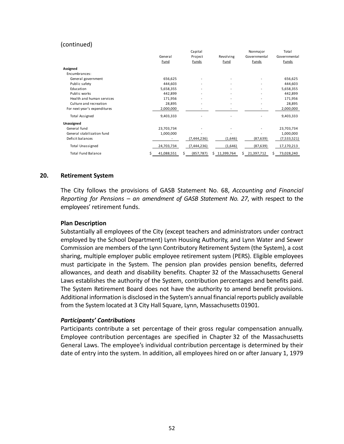### (continued)

|                              |                 | Capital         |                          | Nonmajor                 | Total           |
|------------------------------|-----------------|-----------------|--------------------------|--------------------------|-----------------|
|                              | General         | Project         | Revolving                | Governmental             | Governmental    |
|                              | <b>Fund</b>     | <b>Funds</b>    | <b>Fund</b>              | <b>Funds</b>             | <b>Funds</b>    |
| Assigned                     |                 |                 |                          |                          |                 |
| Encumbrances:                |                 |                 |                          |                          |                 |
| General government           | 656,625         |                 |                          |                          | 656,625         |
| Public safety                | 444,603         |                 |                          |                          | 444,603         |
| Education                    | 5,658,355       |                 |                          |                          | 5,658,355       |
| Public works                 | 442,899         |                 |                          |                          | 442,899         |
| Health and human services    | 171,956         |                 |                          | $\overline{\phantom{a}}$ | 171,956         |
| Culture and recreation       | 28,895          |                 | $\overline{\phantom{0}}$ | ٠                        | 28,895          |
| For next year's expenditures | 2,000,000       |                 |                          |                          | 2,000,000       |
| <b>Total Assigned</b>        | 9,403,333       |                 |                          |                          | 9,403,333       |
| Unassigned                   |                 |                 |                          |                          |                 |
| General fund                 | 23,703,734      |                 |                          |                          | 23,703,734      |
| General stabilization fund   | 1,000,000       |                 |                          |                          | 1,000,000       |
| Deficit balances             |                 | (7, 444, 236)   | (1,646)                  | (87, 639)                | (7,533,521)     |
| <b>Total Unassigned</b>      | 24,703,734      | (7,444,236)     | (1,646)                  | (87, 639)                | 17,170,213      |
| <b>Total Fund Balance</b>    | 41,088,551<br>s | (857, 787)<br>S | Ś<br>11,399,764          | 21,397,712<br>s          | 73,028,240<br>S |

#### **20. Retirement System**

The City follows the provisions of GASB Statement No. 68, *Accounting and Financial Reporting for Pensions – an amendment of GASB Statement No. 27*, with respect to the employees' retirement funds.

#### **Plan Description**

Substantially all employees of the City (except teachers and administrators under contract employed by the School Department) Lynn Housing Authority, and Lynn Water and Sewer Commission are members of the Lynn Contributory Retirement System (the System), a cost sharing, multiple employer public employee retirement system (PERS). Eligible employees must participate in the System. The pension plan provides pension benefits, deferred allowances, and death and disability benefits. Chapter 32 of the Massachusetts General Laws establishes the authority of the System, contribution percentages and benefits paid. The System Retirement Board does not have the authority to amend benefit provisions. Additional information is disclosed in the System's annual financial reports publicly available from the System located at 3 City Hall Square, Lynn, Massachusetts 01901.

### *Participants' Contributions*

Participants contribute a set percentage of their gross regular compensation annually. Employee contribution percentages are specified in Chapter 32 of the Massachusetts General Laws. The employee's individual contribution percentage is determined by their date of entry into the system. In addition, all employees hired on or after January 1, 1979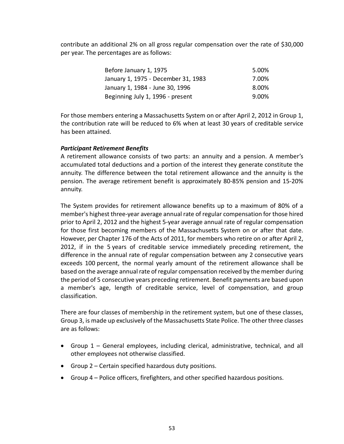contribute an additional 2% on all gross regular compensation over the rate of \$30,000 per year. The percentages are as follows:

| Before January 1, 1975              | 5.00% |
|-------------------------------------|-------|
| January 1, 1975 - December 31, 1983 | 7.00% |
| January 1, 1984 - June 30, 1996     | 8.00% |
| Beginning July 1, 1996 - present    | 9.00% |

For those members entering a Massachusetts System on or after April 2, 2012 in Group 1, the contribution rate will be reduced to 6% when at least 30 years of creditable service has been attained.

### *Participant Retirement Benefits*

A retirement allowance consists of two parts: an annuity and a pension. A member's accumulated total deductions and a portion of the interest they generate constitute the annuity. The difference between the total retirement allowance and the annuity is the pension. The average retirement benefit is approximately 80‐85% pension and 15‐20% annuity.

The System provides for retirement allowance benefits up to a maximum of 80% of a member's highest three‐year average annual rate of regular compensation for those hired prior to April 2, 2012 and the highest 5‐year average annual rate of regular compensation for those first becoming members of the Massachusetts System on or after that date. However, per Chapter 176 of the Acts of 2011, for members who retire on or after April 2, 2012, if in the 5 years of creditable service immediately preceding retirement, the difference in the annual rate of regular compensation between any 2 consecutive years exceeds 100 percent, the normal yearly amount of the retirement allowance shall be based on the average annual rate of regular compensation received by the member during the period of 5 consecutive years preceding retirement. Benefit payments are based upon a member's age, length of creditable service, level of compensation, and group classification.

There are four classes of membership in the retirement system, but one of these classes, Group 3, is made up exclusively of the Massachusetts State Police. The other three classes are as follows:

- Group 1 General employees, including clerical, administrative, technical, and all other employees not otherwise classified.
- Group 2 Certain specified hazardous duty positions.
- Group 4 Police officers, firefighters, and other specified hazardous positions.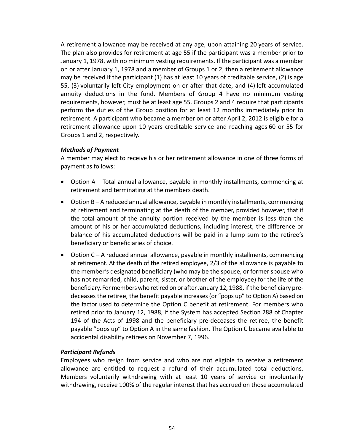A retirement allowance may be received at any age, upon attaining 20 years of service. The plan also provides for retirement at age 55 if the participant was a member prior to January 1, 1978, with no minimum vesting requirements. If the participant was a member on or after January 1, 1978 and a member of Groups 1 or 2, then a retirement allowance may be received if the participant (1) has at least 10 years of creditable service, (2) is age 55, (3) voluntarily left City employment on or after that date, and (4) left accumulated annuity deductions in the fund. Members of Group 4 have no minimum vesting requirements, however, must be at least age 55. Groups 2 and 4 require that participants perform the duties of the Group position for at least 12 months immediately prior to retirement. A participant who became a member on or after April 2, 2012 is eligible for a retirement allowance upon 10 years creditable service and reaching ages 60 or 55 for Groups 1 and 2, respectively.

### *Methods of Payment*

A member may elect to receive his or her retirement allowance in one of three forms of payment as follows:

- Option A Total annual allowance, payable in monthly installments, commencing at retirement and terminating at the members death.
- Option B A reduced annual allowance, payable in monthly installments, commencing at retirement and terminating at the death of the member, provided however, that if the total amount of the annuity portion received by the member is less than the amount of his or her accumulated deductions, including interest, the difference or balance of his accumulated deductions will be paid in a lump sum to the retiree's beneficiary or beneficiaries of choice.
- Option C A reduced annual allowance, payable in monthly installments, commencing at retirement. At the death of the retired employee, 2/3 of the allowance is payable to the member's designated beneficiary (who may be the spouse, or former spouse who has not remarried, child, parent, sister, or brother of the employee) for the life of the beneficiary. For members who retired on or after January 12, 1988, if the beneficiary pre‐ deceases the retiree, the benefit payable increases (or "pops up" to Option A) based on the factor used to determine the Option C benefit at retirement. For members who retired prior to January 12, 1988, if the System has accepted Section 288 of Chapter 194 of the Acts of 1998 and the beneficiary pre-deceases the retiree, the benefit payable "pops up" to Option A in the same fashion. The Option C became available to accidental disability retirees on November 7, 1996.

### *Participant Refunds*

Employees who resign from service and who are not eligible to receive a retirement allowance are entitled to request a refund of their accumulated total deductions. Members voluntarily withdrawing with at least 10 years of service or involuntarily withdrawing, receive 100% of the regular interest that has accrued on those accumulated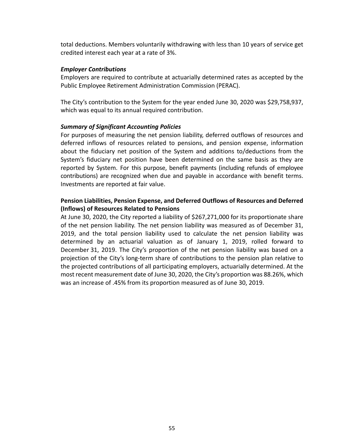total deductions. Members voluntarily withdrawing with less than 10 years of service get credited interest each year at a rate of 3%.

### *Employer Contributions*

Employers are required to contribute at actuarially determined rates as accepted by the Public Employee Retirement Administration Commission (PERAC).

The City's contribution to the System for the year ended June 30, 2020 was \$29,758,937, which was equal to its annual required contribution.

### *Summary of Significant Accounting Policies*

For purposes of measuring the net pension liability, deferred outflows of resources and deferred inflows of resources related to pensions, and pension expense, information about the fiduciary net position of the System and additions to/deductions from the System's fiduciary net position have been determined on the same basis as they are reported by System. For this purpose, benefit payments (including refunds of employee contributions) are recognized when due and payable in accordance with benefit terms. Investments are reported at fair value.

### **Pension Liabilities, Pension Expense, and Deferred Outflows of Resources and Deferred (Inflows) of Resources Related to Pensions**

At June 30, 2020, the City reported a liability of \$267,271,000 for its proportionate share of the net pension liability. The net pension liability was measured as of December 31, 2019, and the total pension liability used to calculate the net pension liability was determined by an actuarial valuation as of January 1, 2019, rolled forward to December 31, 2019. The City's proportion of the net pension liability was based on a projection of the City's long‐term share of contributions to the pension plan relative to the projected contributions of all participating employers, actuarially determined. At the most recent measurement date of June 30, 2020, the City's proportion was 88.26%, which was an increase of .45% from its proportion measured as of June 30, 2019.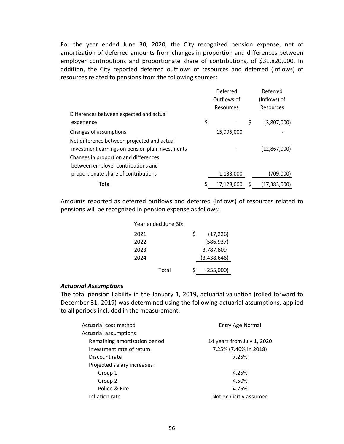For the year ended June 30, 2020, the City recognized pension expense, net of amortization of deferred amounts from changes in proportion and differences between employer contributions and proportionate share of contributions, of \$31,820,000. In addition, the City reported deferred outflows of resources and deferred (inflows) of resources related to pensions from the following sources:

|                                                 | Deferred    | Deferred             |
|-------------------------------------------------|-------------|----------------------|
|                                                 | Outflows of | (Inflows) of         |
|                                                 | Resources   | Resources            |
| Differences between expected and actual         |             |                      |
| experience                                      | \$          | \$<br>(3,807,000)    |
| Changes of assumptions                          | 15,995,000  |                      |
| Net difference between projected and actual     |             |                      |
| investment earnings on pension plan investments |             | (12, 867, 000)       |
| Changes in proportion and differences           |             |                      |
| between employer contributions and              |             |                      |
| proportionate share of contributions            | 1,133,000   | (709,000)            |
| Total                                           | 17,128,000  | \$<br>(17, 383, 000) |

Amounts reported as deferred outflows and deferred (inflows) of resources related to pensions will be recognized in pension expense as follows:

| Year ended June 30: |   |             |
|---------------------|---|-------------|
| 2021                | Ś | (17, 226)   |
| 2022                |   | (586, 937)  |
| 2023                |   | 3,787,809   |
| 2024                |   | (3,438,646) |
| Total               | ς | (255,000)   |

#### *Actuarial Assumptions*

The total pension liability in the January 1, 2019, actuarial valuation (rolled forward to December 31, 2019) was determined using the following actuarial assumptions, applied to all periods included in the measurement:

| Actuarial cost method         | Entry Age Normal           |  |  |
|-------------------------------|----------------------------|--|--|
| Actuarial assumptions:        |                            |  |  |
| Remaining amortization period | 14 years from July 1, 2020 |  |  |
| Investment rate of return     | 7.25% (7.40% in 2018)      |  |  |
| Discount rate                 | 7.25%                      |  |  |
| Projected salary increases:   |                            |  |  |
| Group 1                       | 4.25%                      |  |  |
| Group 2                       | 4.50%                      |  |  |
| Police & Fire                 | 4.75%                      |  |  |
| Inflation rate                | Not explicitly assumed     |  |  |
|                               |                            |  |  |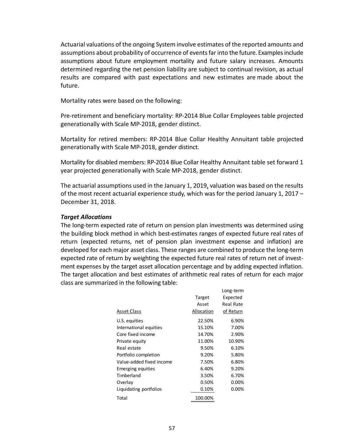Actuarial valuations of the ongoing System involve estimates of the reported amounts and assumptions about probability of occurrence of events far into the future. Examples include assumptions about future employment mortality and future salary increases. Amounts determined regarding the net pension liability are subject to continual revision, as actual results are compared with past expectations and new estimates are made about the future.

Mortality rates were based on the following:

Pre‐retirement and beneficiary mortality: RP‐2014 Blue Collar Employees table projected generationally with Scale MP‐2018, gender distinct.

Mortality for retired members: RP‐2014 Blue Collar Healthy Annuitant table projected generationally with Scale MP‐2018, gender distinct.

Mortality for disabled members: RP‐2014 Blue Collar Healthy Annuitant table set forward 1 year projected generationally with Scale MP‐2018, gender distinct.

The actuarial assumptions used in the January 1, 2019, valuation was based on the results of the most recent actuarial experience study, which was for the period January 1, 2017 – December 31, 2018.

### *Target Allocations*

The long‐term expected rate of return on pension plan investments was determined using the building block method in which best‐estimates ranges of expected future real rates of return (expected returns, net of pension plan investment expense and inflation) are developed for each major asset class. These ranges are combined to produce the long‐term expected rate of return by weighting the expected future real rates of return net of investment expenses by the target asset allocation percentage and by adding expected inflation. The target allocation and best estimates of arithmetic real rates of return for each major class are summarized in the following table:

|                          |            | Long-term |
|--------------------------|------------|-----------|
|                          | Target     | Expected  |
|                          | Asset      | Real Rate |
| <b>Asset Class</b>       | Allocation | of Return |
| U.S. equities            | 22.50%     | 6.90%     |
| International equities   | 15.10%     | 7.00%     |
| Core fixed income        | 14.70%     | 2.90%     |
| Private equity           | 11.00%     | 10.90%    |
| Real estate              | 9.50%      | 6.10%     |
| Portfolio completion     | 9.20%      | 5.80%     |
| Value-added fixed income | 7.50%      | 6.80%     |
| Emerging equities        | 6.40%      | 9.20%     |
| Timberland               | 3.50%      | 6.70%     |
| Overlay                  | 0.50%      | 0.00%     |
| Liquidating portfolios   | 0.10%      | 0.00%     |
| Total                    | 100.00%    |           |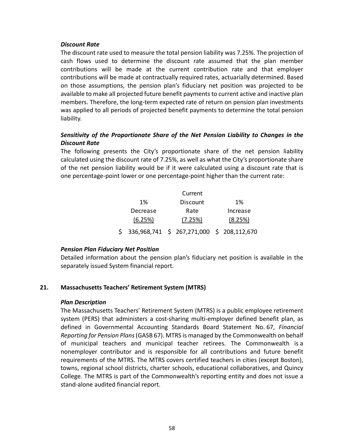### *Discount Rate*

The discount rate used to measure the total pension liability was 7.25%. The projection of cash flows used to determine the discount rate assumed that the plan member contributions will be made at the current contribution rate and that employer contributions will be made at contractually required rates, actuarially determined. Based on those assumptions, the pension plan's fiduciary net position was projected to be available to make all projected future benefit payments to current active and inactive plan members. Therefore, the long-term expected rate of return on pension plan investments was applied to all periods of projected benefit payments to determine the total pension liability.

### *Sensitivity of the Proportionate Share of the Net Pension Liability to Changes in the Discount Rate*

The following presents the City's proportionate share of the net pension liability calculated using the discount rate of 7.25%, as well as what the City's proportionate share of the net pension liability would be if it were calculated using a discount rate that is one percentage‐point lower or one percentage‐point higher than the current rate:

|                                              | Current  |          |
|----------------------------------------------|----------|----------|
| 1%                                           | Discount | 1%       |
| Decrease                                     | Rate     | Increase |
| (6.25%)                                      | (7.25%)  | (8.25%)  |
| \$ 336,968,741 \$ 267,271,000 \$ 208,112,670 |          |          |

### *Pension Plan Fiduciary Net Position*

Detailed information about the pension plan's fiduciary net position is available in the separately issued System financial report.

### **21. Massachusetts Teachers' Retirement System (MTRS)**

### *Plan Description*

The Massachusetts Teachers' Retirement System (MTRS) is a public employee retirement system (PERS) that administers a cost-sharing multi-employer defined benefit plan, as defined in Governmental Accounting Standards Board Statement No. 67, *Financial Reporting for Pension Plans* (GASB 67). MTRS is managed by the Commonwealth on behalf of municipal teachers and municipal teacher retirees. The Commonwealth is a nonemployer contributor and is responsible for all contributions and future benefit requirements of the MTRS. The MTRS covers certified teachers in cities (except Boston), towns, regional school districts, charter schools, educational collaboratives, and Quincy College. The MTRS is part of the Commonwealth's reporting entity and does not issue a stand‐alone audited financial report.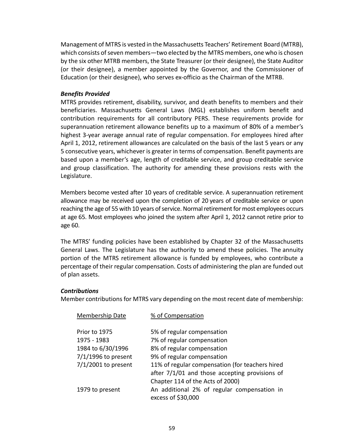Management of MTRS is vested in the Massachusetts Teachers' Retirement Board (MTRB), which consists of seven members—two elected by the MTRS members, one who is chosen by the six other MTRB members, the State Treasurer (or their designee), the State Auditor (or their designee), a member appointed by the Governor, and the Commissioner of Education (or their designee), who serves ex-officio as the Chairman of the MTRB.

### *Benefits Provided*

MTRS provides retirement, disability, survivor, and death benefits to members and their beneficiaries. Massachusetts General Laws (MGL) establishes uniform benefit and contribution requirements for all contributory PERS. These requirements provide for superannuation retirement allowance benefits up to a maximum of 80% of a member's highest 3‐year average annual rate of regular compensation. For employees hired after April 1, 2012, retirement allowances are calculated on the basis of the last 5 years or any 5 consecutive years, whichever is greater in terms of compensation. Benefit payments are based upon a member's age, length of creditable service, and group creditable service and group classification. The authority for amending these provisions rests with the Legislature.

Members become vested after 10 years of creditable service. A superannuation retirement allowance may be received upon the completion of 20 years of creditable service or upon reaching the age of 55 with 10 years of service. Normal retirement for most employees occurs at age 65. Most employees who joined the system after April 1, 2012 cannot retire prior to age 60.

The MTRS' funding policies have been established by Chapter 32 of the Massachusetts General Laws. The Legislature has the authority to amend these policies. The annuity portion of the MTRS retirement allowance is funded by employees, who contribute a percentage of their regular compensation. Costs of administering the plan are funded out of plan assets.

### *Contributions*

Member contributions for MTRS vary depending on the most recent date of membership:

| Membership Date       | % of Compensation                                                                                   |
|-----------------------|-----------------------------------------------------------------------------------------------------|
| Prior to 1975         | 5% of regular compensation                                                                          |
| 1975 - 1983           | 7% of regular compensation                                                                          |
| 1984 to 6/30/1996     | 8% of regular compensation                                                                          |
| $7/1/1996$ to present | 9% of regular compensation                                                                          |
| $7/1/2001$ to present | 11% of regular compensation (for teachers hired<br>after $7/1/01$ and those accepting provisions of |
|                       | Chapter 114 of the Acts of 2000)                                                                    |
| 1979 to present       | An additional 2% of regular compensation in<br>excess of \$30,000                                   |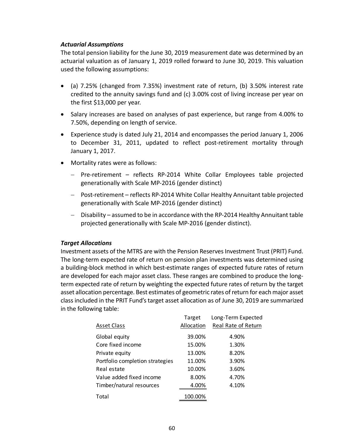### *Actuarial Assumptions*

The total pension liability for the June 30, 2019 measurement date was determined by an actuarial valuation as of January 1, 2019 rolled forward to June 30, 2019. This valuation used the following assumptions:

- (a) 7.25% (changed from 7.35%) investment rate of return, (b) 3.50% interest rate credited to the annuity savings fund and (c) 3.00% cost of living increase per year on the first \$13,000 per year.
- Salary increases are based on analyses of past experience, but range from 4.00% to 7.50%, depending on length of service.
- Experience study is dated July 21, 2014 and encompasses the period January 1, 2006 to December 31, 2011, updated to reflect post-retirement mortality through January 1, 2017.
- Mortality rates were as follows:
	- Pre-retirement reflects RP-2014 White Collar Employees table projected generationally with Scale MP‐2016 (gender distinct)
	- Post-retirement reflects RP-2014 White Collar Healthy Annuitant table projected generationally with Scale MP‐2016 (gender distinct)
	- Disability assumed to be in accordance with the RP‐2014 Healthy Annuitant table projected generationally with Scale MP‐2016 (gender distinct).

### *Target Allocations*

Investment assets of the MTRS are with the Pension Reserves Investment Trust (PRIT) Fund. The long‐term expected rate of return on pension plan investments was determined using a building‐block method in which best‐estimate ranges of expected future rates of return are developed for each major asset class. These ranges are combined to produce the longterm expected rate of return by weighting the expected future rates of return by the target asset allocation percentage. Best estimates of geometric rates of return for each major asset class included in the PRIT Fund's target asset allocation as of June 30, 2019 are summarized in the following table:

|                                 | Target     | Long-Term Expected  |
|---------------------------------|------------|---------------------|
| <b>Asset Class</b>              | Allocation | Real Rate of Return |
| Global equity                   | 39.00%     | 4.90%               |
| Core fixed income               | 15.00%     | 1.30%               |
| Private equity                  | 13.00%     | 8.20%               |
| Portfolio completion strategies | 11.00%     | 3.90%               |
| Real estate                     | 10.00%     | 3.60%               |
| Value added fixed income        | 8.00%      | 4.70%               |
| Timber/natural resources        | 4.00%      | 4.10%               |
| Total                           | 100.00%    |                     |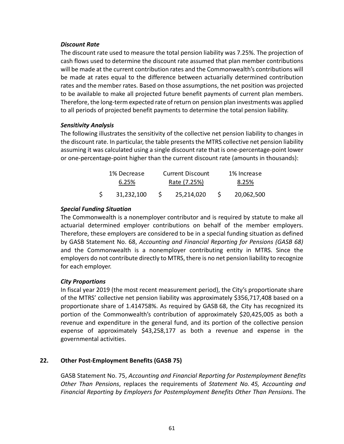### *Discount Rate*

The discount rate used to measure the total pension liability was 7.25%. The projection of cash flows used to determine the discount rate assumed that plan member contributions will be made at the current contribution rates and the Commonwealth's contributions will be made at rates equal to the difference between actuarially determined contribution rates and the member rates. Based on those assumptions, the net position was projected to be available to make all projected future benefit payments of current plan members. Therefore, the long‐term expected rate of return on pension plan investments was applied to all periods of projected benefit payments to determine the total pension liability.

### *Sensitivity Analysis*

The following illustrates the sensitivity of the collective net pension liability to changes in the discount rate. In particular, the table presents the MTRS collective net pension liability assuming it was calculated using a single discount rate that is one‐percentage‐point lower or one‐percentage‐point higher than the current discount rate (amounts in thousands):

|    | 1% Decrease |              | <b>Current Discount</b> |    | 1% Increase |
|----|-------------|--------------|-------------------------|----|-------------|
|    | 6.25%       | Rate (7.25%) |                         |    | 8.25%       |
| S. | 31,232,100  |              | 25,214,020              | S. | 20,062,500  |

### *Special Funding Situation*

The Commonwealth is a nonemployer contributor and is required by statute to make all actuarial determined employer contributions on behalf of the member employers. Therefore, these employers are considered to be in a special funding situation as defined by GASB Statement No. 68, *Accounting and Financial Reporting for Pensions (GASB 68)* and the Commonwealth is a nonemployer contributing entity in MTRS. Since the employers do not contribute directly to MTRS, there is no net pension liability to recognize for each employer.

### *City Proportions*

In fiscal year 2019 (the most recent measurement period), the City's proportionate share of the MTRS' collective net pension liability was approximately \$356,717,408 based on a proportionate share of 1.414758%. As required by GASB 68, the City has recognized its portion of the Commonwealth's contribution of approximately \$20,425,005 as both a revenue and expenditure in the general fund, and its portion of the collective pension expense of approximately \$43,258,177 as both a revenue and expense in the governmental activities.

### **22. Other Post‐Employment Benefits (GASB 75)**

GASB Statement No. 75, *Accounting and Financial Reporting for Postemployment Benefits Other Than Pensions*, replaces the requirements of *Statement No. 45, Accounting and Financial Reporting by Employers for Postemployment Benefits Other Than Pensions*. The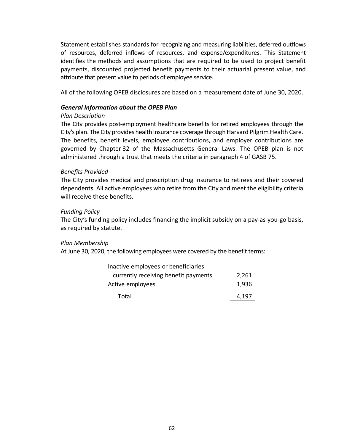Statement establishes standards for recognizing and measuring liabilities, deferred outflows of resources, deferred inflows of resources, and expense/expenditures. This Statement identifies the methods and assumptions that are required to be used to project benefit payments, discounted projected benefit payments to their actuarial present value, and attribute that present value to periods of employee service.

All of the following OPEB disclosures are based on a measurement date of June 30, 2020.

### *General Information about the OPEB Plan*

### *Plan Description*

The City provides post‐employment healthcare benefits for retired employees through the City's plan. The City provides health insurance coverage through Harvard Pilgrim Health Care. The benefits, benefit levels, employee contributions, and employer contributions are governed by Chapter 32 of the Massachusetts General Laws. The OPEB plan is not administered through a trust that meets the criteria in paragraph 4 of GASB 75.

### *Benefits Provided*

The City provides medical and prescription drug insurance to retirees and their covered dependents. All active employees who retire from the City and meet the eligibility criteria will receive these benefits.

### *Funding Policy*

The City's funding policy includes financing the implicit subsidy on a pay‐as‐you‐go basis, as required by statute.

#### *Plan Membership*

At June 30, 2020, the following employees were covered by the benefit terms:

| Inactive employees or beneficiaries  |       |
|--------------------------------------|-------|
| currently receiving benefit payments | 2,261 |
| Active employees                     | 1,936 |
| Total                                | 4,197 |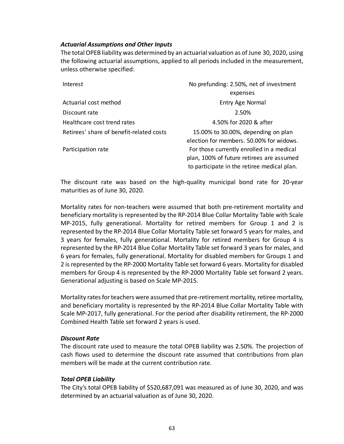### *Actuarial Assumptions and Other Inputs*

The total OPEB liability was determined by an actuarial valuation as of June 30, 2020, using the following actuarial assumptions, applied to all periods included in the measurement, unless otherwise specified:

| Interest                                 | No prefunding: 2.50%, net of investment                                                                                               |
|------------------------------------------|---------------------------------------------------------------------------------------------------------------------------------------|
|                                          | expenses                                                                                                                              |
| Actuarial cost method                    | Entry Age Normal                                                                                                                      |
| Discount rate                            | 2.50%                                                                                                                                 |
| Healthcare cost trend rates              | 4.50% for 2020 & after                                                                                                                |
| Retirees' share of benefit-related costs | 15.00% to 30.00%, depending on plan<br>election for members, 50,00% for widows.                                                       |
| Participation rate                       | For those currently enrolled in a medical<br>plan, 100% of future retirees are assumed<br>to participate in the retiree medical plan. |

The discount rate was based on the high‐quality municipal bond rate for 20‐year maturities as of June 30, 2020.

Mortality rates for non‐teachers were assumed that both pre‐retirement mortality and beneficiary mortality is represented by the RP‐2014 Blue Collar Mortality Table with Scale MP‐2015, fully generational. Mortality for retired members for Group 1 and 2 is represented by the RP‐2014 Blue Collar Mortality Table set forward 5 years for males, and 3 years for females, fully generational. Mortality for retired members for Group 4 is represented by the RP‐2014 Blue Collar Mortality Table set forward 3 years for males, and 6 years for females, fully generational. Mortality for disabled members for Groups 1 and 2 is represented by the RP‐2000 Mortality Table set forward 6 years. Mortality for disabled members for Group 4 is represented by the RP-2000 Mortality Table set forward 2 years. Generational adjusting is based on Scale MP‐2015.

Mortality rates for teachers were assumed that pre‐retirement mortality, retiree mortality, and beneficiary mortality is represented by the RP‐2014 Blue Collar Mortality Table with Scale MP‐2017, fully generational. For the period after disability retirement, the RP‐2000 Combined Health Table set forward 2 years is used.

#### *Discount Rate*

The discount rate used to measure the total OPEB liability was 2.50%. The projection of cash flows used to determine the discount rate assumed that contributions from plan members will be made at the current contribution rate.

### *Total OPEB Liability*

The City's total OPEB liability of \$520,687,091 was measured as of June 30, 2020, and was determined by an actuarial valuation as of June 30, 2020.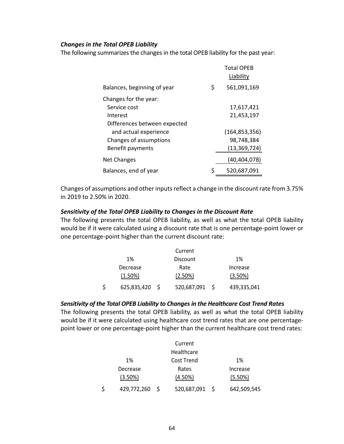### *Changes in the Total OPEB Liability*

The following summarizes the changes in the total OPEB liability for the past year:

|                              | <b>Total OPEB</b><br>Liability |
|------------------------------|--------------------------------|
| Balances, beginning of year  | \$<br>561,091,169              |
| Changes for the year:        |                                |
| Service cost                 | 17,617,421                     |
| Interest                     | 21,453,197                     |
| Differences between expected |                                |
| and actual experience        | (164, 853, 356)                |
| Changes of assumptions       | 98,748,384                     |
| Benefit payments             | (13, 369, 724)                 |
| <b>Net Changes</b>           | (40, 404, 078)                 |
| Balances, end of year        | \$<br>520,687,091              |

Changes of assumptions and other inputs reflect a change in the discount rate from 3.75% in 2019 to 2.50% in 2020.

#### *Sensitivity of the Total OPEB Liability to Changes in the Discount Rate*

The following presents the total OPEB liability, as well as what the total OPEB liability would be if it were calculated using a discount rate that is one percentage-point lower or one percentage‐point higher than the current discount rate:

|                   |    | Current     |             |
|-------------------|----|-------------|-------------|
| 1%                |    | Discount    | 1%          |
| Decrease          |    | Rate        | Increase    |
| (1.50%)           |    | (2.50%)     | (3.50%)     |
| \$<br>625,835,420 | -S | 520,687,091 | 439,335,041 |

#### *Sensitivity of the Total OPEB Liability to Changes in the Healthcare Cost Trend Rates*

The following presents the total OPEB liability, as well as what the total OPEB liability would be if it were calculated using healthcare cost trend rates that are one percentage‐ point lower or one percentage‐point higher than the current healthcare cost trend rates:

|             |    | Current     |             |
|-------------|----|-------------|-------------|
|             |    | Healthcare  |             |
| 1%          |    | Cost Trend  | 1%          |
| Decrease    |    | Rates       | Increase    |
| (3.50%)     |    | $(4.50\%)$  | (5.50%)     |
| 429,772,260 | -S | 520,687,091 | 642,509,545 |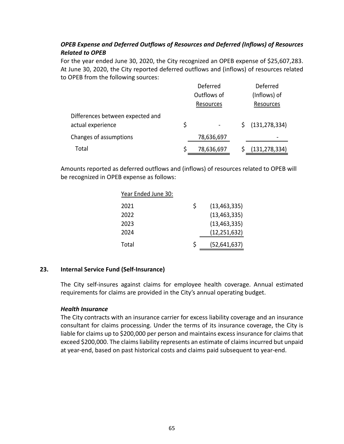## *OPEB Expense and Deferred Outflows of Resources and Deferred (Inflows) of Resources Related to OPEB*

For the year ended June 30, 2020, the City recognized an OPEB expense of \$25,607,283. At June 30, 2020, the City reported deferred outflows and (inflows) of resources related to OPEB from the following sources:

|                                                       | Deferred<br>Outflows of |            | Deferred<br>(Inflows) of |                 |
|-------------------------------------------------------|-------------------------|------------|--------------------------|-----------------|
|                                                       |                         | Resources  |                          | Resources       |
| Differences between expected and<br>actual experience | \$                      | -          | S.                       | (131, 278, 334) |
| Changes of assumptions                                |                         | 78,636,697 |                          |                 |
| Total                                                 |                         | 78,636,697 |                          | (131, 278, 334) |

Amounts reported as deferred outflows and (inflows) of resources related to OPEB will be recognized in OPEB expense as follows:

| Year Ended June 30: |   |                |
|---------------------|---|----------------|
| 2021                | S | (13, 463, 335) |
| 2022                |   | (13, 463, 335) |
| 2023                |   | (13, 463, 335) |
| 2024                |   | (12, 251, 632) |
| Total               | S | (52, 641, 637) |

### **23. Internal Service Fund (Self‐Insurance)**

The City self-insures against claims for employee health coverage. Annual estimated requirements for claims are provided in the City's annual operating budget.

### *Health Insurance*

The City contracts with an insurance carrier for excess liability coverage and an insurance consultant for claims processing. Under the terms of its insurance coverage, the City is liable for claims up to \$200,000 per person and maintains excess insurance for claims that exceed \$200,000. The claims liability represents an estimate of claims incurred but unpaid at year‐end, based on past historical costs and claims paid subsequent to year‐end.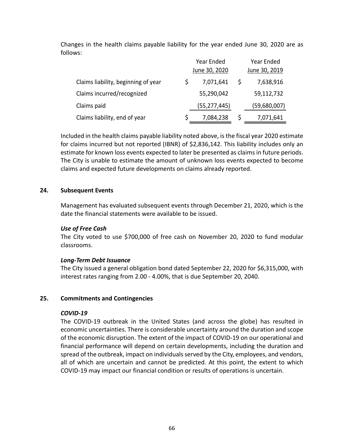Changes in the health claims payable liability for the year ended June 30, 2020 are as follows:

|                                     | Year Ended    |    | Year Ended    |
|-------------------------------------|---------------|----|---------------|
|                                     | June 30, 2020 |    | June 30, 2019 |
| Claims liability, beginning of year | 7,071,641     | -S | 7,638,916     |
| Claims incurred/recognized          | 55,290,042    |    | 59,112,732    |
| Claims paid                         | (55,277,445)  |    | (59,680,007)  |
| Claims liability, end of year       | 7,084,238     |    | 7,071,641     |

Included in the health claims payable liability noted above, is the fiscal year 2020 estimate for claims incurred but not reported (IBNR) of \$2,836,142. This liability includes only an estimate for known loss events expected to later be presented as claims in future periods. The City is unable to estimate the amount of unknown loss events expected to become claims and expected future developments on claims already reported.

### **24. Subsequent Events**

Management has evaluated subsequent events through December 21, 2020, which is the date the financial statements were available to be issued.

### *Use of Free Cash*

The City voted to use \$700,000 of free cash on November 20, 2020 to fund modular classrooms.

### *Long‐Term Debt Issuance*

The City issued a general obligation bond dated September 22, 2020 for \$6,315,000, with interest rates ranging from 2.00 ‐ 4.00%, that is due September 20, 2040.

### **25. Commitments and Contingencies**

#### *COVID‐19*

The COVID‐19 outbreak in the United States (and across the globe) has resulted in economic uncertainties. There is considerable uncertainty around the duration and scope of the economic disruption. The extent of the impact of COVID‐19 on our operational and financial performance will depend on certain developments, including the duration and spread of the outbreak, impact on individuals served by the City, employees, and vendors, all of which are uncertain and cannot be predicted. At this point, the extent to which COVID‐19 may impact our financial condition or results of operations is uncertain.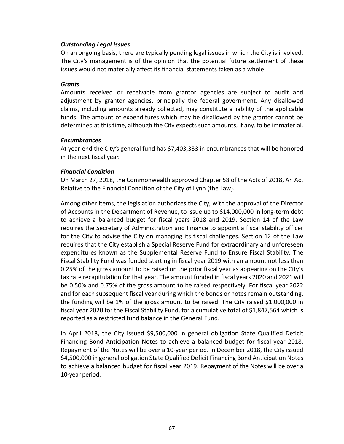### *Outstanding Legal Issues*

On an ongoing basis, there are typically pending legal issues in which the City is involved. The City's management is of the opinion that the potential future settlement of these issues would not materially affect its financial statements taken as a whole.

### *Grants*

Amounts received or receivable from grantor agencies are subject to audit and adjustment by grantor agencies, principally the federal government. Any disallowed claims, including amounts already collected, may constitute a liability of the applicable funds. The amount of expenditures which may be disallowed by the grantor cannot be determined at this time, although the City expects such amounts, if any, to be immaterial.

### *Encumbrances*

At year‐end the City's general fund has \$7,403,333 in encumbrances that will be honored in the next fiscal year.

### *Financial Condition*

On March 27, 2018, the Commonwealth approved Chapter 58 of the Acts of 2018, An Act Relative to the Financial Condition of the City of Lynn (the Law).

Among other items, the legislation authorizes the City, with the approval of the Director of Accounts in the Department of Revenue, to issue up to \$14,000,000 in long‐term debt to achieve a balanced budget for fiscal years 2018 and 2019. Section 14 of the Law requires the Secretary of Administration and Finance to appoint a fiscal stability officer for the City to advise the City on managing its fiscal challenges. Section 12 of the Law requires that the City establish a Special Reserve Fund for extraordinary and unforeseen expenditures known as the Supplemental Reserve Fund to Ensure Fiscal Stability. The Fiscal Stability Fund was funded starting in fiscal year 2019 with an amount not less than 0.25% of the gross amount to be raised on the prior fiscal year as appearing on the City's tax rate recapitulation for that year. The amount funded in fiscal years 2020 and 2021 will be 0.50% and 0.75% of the gross amount to be raised respectively. For fiscal year 2022 and for each subsequent fiscal year during which the bonds or notes remain outstanding, the funding will be 1% of the gross amount to be raised. The City raised \$1,000,000 in fiscal year 2020 for the Fiscal Stability Fund, for a cumulative total of \$1,847,564 which is reported as a restricted fund balance in the General Fund.

In April 2018, the City issued \$9,500,000 in general obligation State Qualified Deficit Financing Bond Anticipation Notes to achieve a balanced budget for fiscal year 2018. Repayment of the Notes will be over a 10‐year period. In December 2018, the City issued \$4,500,000 in general obligation State Qualified Deficit Financing Bond Anticipation Notes to achieve a balanced budget for fiscal year 2019. Repayment of the Notes will be over a 10‐year period.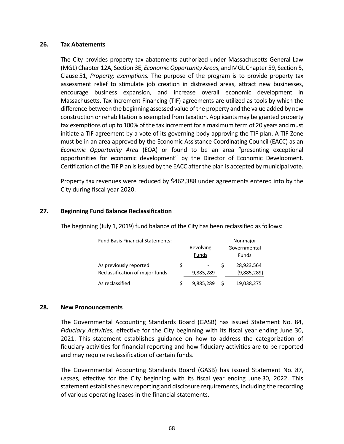#### **26. Tax Abatements**

The City provides property tax abatements authorized under Massachusetts General Law (MGL) Chapter 12A, Section 3E, *Economic Opportunity Areas,* and MGL Chapter 59, Section 5, Clause 51, *Property; exemptions.* The purpose of the program is to provide property tax assessment relief to stimulate job creation in distressed areas, attract new businesses, encourage business expansion, and increase overall economic development in Massachusetts. Tax Increment Financing (TIF) agreements are utilized as tools by which the difference between the beginning assessed value of the property and the value added by new construction or rehabilitation is exempted from taxation. Applicants may be granted property tax exemptions of up to 100% of the tax increment for a maximum term of 20 years and must initiate a TIF agreement by a vote of its governing body approving the TIF plan. A TIF Zone must be in an area approved by the Economic Assistance Coordinating Council (EACC) as an *Economic Opportunity Area* (EOA) or found to be an area "presenting exceptional opportunities for economic development" by the Director of Economic Development. Certification of the TIF Plan is issued by the EACC after the plan is accepted by municipal vote.

Property tax revenues were reduced by \$462,388 under agreements entered into by the City during fiscal year 2020.

### **27. Beginning Fund Balance Reclassification**

The beginning (July 1, 2019) fund balance of the City has been reclassified as follows:

| <b>Fund Basis Financial Statements:</b> |   | Nonmajor  |   |              |  |
|-----------------------------------------|---|-----------|---|--------------|--|
|                                         |   | Revolving |   | Governmental |  |
|                                         |   | Funds     |   | Funds        |  |
| As previously reported                  | S |           |   | 28,923,564   |  |
| Reclassification of major funds         |   | 9,885,289 |   | (9,885,289)  |  |
| As reclassified                         |   | 9,885,289 | S | 19,038,275   |  |

#### **28. New Pronouncements**

The Governmental Accounting Standards Board (GASB) has issued Statement No. 84, *Fiduciary Activities,* effective for the City beginning with its fiscal year ending June 30, 2021. This statement establishes guidance on how to address the categorization of fiduciary activities for financial reporting and how fiduciary activities are to be reported and may require reclassification of certain funds.

The Governmental Accounting Standards Board (GASB) has issued Statement No. 87, Leases, effective for the City beginning with its fiscal year ending June 30, 2022. This statement establishes new reporting and disclosure requirements, including the recording of various operating leases in the financial statements.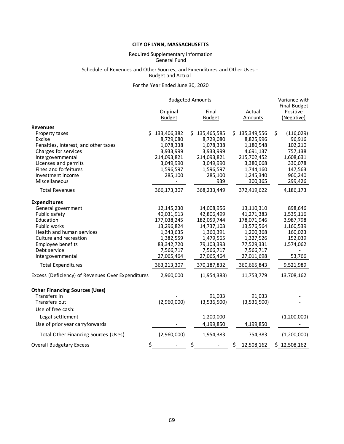#### **CITY OF LYNN, MASSACHUSETTS**

#### General Fund Required Supplementary Information

#### Budget and Actual Schedule of Revenues and Other Sources, and Expenditures and Other Uses ‐

#### For the Year Ended June 30, 2020

|                                                                                         |                                                  | <b>Budgeted Amounts</b>                          |                                                    | Variance with                                 |  |
|-----------------------------------------------------------------------------------------|--------------------------------------------------|--------------------------------------------------|----------------------------------------------------|-----------------------------------------------|--|
|                                                                                         | Original<br><b>Budget</b>                        | Final<br><b>Budget</b>                           | Actual<br>Amounts                                  | <b>Final Budget</b><br>Positive<br>(Negative) |  |
| <b>Revenues</b>                                                                         |                                                  |                                                  |                                                    |                                               |  |
| Property taxes<br>Excise                                                                | Ś.<br>133,406,382<br>8,729,080                   | 135,465,585<br>S.<br>8,729,080                   | 135,349,556<br>S<br>8,825,996                      | \$<br>(116, 029)<br>96,916                    |  |
| Penalties, interest, and other taxes<br>Charges for services                            | 1,078,338<br>3,933,999                           | 1,078,338<br>3,933,999                           | 1,180,548<br>4,691,137                             | 102,210<br>757,138                            |  |
| Intergovernmental<br>Licenses and permits<br>Fines and forfeitures<br>Investment income | 214,093,821<br>3,049,990<br>1,596,597<br>285,100 | 214,093,821<br>3,049,990<br>1,596,597<br>285,100 | 215,702,452<br>3,380,068<br>1,744,160<br>1,245,340 | 1,608,631<br>330,078<br>147,563<br>960,240    |  |
| Miscellaneous                                                                           |                                                  | 939                                              | 300,365                                            | 299,426                                       |  |
| <b>Total Revenues</b>                                                                   | 366,173,307                                      | 368,233,449                                      | 372,419,622                                        | 4,186,173                                     |  |
| <b>Expenditures</b>                                                                     |                                                  |                                                  |                                                    |                                               |  |
| General government<br>Public safety                                                     | 12,145,230<br>40,031,913                         | 14,008,956<br>42,806,499                         | 13,110,310<br>41,271,383                           | 898,646<br>1,535,116                          |  |
| Education<br>Public works<br>Health and human services                                  | 177,038,245<br>13,296,824<br>1,343,635           | 182,059,744<br>14,737,103<br>1,360,391           | 178,071,946<br>13,576,564<br>1,200,368             | 3,987,798<br>1,160,539<br>160,023             |  |
| Culture and recreation<br>Employee benefits<br>Debt service                             | 1,382,559<br>83,342,720<br>7,566,717             | 1,479,565<br>79,103,393<br>7,566,717             | 1,327,526<br>77,529,331<br>7,566,717               | 152,039<br>1,574,062                          |  |
| Intergovernmental                                                                       | 27,065,464                                       | 27,065,464                                       | 27,011,698                                         | 53,766                                        |  |
| <b>Total Expenditures</b>                                                               | 363,213,307                                      | 370,187,832                                      | 360,665,843                                        | 9,521,989                                     |  |
| Excess (Deficiency) of Revenues Over Expenditures                                       | 2,960,000                                        | (1,954,383)                                      | 11,753,779                                         | 13,708,162                                    |  |
| <b>Other Financing Sources (Uses)</b>                                                   |                                                  |                                                  |                                                    |                                               |  |
| Transfers in<br>Transfers out<br>Use of free cash:                                      | (2,960,000)                                      | 91,033<br>(3,536,500)                            | 91,033<br>(3,536,500)                              |                                               |  |
| Legal settlement                                                                        |                                                  | 1,200,000                                        |                                                    | (1,200,000)                                   |  |
| Use of prior year carryforwards                                                         |                                                  | 4,199,850                                        | 4,199,850                                          |                                               |  |
| <b>Total Other Financing Sources (Uses)</b>                                             | (2,960,000)                                      | 1,954,383                                        | 754,383                                            | (1,200,000)                                   |  |
| <b>Overall Budgetary Excess</b>                                                         | \$                                               | \$                                               | \$<br>12,508,162                                   | \$12,508,162                                  |  |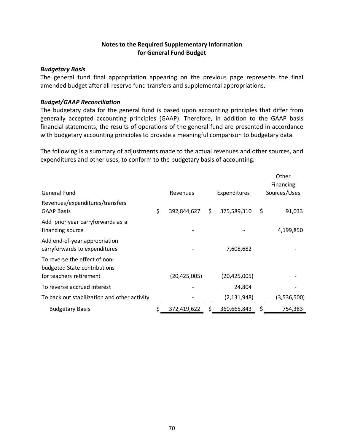# **Notes to the Required Supplementary Information for General Fund Budget**

# *Budgetary Basis*

The general fund final appropriation appearing on the previous page represents the final amended budget after all reserve fund transfers and supplemental appropriations.

# *Budget/GAAP Reconciliation*

The budgetary data for the general fund is based upon accounting principles that differ from generally accepted accounting principles (GAAP). Therefore, in addition to the GAAP basis financial statements, the results of operations of the general fund are presented in accordance with budgetary accounting principles to provide a meaningful comparison to budgetary data.

The following is a summary of adjustments made to the actual revenues and other sources, and expenditures and other uses, to conform to the budgetary basis of accounting.

|                                                                |                      |    |                |      | Other        |
|----------------------------------------------------------------|----------------------|----|----------------|------|--------------|
|                                                                |                      |    |                |      | Financing    |
| General Fund                                                   | Revenues             |    | Expenditures   |      | Sources/Uses |
| Revenues/expenditures/transfers<br><b>GAAP Basis</b>           | \$<br>392,844,627 \$ |    | 375,589,310    | - \$ | 91,033       |
| Add prior year carryforwards as a<br>financing source          |                      |    |                |      | 4,199,850    |
| Add end-of-year appropriation<br>carryforwards to expenditures |                      |    | 7,608,682      |      |              |
| To reverse the effect of non-<br>budgeted State contributions  |                      |    |                |      |              |
| for teachers retirement                                        | (20, 425, 005)       |    | (20, 425, 005) |      |              |
| To reverse accrued interest                                    |                      |    | 24,804         |      |              |
| To back out stabilization and other activity                   |                      |    | (2, 131, 948)  |      | (3,536,500)  |
| <b>Budgetary Basis</b>                                         | 372,419,622          | S. | 360,665,843    | \$   | 754,383      |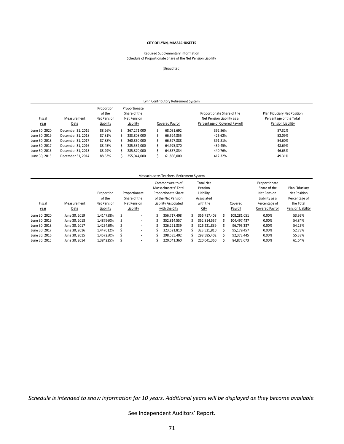### **CITY OF LYNN, MASSACHUSETTS**

#### Schedule of Proportionate Share of the Net Pension Liability Required Supplementary Information

### (Unaudited)

| Lynn Contributory Retirement System |                     |                                                  |  |                                                           |  |                 |                                                                                           |                                                                             |  |  |  |  |
|-------------------------------------|---------------------|--------------------------------------------------|--|-----------------------------------------------------------|--|-----------------|-------------------------------------------------------------------------------------------|-----------------------------------------------------------------------------|--|--|--|--|
| Fiscal<br>Year                      | Measurement<br>Date | Proportion<br>of the<br>Net Pension<br>Liability |  | Proportionate<br>Share of the<br>Net Pension<br>Liability |  | Covered Payroll | Proportionate Share of the<br>Net Pension Liability as a<br>Percentage of Covered Payroll | Plan Fiduciary Net Position<br>Percentage of the Total<br>Pension Liability |  |  |  |  |
| June 30, 2020                       | December 31, 2019   | 88.26%                                           |  | 267.271.000                                               |  | 68,031,692      | 392.86%                                                                                   | 57.32%                                                                      |  |  |  |  |
| June 30, 2019                       | December 31, 2018   | 87.81%                                           |  | 283,808,000                                               |  | 66.524.855      | 426.62%                                                                                   | 52.09%                                                                      |  |  |  |  |
| June 30, 2018                       | December 31, 2017   | 87.88%                                           |  | 260.860.000                                               |  | 66.577.888      | 391.81%                                                                                   | 54.60%                                                                      |  |  |  |  |
| June 30, 2017                       | December 31, 2016   | 88.45%                                           |  | 285,532,000                                               |  | 64.975.370      | 439.45%                                                                                   | 48.69%                                                                      |  |  |  |  |
| June 30, 2016                       | December 31, 2015   | 88.29%                                           |  | 285.870.000                                               |  | 64.857.834      | 440.76%                                                                                   | 46.65%                                                                      |  |  |  |  |
| June 30, 2015                       | December 31, 2014   | 88.63%                                           |  | 255.044.000                                               |  | 61,856,000      | 412.32%                                                                                   | 49.31%                                                                      |  |  |  |  |

#### Massachusetts Teachers' Retirement System

|               |               |                    |   |                          | Commonwealth of    |                      |            | <b>Total Net</b> |         |             | Proportionate   |                   |
|---------------|---------------|--------------------|---|--------------------------|--------------------|----------------------|------------|------------------|---------|-------------|-----------------|-------------------|
|               |               |                    |   |                          |                    | Massachusetts' Total |            | Pension          |         |             | Share of the    | Plan Fiduciary    |
|               |               | Proportion         |   | Proportionate            |                    | Proportionate Share  |            | Liability        |         |             | Net Pension     | Net Position      |
|               |               | of the             |   | Share of the             | of the Net Pension |                      | Associated |                  |         |             | Liability as a  | Percentage of     |
| Fiscal        | Measurement   | <b>Net Pension</b> |   | Net Pension              |                    | Liability Associated |            | with the         |         | Covered     | Percentage of   | the Total         |
| Year          | Date          | Liability          |   | Liability                |                    | with the City        |            | City             | Payroll |             | Covered Payroll | Pension Liability |
| June 30, 2020 | June 30, 2019 | 1.414758%          | Ŝ | $\overline{\phantom{a}}$ |                    | 356.717.408          | S          | 356,717,408      | 5       | 108.281.051 | 0.00%           | 53.95%            |
| June 30, 2019 | June 30, 2018 | 1.487960%          | S | $\overline{\phantom{a}}$ |                    | 352.814.557          |            | 352,814,557      | ╰       | 104.497.437 | 0.00%           | 54.84%            |
| June 30, 2018 | June 30, 2017 | 1.425459%          | S | $\overline{\phantom{a}}$ |                    | 326.221.839          |            | 326,221,839      |         | 96.795.337  | 0.00%           | 54.25%            |
| June 30, 2017 | June 30, 2016 | 1.447012%          | Ŝ | $\overline{\phantom{a}}$ |                    | 323.521.810          |            | 323,521,810      |         | 95.179.457  | 0.00%           | 52.73%            |
| June 30, 2016 | June 30, 2015 | 1.457250%          | Ś | $\overline{\phantom{a}}$ |                    | 298.585.402          |            | 298.585.402      | ς       | 92.373.445  | 0.00%           | 55.38%            |
| June 30, 2015 | June 30, 2014 | 1.384225%          |   | $\overline{\phantom{a}}$ |                    | 220,041,360          |            | 220,041,360      |         | 84,873,673  | 0.00%           | 61.64%            |

*Schedule is intended to show information for 10 years. Additional years will be displayed as they become available.* 

See Independent Auditors' Report.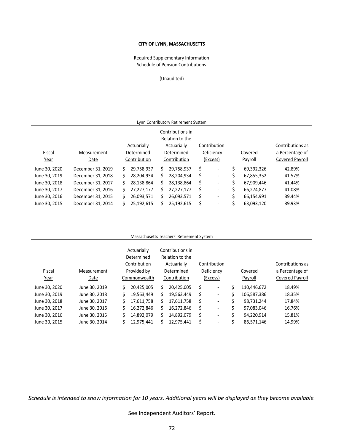# **CITY OF LYNN, MASSACHUSETTS**

# Schedule of Pension Contributions Required Supplementary Information

## (Unaudited)

| Lynn Contributory Retirement System                                                                   |                   |    |              |    |              |   |                          |         |            |                 |
|-------------------------------------------------------------------------------------------------------|-------------------|----|--------------|----|--------------|---|--------------------------|---------|------------|-----------------|
| Contributions in<br>Relation to the<br>Actuarially<br>Contribution<br>Contributions as<br>Actuarially |                   |    |              |    |              |   |                          |         |            |                 |
| Fiscal                                                                                                | Measurement       |    | Determined   |    | Determined   |   | Deficiency               |         | Covered    | a Percentage of |
| Year                                                                                                  | Date              |    | Contribution |    | Contribution |   | (Excess)                 | Payroll |            | Covered Payroll |
| June 30, 2020                                                                                         | December 31, 2019 | Ś. | 29.758.937   | S. | 29.758.937   | S | $\overline{\phantom{a}}$ | \$      | 69,392,326 | 42.89%          |
| June 30, 2019                                                                                         | December 31, 2018 | Ś. | 28,204,934   | S. | 28,204,934   | S | $\overline{\phantom{a}}$ | \$      | 67,855,352 | 41.57%          |
| June 30, 2018                                                                                         | December 31, 2017 | Ś. | 28,138,864   | S. | 28,138,864   | S | $\overline{\phantom{a}}$ | Ś.      | 67,909,446 | 41.44%          |
| June 30, 2017                                                                                         | December 31, 2016 | \$ | 27,227,177   | S. | 27,227,177   | S | $\overline{\phantom{a}}$ | Ś.      | 66,274,877 | 41.08%          |
| June 30, 2016                                                                                         | December 31, 2015 | Ś  | 26,093,571   | Ś  | 26,093,571   | Ś | $\overline{\phantom{a}}$ | Ś.      | 66.154.991 | 39.44%          |
| June 30, 2015                                                                                         | December 31, 2014 |    | 25,192,615   |    | 25,192,615   |   | $\overline{\phantom{a}}$ | \$      | 63,093,120 | 39.93%          |

### Massachusetts Teachers' Retirement System

| Fiscal<br>Year | Measurement<br>Date | Actuarially<br>Determined<br>Contribution<br>Provided by<br>Commonwealth |    | Contributions in<br>Relation to the<br>Actuarially<br>Determined<br>Contribution | Contribution<br>Deficiency<br>(Excess) |                              |    | Covered<br>Payroll | Contributions as<br>a Percentage of<br>Covered Payroll |  |  |
|----------------|---------------------|--------------------------------------------------------------------------|----|----------------------------------------------------------------------------------|----------------------------------------|------------------------------|----|--------------------|--------------------------------------------------------|--|--|
| June 30, 2020  | June 30, 2019       | \$<br>20,425,005                                                         | Ś  | 20,425,005                                                                       | \$                                     | $\overline{\phantom{0}}$     | Ś  | 110,446,672        | 18.49%                                                 |  |  |
| June 30, 2019  | June 30, 2018       | \$<br>19,563,449                                                         |    | 19,563,449                                                                       |                                        | $\overline{\phantom{a}}$     | \$ | 106,587,386        | 18.35%                                                 |  |  |
| June 30, 2018  | June 30, 2017       | \$<br>17,611,758                                                         |    | 17,611,758                                                                       | s                                      | $\qquad \qquad \blacksquare$ | Ś  | 98,731,244         | 17.84%                                                 |  |  |
| June 30, 2017  | June 30, 2016       | \$<br>16,272,846                                                         | S. | 16,272,846                                                                       | S                                      | $\overline{\phantom{a}}$     | Ś  | 97,083,046         | 16.76%                                                 |  |  |
| June 30, 2016  | June 30, 2015       | \$<br>14,892,079                                                         |    | 14,892,079                                                                       | \$                                     | $\overline{\phantom{0}}$     | Ś  | 94,220,914         | 15.81%                                                 |  |  |
| June 30, 2015  | June 30, 2014       | \$<br>12,975,441                                                         |    | 12,975,441                                                                       |                                        | $\overline{\phantom{a}}$     |    | 86,571,146         | 14.99%                                                 |  |  |

*Schedule is intended to show information for 10 years. Additional years will be displayed as they become available.* 

See Independent Auditors' Report.